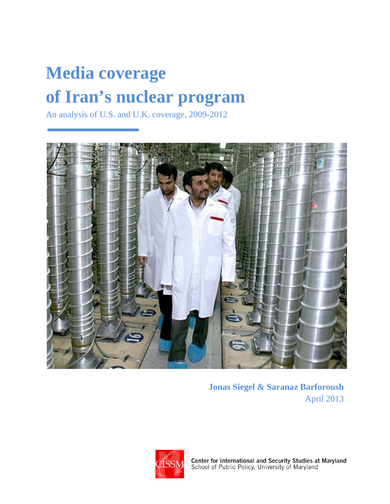# **Media coverage of Iran's nuclear program**

An analysis of U.S. and U.K. coverage, 2009-2012



**Jonas Siegel & Saranaz Barforoush**  April 2013



Center for International and Security Studies at Maryland<br>School of Public Policy, University of Maryland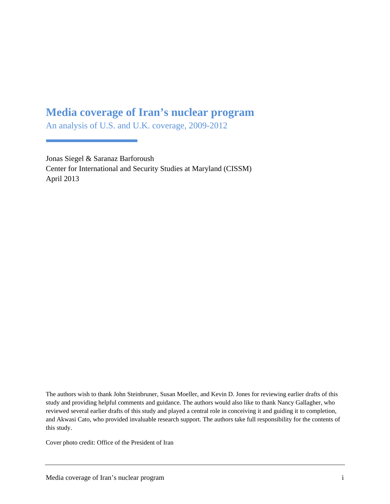## **Media coverage of Iran's nuclear program**

An analysis of U.S. and U.K. coverage, 2009-2012

Jonas Siegel & Saranaz Barforoush Center for International and Security Studies at Maryland (CISSM) April 2013

The authors wish to thank John Steinbruner, Susan Moeller, and Kevin D. Jones for reviewing earlier drafts of this study and providing helpful comments and guidance. The authors would also like to thank Nancy Gallagher, who reviewed several earlier drafts of this study and played a central role in conceiving it and guiding it to completion, and Akwasi Cato, who provided invaluable research support. The authors take full responsibility for the contents of this study.

Cover photo credit: Office of the President of Iran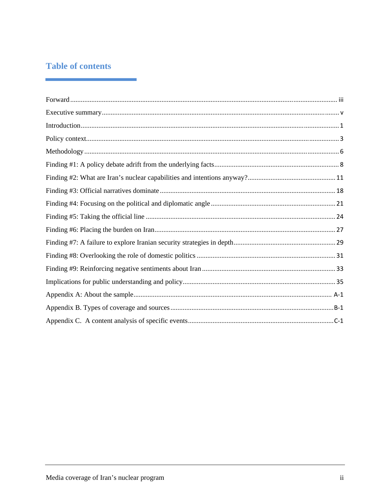### **Table of contents**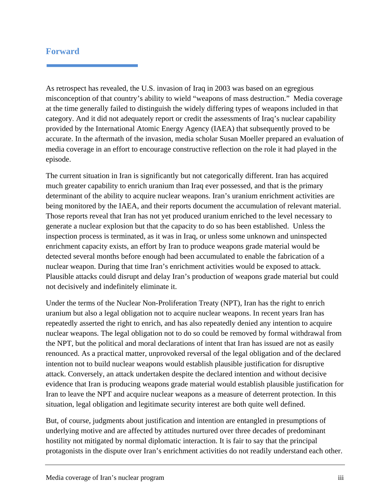#### **Forward**

As retrospect has revealed, the U.S. invasion of Iraq in 2003 was based on an egregious misconception of that country's ability to wield "weapons of mass destruction." Media coverage at the time generally failed to distinguish the widely differing types of weapons included in that category. And it did not adequately report or credit the assessments of Iraq's nuclear capability provided by the International Atomic Energy Agency (IAEA) that subsequently proved to be accurate. In the aftermath of the invasion, media scholar Susan Moeller prepared an evaluation of media coverage in an effort to encourage constructive reflection on the role it had played in the episode.

The current situation in Iran is significantly but not categorically different. Iran has acquired much greater capability to enrich uranium than Iraq ever possessed, and that is the primary determinant of the ability to acquire nuclear weapons. Iran's uranium enrichment activities are being monitored by the IAEA, and their reports document the accumulation of relevant material. Those reports reveal that Iran has not yet produced uranium enriched to the level necessary to generate a nuclear explosion but that the capacity to do so has been established. Unless the inspection process is terminated, as it was in Iraq, or unless some unknown and uninspected enrichment capacity exists, an effort by Iran to produce weapons grade material would be detected several months before enough had been accumulated to enable the fabrication of a nuclear weapon. During that time Iran's enrichment activities would be exposed to attack. Plausible attacks could disrupt and delay Iran's production of weapons grade material but could not decisively and indefinitely eliminate it.

Under the terms of the Nuclear Non-Proliferation Treaty (NPT), Iran has the right to enrich uranium but also a legal obligation not to acquire nuclear weapons. In recent years Iran has repeatedly asserted the right to enrich, and has also repeatedly denied any intention to acquire nuclear weapons. The legal obligation not to do so could be removed by formal withdrawal from the NPT, but the political and moral declarations of intent that Iran has issued are not as easily renounced. As a practical matter, unprovoked reversal of the legal obligation and of the declared intention not to build nuclear weapons would establish plausible justification for disruptive attack. Conversely, an attack undertaken despite the declared intention and without decisive evidence that Iran is producing weapons grade material would establish plausible justification for Iran to leave the NPT and acquire nuclear weapons as a measure of deterrent protection. In this situation, legal obligation and legitimate security interest are both quite well defined.

But, of course, judgments about justification and intention are entangled in presumptions of underlying motive and are affected by attitudes nurtured over three decades of predominant hostility not mitigated by normal diplomatic interaction. It is fair to say that the principal protagonists in the dispute over Iran's enrichment activities do not readily understand each other.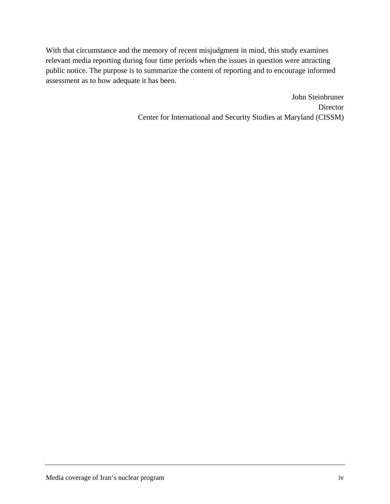With that circumstance and the memory of recent misjudgment in mind, this study examines relevant media reporting during four time periods when the issues in question were attracting public notice. The purpose is to summarize the content of reporting and to encourage informed assessment as to how adequate it has been.

> John Steinbruner Director Center for International and Security Studies at Maryland (CISSM)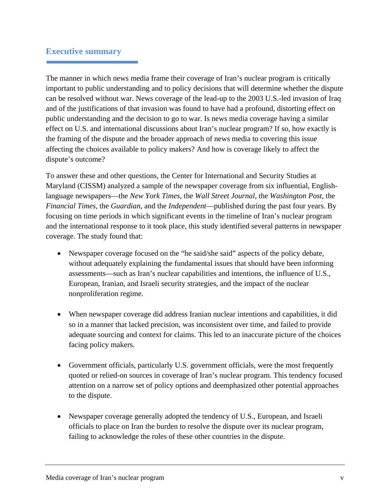#### **Executive summary**

The manner in which news media frame their coverage of Iran's nuclear program is critically important to public understanding and to policy decisions that will determine whether the dispute can be resolved without war. News coverage of the lead-up to the 2003 U.S.-led invasion of Iraq and of the justifications of that invasion was found to have had a profound, distorting effect on public understanding and the decision to go to war. Is news media coverage having a similar effect on U.S. and international discussions about Iran's nuclear program? If so, how exactly is the framing of the dispute and the broader approach of news media to covering this issue affecting the choices available to policy makers? And how is coverage likely to affect the dispute's outcome?

To answer these and other questions, the Center for International and Security Studies at Maryland (CISSM) analyzed a sample of the newspaper coverage from six influential, Englishlanguage newspapers—the *New York Times*, the *Wall Street Journal*, the *Washington Post*, the *Financial Times*, the *Guardian*, and the *Independent*—published during the past four years. By focusing on time periods in which significant events in the timeline of Iran's nuclear program and the international response to it took place, this study identified several patterns in newspaper coverage. The study found that:

- Newspaper coverage focused on the "he said/she said" aspects of the policy debate, without adequately explaining the fundamental issues that should have been informing assessments—such as Iran's nuclear capabilities and intentions, the influence of U.S., European, Iranian, and Israeli security strategies, and the impact of the nuclear nonproliferation regime.
- When newspaper coverage did address Iranian nuclear intentions and capabilities, it did so in a manner that lacked precision, was inconsistent over time, and failed to provide adequate sourcing and context for claims. This led to an inaccurate picture of the choices facing policy makers.
- Government officials, particularly U.S. government officials, were the most frequently quoted or relied-on sources in coverage of Iran's nuclear program. This tendency focused attention on a narrow set of policy options and deemphasized other potential approaches to the dispute.
- Newspaper coverage generally adopted the tendency of U.S., European, and Israeli officials to place on Iran the burden to resolve the dispute over its nuclear program, failing to acknowledge the roles of these other countries in the dispute.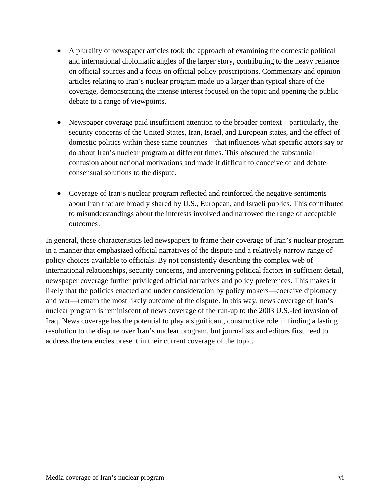- A plurality of newspaper articles took the approach of examining the domestic political and international diplomatic angles of the larger story, contributing to the heavy reliance on official sources and a focus on official policy proscriptions. Commentary and opinion articles relating to Iran's nuclear program made up a larger than typical share of the coverage, demonstrating the intense interest focused on the topic and opening the public debate to a range of viewpoints.
- Newspaper coverage paid insufficient attention to the broader context—particularly, the security concerns of the United States, Iran, Israel, and European states, and the effect of domestic politics within these same countries—that influences what specific actors say or do about Iran's nuclear program at different times. This obscured the substantial confusion about national motivations and made it difficult to conceive of and debate consensual solutions to the dispute.
- Coverage of Iran's nuclear program reflected and reinforced the negative sentiments about Iran that are broadly shared by U.S., European, and Israeli publics. This contributed to misunderstandings about the interests involved and narrowed the range of acceptable outcomes.

In general, these characteristics led newspapers to frame their coverage of Iran's nuclear program in a manner that emphasized official narratives of the dispute and a relatively narrow range of policy choices available to officials. By not consistently describing the complex web of international relationships, security concerns, and intervening political factors in sufficient detail, newspaper coverage further privileged official narratives and policy preferences. This makes it likely that the policies enacted and under consideration by policy makers—coercive diplomacy and war—remain the most likely outcome of the dispute. In this way, news coverage of Iran's nuclear program is reminiscent of news coverage of the run-up to the 2003 U.S.-led invasion of Iraq. News coverage has the potential to play a significant, constructive role in finding a lasting resolution to the dispute over Iran's nuclear program, but journalists and editors first need to address the tendencies present in their current coverage of the topic.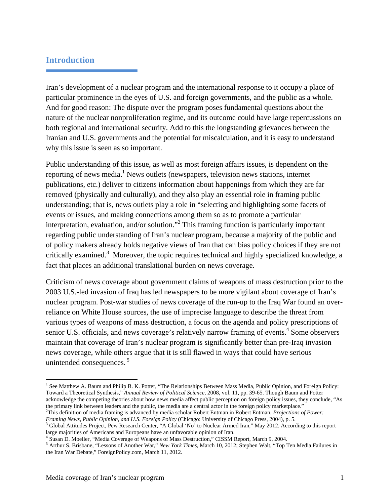#### **Introduction**

Iran's development of a nuclear program and the international response to it occupy a place of particular prominence in the eyes of U.S. and foreign governments, and the public as a whole. And for good reason: The dispute over the program poses fundamental questions about the nature of the nuclear nonproliferation regime, and its outcome could have large repercussions on both regional and international security. Add to this the longstanding grievances between the Iranian and U.S. governments and the potential for miscalculation, and it is easy to understand why this issue is seen as so important.

Public understanding of this issue, as well as most foreign affairs issues, is dependent on the reporting of news media.<sup>1</sup> News outlets (newspapers, television news stations, internet publications, etc.) deliver to citizens information about happenings from which they are far removed (physically and culturally), and they also play an essential role in framing public understanding; that is, news outlets play a role in "selecting and highlighting some facets of events or issues, and making connections among them so as to promote a particular interpretation, evaluation, and/or solution."<sup>2</sup> This framing function is particularly important regarding public understanding of Iran's nuclear program, because a majority of the public and of policy makers already holds negative views of Iran that can bias policy choices if they are not critically examined.<sup>3</sup> Moreover, the topic requires technical and highly specialized knowledge, a fact that places an additional translational burden on news coverage.

Criticism of news coverage about government claims of weapons of mass destruction prior to the 2003 U.S.-led invasion of Iraq has led newspapers to be more vigilant about coverage of Iran's nuclear program. Post-war studies of news coverage of the run-up to the Iraq War found an overreliance on White House sources, the use of imprecise language to describe the threat from various types of weapons of mass destruction, a focus on the agenda and policy prescriptions of senior U.S. officials, and news coverage's relatively narrow framing of events. $4$  Some observers maintain that coverage of Iran's nuclear program is significantly better than pre-Iraq invasion news coverage, while others argue that it is still flawed in ways that could have serious unintended consequences.<sup>5</sup>

<sup>&</sup>lt;sup>1</sup> See Matthew A. Baum and Philip B. K. Potter, "The Relationships Between Mass Media, Public Opinion, and Foreign Policy: Toward a Theoretical Synthesis," *Annual Review of Political Science*, 2008, vol. 11, pp. 39-65. Though Baum and Potter acknowledge the competing theories about how news media affect public perception on foreign policy issues, they conclude, "As the primary link between leaders and the public, the media are a central actor in the foreign policy marketplace."

<sup>2</sup> This definition of media framing is advanced by media scholar Robert Entman in Robert Entman, *Projections of Power: Framing News, Public Opinion, and U.S. Foreign Policy* (Chicago: University of Chicago Press, 2004), p. 5.

<sup>&</sup>lt;sup>3</sup> Global Attitudes Project, Pew Research Center, "A Global 'No' to Nuclear Armed Iran," May 2012. According to this report large majorities of Americans and Europeans have an unfavorable opinion of Iran.

<sup>&</sup>lt;sup>4</sup> Susan D. Moeller, "Media Coverage of Weapons of Mass Destruction," CISSM Report, March 9, 2004.

Arthur S. Brisbane, "Lessons of Another War," *New York Times*, March 10, 2012; Stephen Walt, "Top Ten Media Failures in the Iran War Debate," ForeignPolicy.com, March 11, 2012.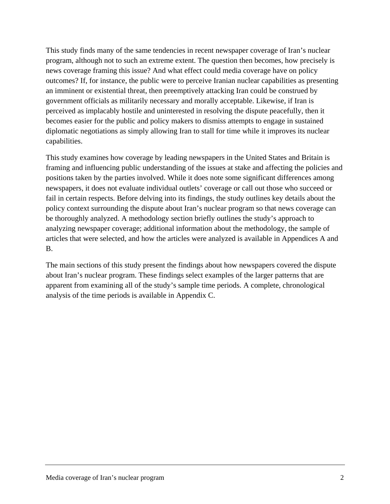This study finds many of the same tendencies in recent newspaper coverage of Iran's nuclear program, although not to such an extreme extent. The question then becomes, how precisely is news coverage framing this issue? And what effect could media coverage have on policy outcomes? If, for instance, the public were to perceive Iranian nuclear capabilities as presenting an imminent or existential threat, then preemptively attacking Iran could be construed by government officials as militarily necessary and morally acceptable. Likewise, if Iran is perceived as implacably hostile and uninterested in resolving the dispute peacefully, then it becomes easier for the public and policy makers to dismiss attempts to engage in sustained diplomatic negotiations as simply allowing Iran to stall for time while it improves its nuclear capabilities.

This study examines how coverage by leading newspapers in the United States and Britain is framing and influencing public understanding of the issues at stake and affecting the policies and positions taken by the parties involved. While it does note some significant differences among newspapers, it does not evaluate individual outlets' coverage or call out those who succeed or fail in certain respects. Before delving into its findings, the study outlines key details about the policy context surrounding the dispute about Iran's nuclear program so that news coverage can be thoroughly analyzed. A methodology section briefly outlines the study's approach to analyzing newspaper coverage; additional information about the methodology, the sample of articles that were selected, and how the articles were analyzed is available in Appendices A and B.

The main sections of this study present the findings about how newspapers covered the dispute about Iran's nuclear program. These findings select examples of the larger patterns that are apparent from examining all of the study's sample time periods. A complete, chronological analysis of the time periods is available in Appendix C.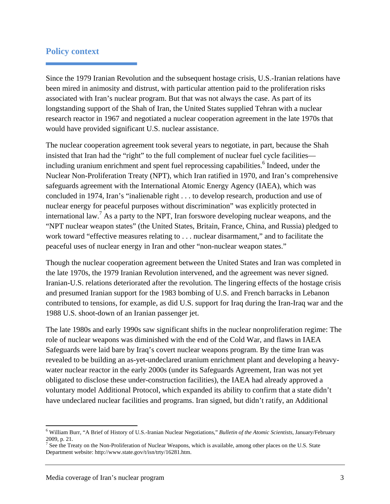#### **Policy context**

Since the 1979 Iranian Revolution and the subsequent hostage crisis, U.S.-Iranian relations have been mired in animosity and distrust, with particular attention paid to the proliferation risks associated with Iran's nuclear program. But that was not always the case. As part of its longstanding support of the Shah of Iran, the United States supplied Tehran with a nuclear research reactor in 1967 and negotiated a nuclear cooperation agreement in the late 1970s that would have provided significant U.S. nuclear assistance.

The nuclear cooperation agreement took several years to negotiate, in part, because the Shah insisted that Iran had the "right" to the full complement of nuclear fuel cycle facilities including uranium enrichment and spent fuel reprocessing capabilities.<sup>6</sup> Indeed, under the Nuclear Non-Proliferation Treaty (NPT), which Iran ratified in 1970, and Iran's comprehensive safeguards agreement with the International Atomic Energy Agency (IAEA), which was concluded in 1974, Iran's "inalienable right . . . to develop research, production and use of nuclear energy for peaceful purposes without discrimination" was explicitly protected in international law.<sup>7</sup> As a party to the NPT, Iran forswore developing nuclear weapons, and the "NPT nuclear weapon states" (the United States, Britain, France, China, and Russia) pledged to work toward "effective measures relating to . . . nuclear disarmament," and to facilitate the peaceful uses of nuclear energy in Iran and other "non-nuclear weapon states."

Though the nuclear cooperation agreement between the United States and Iran was completed in the late 1970s, the 1979 Iranian Revolution intervened, and the agreement was never signed. Iranian-U.S. relations deteriorated after the revolution. The lingering effects of the hostage crisis and presumed Iranian support for the 1983 bombing of U.S. and French barracks in Lebanon contributed to tensions, for example, as did U.S. support for Iraq during the Iran-Iraq war and the 1988 U.S. shoot-down of an Iranian passenger jet.

The late 1980s and early 1990s saw significant shifts in the nuclear nonproliferation regime: The role of nuclear weapons was diminished with the end of the Cold War, and flaws in IAEA Safeguards were laid bare by Iraq's covert nuclear weapons program. By the time Iran was revealed to be building an as-yet-undeclared uranium enrichment plant and developing a heavywater nuclear reactor in the early 2000s (under its Safeguards Agreement, Iran was not yet obligated to disclose these under-construction facilities), the IAEA had already approved a voluntary model Additional Protocol, which expanded its ability to confirm that a state didn't have undeclared nuclear facilities and programs. Iran signed, but didn't ratify, an Additional

<sup>6</sup> William Burr, "A Brief of History of U.S.-Iranian Nuclear Negotiations," *Bulletin of the Atomic Scientists*, January/February 2009, p. 21.

<sup>&</sup>lt;sup>7</sup> See the Treaty on the Non-Proliferation of Nuclear Weapons, which is available, among other places on the U.S. State Department website: http://www.state.gov/t/isn/trty/16281.htm.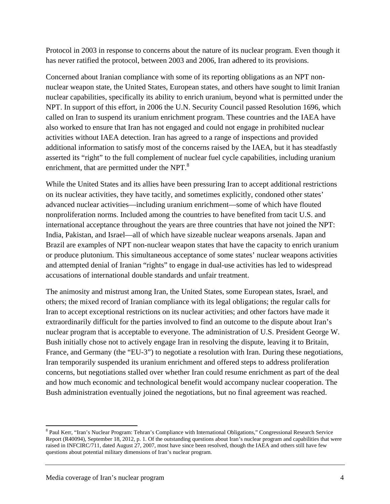Protocol in 2003 in response to concerns about the nature of its nuclear program. Even though it has never ratified the protocol, between 2003 and 2006, Iran adhered to its provisions.

Concerned about Iranian compliance with some of its reporting obligations as an NPT nonnuclear weapon state, the United States, European states, and others have sought to limit Iranian nuclear capabilities, specifically its ability to enrich uranium, beyond what is permitted under the NPT. In support of this effort, in 2006 the U.N. Security Council passed Resolution 1696, which called on Iran to suspend its uranium enrichment program. These countries and the IAEA have also worked to ensure that Iran has not engaged and could not engage in prohibited nuclear activities without IAEA detection. Iran has agreed to a range of inspections and provided additional information to satisfy most of the concerns raised by the IAEA, but it has steadfastly asserted its "right" to the full complement of nuclear fuel cycle capabilities, including uranium enrichment, that are permitted under the NPT.<sup>8</sup>

While the United States and its allies have been pressuring Iran to accept additional restrictions on its nuclear activities, they have tacitly, and sometimes explicitly, condoned other states' advanced nuclear activities—including uranium enrichment—some of which have flouted nonproliferation norms. Included among the countries to have benefited from tacit U.S. and international acceptance throughout the years are three countries that have not joined the NPT: India, Pakistan, and Israel—all of which have sizeable nuclear weapons arsenals. Japan and Brazil are examples of NPT non-nuclear weapon states that have the capacity to enrich uranium or produce plutonium. This simultaneous acceptance of some states' nuclear weapons activities and attempted denial of Iranian "rights" to engage in dual-use activities has led to widespread accusations of international double standards and unfair treatment.

The animosity and mistrust among Iran, the United States, some European states, Israel, and others; the mixed record of Iranian compliance with its legal obligations; the regular calls for Iran to accept exceptional restrictions on its nuclear activities; and other factors have made it extraordinarily difficult for the parties involved to find an outcome to the dispute about Iran's nuclear program that is acceptable to everyone. The administration of U.S. President George W. Bush initially chose not to actively engage Iran in resolving the dispute, leaving it to Britain, France, and Germany (the "EU-3") to negotiate a resolution with Iran. During these negotiations, Iran temporarily suspended its uranium enrichment and offered steps to address proliferation concerns, but negotiations stalled over whether Iran could resume enrichment as part of the deal and how much economic and technological benefit would accompany nuclear cooperation. The Bush administration eventually joined the negotiations, but no final agreement was reached.

<sup>&</sup>lt;sup>8</sup> Paul Kerr, "Iran's Nuclear Program: Tehran's Compliance with International Obligations," Congressional Research Service Report (R40094), September 18, 2012, p. 1. Of the outstanding questions about Iran's nuclear program and capabilities that were raised in INFCIRC/711, dated August 27, 2007, most have since been resolved, though the IAEA and others still have few questions about potential military dimensions of Iran's nuclear program.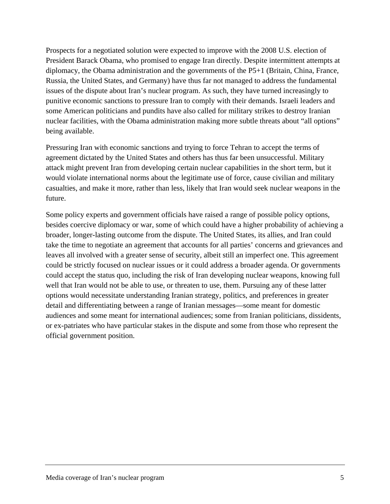Prospects for a negotiated solution were expected to improve with the 2008 U.S. election of President Barack Obama, who promised to engage Iran directly. Despite intermittent attempts at diplomacy, the Obama administration and the governments of the P5+1 (Britain, China, France, Russia, the United States, and Germany) have thus far not managed to address the fundamental issues of the dispute about Iran's nuclear program. As such, they have turned increasingly to punitive economic sanctions to pressure Iran to comply with their demands. Israeli leaders and some American politicians and pundits have also called for military strikes to destroy Iranian nuclear facilities, with the Obama administration making more subtle threats about "all options" being available.

Pressuring Iran with economic sanctions and trying to force Tehran to accept the terms of agreement dictated by the United States and others has thus far been unsuccessful. Military attack might prevent Iran from developing certain nuclear capabilities in the short term, but it would violate international norms about the legitimate use of force, cause civilian and military casualties, and make it more, rather than less, likely that Iran would seek nuclear weapons in the future.

Some policy experts and government officials have raised a range of possible policy options, besides coercive diplomacy or war, some of which could have a higher probability of achieving a broader, longer-lasting outcome from the dispute. The United States, its allies, and Iran could take the time to negotiate an agreement that accounts for all parties' concerns and grievances and leaves all involved with a greater sense of security, albeit still an imperfect one. This agreement could be strictly focused on nuclear issues or it could address a broader agenda. Or governments could accept the status quo, including the risk of Iran developing nuclear weapons, knowing full well that Iran would not be able to use, or threaten to use, them. Pursuing any of these latter options would necessitate understanding Iranian strategy, politics, and preferences in greater detail and differentiating between a range of Iranian messages—some meant for domestic audiences and some meant for international audiences; some from Iranian politicians, dissidents, or ex-patriates who have particular stakes in the dispute and some from those who represent the official government position.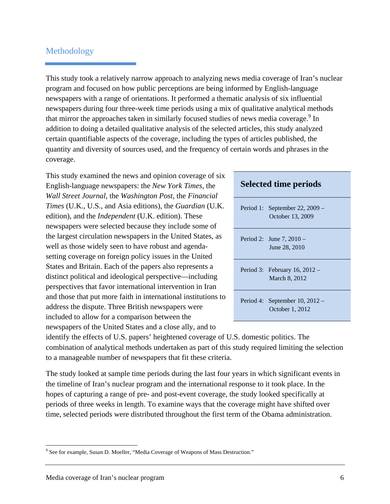#### Methodology

This study took a relatively narrow approach to analyzing news media coverage of Iran's nuclear program and focused on how public perceptions are being informed by English-language newspapers with a range of orientations. It performed a thematic analysis of six influential newspapers during four three-week time periods using a mix of qualitative analytical methods that mirror the approaches taken in similarly focused studies of news media coverage. $9$  In addition to doing a detailed qualitative analysis of the selected articles, this study analyzed certain quantifiable aspects of the coverage, including the types of articles published, the quantity and diversity of sources used, and the frequency of certain words and phrases in the coverage.

This study examined the news and opinion coverage of six English-language newspapers: the *New York Times*, the *Wall Street Journal*, the *Washington Post*, the *Financial Times* (U.K., U.S., and Asia editions), the *Guardian* (U.K. edition), and the *Independent* (U.K. edition). These newspapers were selected because they include some of the largest circulation newspapers in the United States, as well as those widely seen to have robust and agendasetting coverage on foreign policy issues in the United States and Britain. Each of the papers also represents a distinct political and ideological perspective—including perspectives that favor international intervention in Iran and those that put more faith in international institutions to address the dispute. Three British newspapers were included to allow for a comparison between the newspapers of the United States and a close ally, and to

#### **Selected time periods**

- Period 1: September 22, 2009 October 13, 2009
- Period 2: June 7, 2010 June 28, 2010
- Period 3: February 16, 2012 March 8, 2012

Period 4: September 10, 2012 – October 1, 2012

identify the effects of U.S. papers' heightened coverage of U.S. domestic politics. The combination of analytical methods undertaken as part of this study required limiting the selection to a manageable number of newspapers that fit these criteria.

The study looked at sample time periods during the last four years in which significant events in the timeline of Iran's nuclear program and the international response to it took place. In the hopes of capturing a range of pre- and post-event coverage, the study looked specifically at periods of three weeks in length. To examine ways that the coverage might have shifted over time, selected periods were distributed throughout the first term of the Obama administration.

<sup>&</sup>lt;sup>9</sup> See for example, Susan D. Moeller, "Media Coverage of Weapons of Mass Destruction."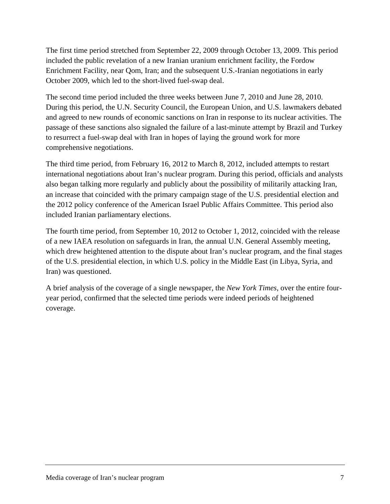The first time period stretched from September 22, 2009 through October 13, 2009. This period included the public revelation of a new Iranian uranium enrichment facility, the Fordow Enrichment Facility, near Qom, Iran; and the subsequent U.S.-Iranian negotiations in early October 2009, which led to the short-lived fuel-swap deal.

The second time period included the three weeks between June 7, 2010 and June 28, 2010. During this period, the U.N. Security Council, the European Union, and U.S. lawmakers debated and agreed to new rounds of economic sanctions on Iran in response to its nuclear activities. The passage of these sanctions also signaled the failure of a last-minute attempt by Brazil and Turkey to resurrect a fuel-swap deal with Iran in hopes of laying the ground work for more comprehensive negotiations.

The third time period, from February 16, 2012 to March 8, 2012, included attempts to restart international negotiations about Iran's nuclear program. During this period, officials and analysts also began talking more regularly and publicly about the possibility of militarily attacking Iran, an increase that coincided with the primary campaign stage of the U.S. presidential election and the 2012 policy conference of the American Israel Public Affairs Committee. This period also included Iranian parliamentary elections.

The fourth time period, from September 10, 2012 to October 1, 2012, coincided with the release of a new IAEA resolution on safeguards in Iran, the annual U.N. General Assembly meeting, which drew heightened attention to the dispute about Iran's nuclear program, and the final stages of the U.S. presidential election, in which U.S. policy in the Middle East (in Libya, Syria, and Iran) was questioned.

A brief analysis of the coverage of a single newspaper, the *New York Times*, over the entire fouryear period, confirmed that the selected time periods were indeed periods of heightened coverage.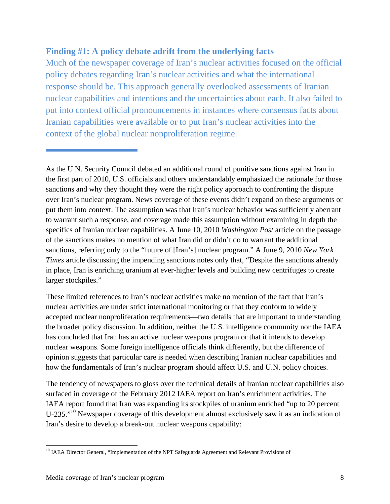#### **Finding #1: A policy debate adrift from the underlying facts**

Much of the newspaper coverage of Iran's nuclear activities focused on the official policy debates regarding Iran's nuclear activities and what the international response should be. This approach generally overlooked assessments of Iranian nuclear capabilities and intentions and the uncertainties about each. It also failed to put into context official pronouncements in instances where consensus facts about Iranian capabilities were available or to put Iran's nuclear activities into the context of the global nuclear nonproliferation regime.

These limited references to Iran's nuclear activities make no mention of the fact that Iran's nuclear activities are under strict international monitoring or that they conform to widely accepted nuclear nonproliferation requirements—two details that are important to understanding the broader policy discussion. In addition, neither the U.S. intelligence community nor the IAEA has concluded that Iran has an active nuclear weapons program or that it intends to develop nuclear weapons. Some foreign intelligence officials think differently, but the difference of opinion suggests that particular care is needed when describing Iranian nuclear capabilities and how the fundamentals of Iran's nuclear program should affect U.S. and U.N. policy choices.

The tendency of newspapers to gloss over the technical details of Iranian nuclear capabilities also surfaced in coverage of the February 2012 IAEA report on Iran's enrichment activities. The IAEA report found that Iran was expanding its stockpiles of uranium enriched "up to 20 percent U-235."<sup>10</sup> Newspaper coverage of this development almost exclusively saw it as an indication of Iran's desire to develop a break-out nuclear weapons capability:

As the U.N. Security Council debated an additional round of punitive sanctions against Iran in the first part of 2010, U.S. officials and others understandably emphasized the rationale for those sanctions and why they thought they were the right policy approach to confronting the dispute over Iran's nuclear program. News coverage of these events didn't expand on these arguments or put them into context. The assumption was that Iran's nuclear behavior was sufficiently aberrant to warrant such a response, and coverage made this assumption without examining in depth the specifics of Iranian nuclear capabilities. A June 10, 2010 *Washington Post* article on the passage of the sanctions makes no mention of what Iran did or didn't do to warrant the additional sanctions, referring only to the "future of [Iran's] nuclear program." A June 9, 2010 *New York Times* article discussing the impending sanctions notes only that, "Despite the sanctions already in place, Iran is enriching uranium at ever-higher levels and building new centrifuges to create larger stockpiles."

 <sup>10</sup> IAEA Director General, "Implementation of the NPT Safeguards Agreement and Relevant Provisions of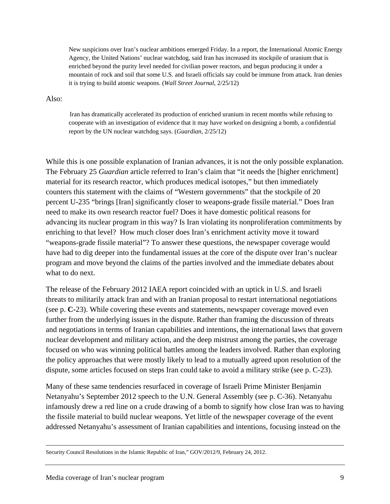New suspicions over Iran's nuclear ambitions emerged Friday. In a report, the International Atomic Energy Agency, the United Nations' nuclear watchdog, said Iran has increased its stockpile of uranium that is enriched beyond the purity level needed for civilian power reactors, and begun producing it under a mountain of rock and soil that some U.S. and Israeli officials say could be immune from attack. Iran denies it is trying to build atomic weapons. (*Wall Street Journal*, 2/25/12)

Also:

Iran has dramatically accelerated its production of enriched uranium in recent months while refusing to cooperate with an investigation of evidence that it may have worked on designing a bomb, a confidential report by the UN nuclear watchdog says. (*Guardian*, 2/25/12)

While this is one possible explanation of Iranian advances, it is not the only possible explanation. The February 25 *Guardian* article referred to Iran's claim that "it needs the [higher enrichment] material for its research reactor, which produces medical isotopes," but then immediately counters this statement with the claims of "Western governments" that the stockpile of 20 percent U-235 "brings [Iran] significantly closer to weapons-grade fissile material." Does Iran need to make its own research reactor fuel? Does it have domestic political reasons for advancing its nuclear program in this way? Is Iran violating its nonproliferation commitments by enriching to that level? How much closer does Iran's enrichment activity move it toward "weapons-grade fissile material"? To answer these questions, the newspaper coverage would have had to dig deeper into the fundamental issues at the core of the dispute over Iran's nuclear program and move beyond the claims of the parties involved and the immediate debates about what to do next.

The release of the February 2012 IAEA report coincided with an uptick in U.S. and Israeli threats to militarily attack Iran and with an Iranian proposal to restart international negotiations (see p. **C-**23). While covering these events and statements, newspaper coverage moved even further from the underlying issues in the dispute. Rather than framing the discussion of threats and negotiations in terms of Iranian capabilities and intentions, the international laws that govern nuclear development and military action, and the deep mistrust among the parties, the coverage focused on who was winning political battles among the leaders involved. Rather than exploring the policy approaches that were mostly likely to lead to a mutually agreed upon resolution of the dispute, some articles focused on steps Iran could take to avoid a military strike (see p. C-23).

Many of these same tendencies resurfaced in coverage of Israeli Prime Minister Benjamin Netanyahu's September 2012 speech to the U.N. General Assembly (see p. C-36). Netanyahu infamously drew a red line on a crude drawing of a bomb to signify how close Iran was to having the fissile material to build nuclear weapons. Yet little of the newspaper coverage of the event addressed Netanyahu's assessment of Iranian capabilities and intentions, focusing instead on the

<u> 1989 - Johann Stein, marwolaethau a gweledydd a ganlad y ganlad y ganlad y ganlad y ganlad y ganlad y ganlad</u> Security Council Resolutions in the Islamic Republic of Iran," GOV/2012/9, February 24, 2012.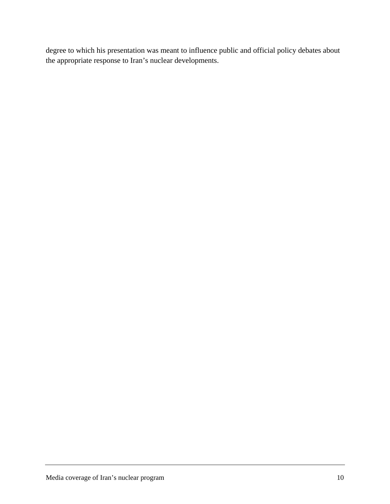degree to which his presentation was meant to influence public and official policy debates about the appropriate response to Iran's nuclear developments.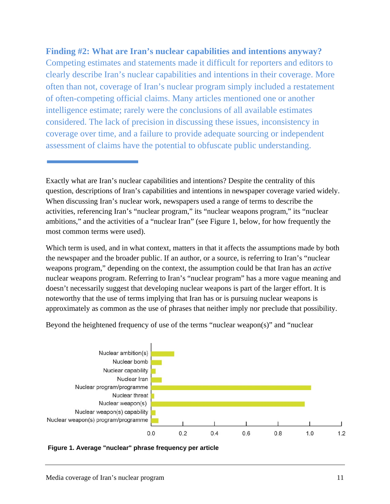**Finding #2: What are Iran's nuclear capabilities and intentions anyway?**  Competing estimates and statements made it difficult for reporters and editors to clearly describe Iran's nuclear capabilities and intentions in their coverage. More often than not, coverage of Iran's nuclear program simply included a restatement of often-competing official claims. Many articles mentioned one or another intelligence estimate; rarely were the conclusions of all available estimates considered. The lack of precision in discussing these issues, inconsistency in coverage over time, and a failure to provide adequate sourcing or independent assessment of claims have the potential to obfuscate public understanding.

Which term is used, and in what context, matters in that it affects the assumptions made by both the newspaper and the broader public. If an author, or a source, is referring to Iran's "nuclear weapons program," depending on the context, the assumption could be that Iran has an *active*  nuclear weapons program. Referring to Iran's "nuclear program" has a more vague meaning and doesn't necessarily suggest that developing nuclear weapons is part of the larger effort. It is noteworthy that the use of terms implying that Iran has or is pursuing nuclear weapons is approximately as common as the use of phrases that neither imply nor preclude that possibility.







Exactly what are Iran's nuclear capabilities and intentions? Despite the centrality of this question, descriptions of Iran's capabilities and intentions in newspaper coverage varied widely. When discussing Iran's nuclear work, newspapers used a range of terms to describe the activities, referencing Iran's "nuclear program," its "nuclear weapons program," its "nuclear ambitions," and the activities of a "nuclear Iran" (see Figure 1, below, for how frequently the most common terms were used).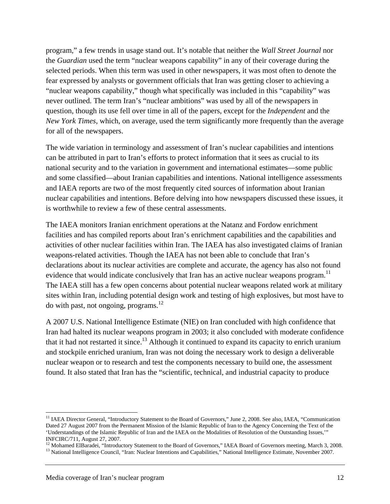program," a few trends in usage stand out. It's notable that neither the *Wall Street Journal* nor the *Guardian* used the term "nuclear weapons capability" in any of their coverage during the selected periods. When this term was used in other newspapers, it was most often to denote the fear expressed by analysts or government officials that Iran was getting closer to achieving a "nuclear weapons capability," though what specifically was included in this "capability" was never outlined. The term Iran's "nuclear ambitions" was used by all of the newspapers in question, though its use fell over time in all of the papers, except for the *Independent* and the *New York Times*, which, on average, used the term significantly more frequently than the average for all of the newspapers.

The wide variation in terminology and assessment of Iran's nuclear capabilities and intentions can be attributed in part to Iran's efforts to protect information that it sees as crucial to its national security and to the variation in government and international estimates—some public and some classified—about Iranian capabilities and intentions. National intelligence assessments and IAEA reports are two of the most frequently cited sources of information about Iranian nuclear capabilities and intentions. Before delving into how newspapers discussed these issues, it is worthwhile to review a few of these central assessments.

The IAEA monitors Iranian enrichment operations at the Natanz and Fordow enrichment facilities and has compiled reports about Iran's enrichment capabilities and the capabilities and activities of other nuclear facilities within Iran. The IAEA has also investigated claims of Iranian weapons-related activities. Though the IAEA has not been able to conclude that Iran's declarations about its nuclear activities are complete and accurate, the agency has also not found evidence that would indicate conclusively that Iran has an active nuclear weapons program.<sup>11</sup> The IAEA still has a few open concerns about potential nuclear weapons related work at military sites within Iran, including potential design work and testing of high explosives, but most have to do with past, not ongoing, programs.<sup>12</sup>

A 2007 U.S. National Intelligence Estimate (NIE) on Iran concluded with high confidence that Iran had halted its nuclear weapons program in 2003; it also concluded with moderate confidence that it had not restarted it since.<sup>13</sup> Although it continued to expand its capacity to enrich uranium and stockpile enriched uranium, Iran was not doing the necessary work to design a deliverable nuclear weapon or to research and test the components necessary to build one, the assessment found. It also stated that Iran has the "scientific, technical, and industrial capacity to produce

 <sup>11</sup> IAEA Director General, "Introductory Statement to the Board of Governors," June 2, 2008. See also, IAEA, "Communication Dated 27 August 2007 from the Permanent Mission of the Islamic Republic of Iran to the Agency Concerning the Text of the 'Understandings of the Islamic Republic of Iran and the IAEA on the Modalities of Resolution of the Outstanding Issues,'" INFCIRC/711, August 27, 2007.

<sup>&</sup>lt;sup>12</sup> Mohamed ElBaradei, "Introductory Statement to the Board of Governors," IAEA Board of Governors meeting, March 3, 2008.<br><sup>13</sup> National Intelligence Council, "Iran: Nuclear Intentions and Capabilities," National Intellig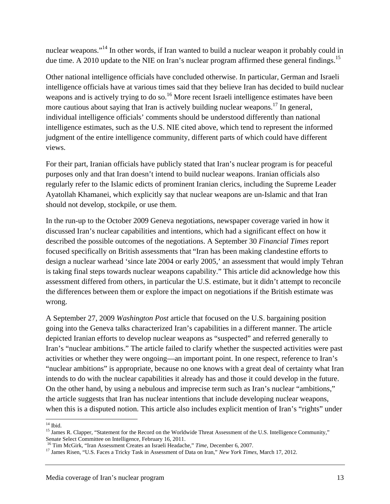nuclear weapons."<sup>14</sup> In other words, if Iran wanted to build a nuclear weapon it probably could in due time. A 2010 update to the NIE on Iran's nuclear program affirmed these general findings.<sup>15</sup>

Other national intelligence officials have concluded otherwise. In particular, German and Israeli intelligence officials have at various times said that they believe Iran has decided to build nuclear weapons and is actively trying to do so.<sup>16</sup> More recent Israeli intelligence estimates have been more cautious about saying that Iran is actively building nuclear weapons.<sup>17</sup> In general, individual intelligence officials' comments should be understood differently than national intelligence estimates, such as the U.S. NIE cited above, which tend to represent the informed judgment of the entire intelligence community, different parts of which could have different views.

For their part, Iranian officials have publicly stated that Iran's nuclear program is for peaceful purposes only and that Iran doesn't intend to build nuclear weapons. Iranian officials also regularly refer to the Islamic edicts of prominent Iranian clerics, including the Supreme Leader Ayatollah Khamanei, which explicitly say that nuclear weapons are un-Islamic and that Iran should not develop, stockpile, or use them.

In the run-up to the October 2009 Geneva negotiations, newspaper coverage varied in how it discussed Iran's nuclear capabilities and intentions, which had a significant effect on how it described the possible outcomes of the negotiations. A September 30 *Financial Times* report focused specifically on British assessments that "Iran has been making clandestine efforts to design a nuclear warhead 'since late 2004 or early 2005,' an assessment that would imply Tehran is taking final steps towards nuclear weapons capability." This article did acknowledge how this assessment differed from others, in particular the U.S. estimate, but it didn't attempt to reconcile the differences between them or explore the impact on negotiations if the British estimate was wrong.

A September 27, 2009 *Washington Post* article that focused on the U.S. bargaining position going into the Geneva talks characterized Iran's capabilities in a different manner. The article depicted Iranian efforts to develop nuclear weapons as "suspected" and referred generally to Iran's "nuclear ambitions." The article failed to clarify whether the suspected activities were past activities or whether they were ongoing—an important point. In one respect, reference to Iran's "nuclear ambitions" is appropriate, because no one knows with a great deal of certainty what Iran intends to do with the nuclear capabilities it already has and those it could develop in the future. On the other hand, by using a nebulous and imprecise term such as Iran's nuclear "ambitions," the article suggests that Iran has nuclear intentions that include developing nuclear weapons, when this is a disputed notion. This article also includes explicit mention of Iran's "rights" under

  $14$  Ibid.

<sup>&</sup>lt;sup>15</sup> James R. Clapper, "Statement for the Record on the Worldwide Threat Assessment of the U.S. Intelligence Community,"<br>Senate Select Committee on Intelligence, February 16, 2011.

<sup>&</sup>lt;sup>16</sup> Tim McGirk, "Iran Assessment Creates an Israeli Headache," *Time*, December 6, 2007.<br><sup>17</sup> James Risen, "U.S. Faces a Tricky Task in Assessment of Data on Iran," *New York Times*, March 17, 2012.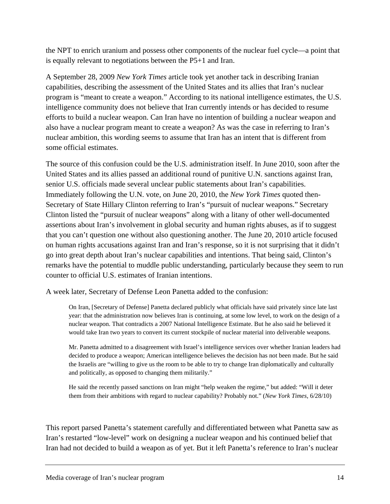the NPT to enrich uranium and possess other components of the nuclear fuel cycle—a point that is equally relevant to negotiations between the P5+1 and Iran.

A September 28, 2009 *New York Times* article took yet another tack in describing Iranian capabilities, describing the assessment of the United States and its allies that Iran's nuclear program is "meant to create a weapon." According to its national intelligence estimates, the U.S. intelligence community does not believe that Iran currently intends or has decided to resume efforts to build a nuclear weapon. Can Iran have no intention of building a nuclear weapon and also have a nuclear program meant to create a weapon? As was the case in referring to Iran's nuclear ambition, this wording seems to assume that Iran has an intent that is different from some official estimates.

The source of this confusion could be the U.S. administration itself. In June 2010, soon after the United States and its allies passed an additional round of punitive U.N. sanctions against Iran, senior U.S. officials made several unclear public statements about Iran's capabilities. Immediately following the U.N. vote, on June 20, 2010, the *New York Times* quoted then-Secretary of State Hillary Clinton referring to Iran's "pursuit of nuclear weapons." Secretary Clinton listed the "pursuit of nuclear weapons" along with a litany of other well-documented assertions about Iran's involvement in global security and human rights abuses, as if to suggest that you can't question one without also questioning another. The June 20, 2010 article focused on human rights accusations against Iran and Iran's response, so it is not surprising that it didn't go into great depth about Iran's nuclear capabilities and intentions. That being said, Clinton's remarks have the potential to muddle public understanding, particularly because they seem to run counter to official U.S. estimates of Iranian intentions.

A week later, Secretary of Defense Leon Panetta added to the confusion:

On Iran, [Secretary of Defense] Panetta declared publicly what officials have said privately since late last year: that the administration now believes Iran is continuing, at some low level, to work on the design of a nuclear weapon. That contradicts a 2007 National Intelligence Estimate. But he also said he believed it would take Iran two years to convert its current stockpile of nuclear material into deliverable weapons.

Mr. Panetta admitted to a disagreement with Israel's intelligence services over whether Iranian leaders had decided to produce a weapon; American intelligence believes the decision has not been made. But he said the Israelis are "willing to give us the room to be able to try to change Iran diplomatically and culturally and politically, as opposed to changing them militarily."

He said the recently passed sanctions on Iran might "help weaken the regime," but added: "Will it deter them from their ambitions with regard to nuclear capability? Probably not." (*New York Times*, 6/28/10)

This report parsed Panetta's statement carefully and differentiated between what Panetta saw as Iran's restarted "low-level" work on designing a nuclear weapon and his continued belief that Iran had not decided to build a weapon as of yet. But it left Panetta's reference to Iran's nuclear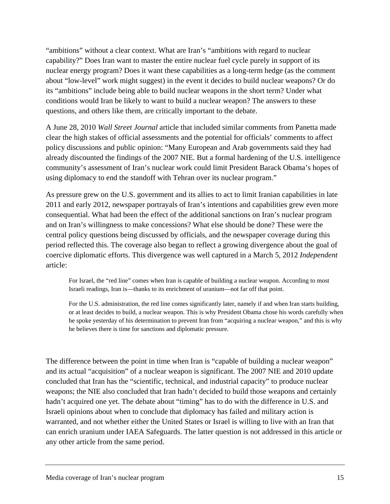"ambitions" without a clear context. What are Iran's "ambitions with regard to nuclear capability?" Does Iran want to master the entire nuclear fuel cycle purely in support of its nuclear energy program? Does it want these capabilities as a long-term hedge (as the comment about "low-level" work might suggest) in the event it decides to build nuclear weapons? Or do its "ambitions" include being able to build nuclear weapons in the short term? Under what conditions would Iran be likely to want to build a nuclear weapon? The answers to these questions, and others like them, are critically important to the debate.

A June 28, 2010 *Wall Street Journal* article that included similar comments from Panetta made clear the high stakes of official assessments and the potential for officials' comments to affect policy discussions and public opinion: "Many European and Arab governments said they had already discounted the findings of the 2007 NIE. But a formal hardening of the U.S. intelligence community's assessment of Iran's nuclear work could limit President Barack Obama's hopes of using diplomacy to end the standoff with Tehran over its nuclear program."

As pressure grew on the U.S. government and its allies to act to limit Iranian capabilities in late 2011 and early 2012, newspaper portrayals of Iran's intentions and capabilities grew even more consequential. What had been the effect of the additional sanctions on Iran's nuclear program and on Iran's willingness to make concessions? What else should be done? These were the central policy questions being discussed by officials, and the newspaper coverage during this period reflected this. The coverage also began to reflect a growing divergence about the goal of coercive diplomatic efforts. This divergence was well captured in a March 5, 2012 *Independent* article:

For Israel, the "red line" comes when Iran is capable of building a nuclear weapon. According to most Israeli readings, Iran is—thanks to its enrichment of uranium—not far off that point.

For the U.S. administration, the red line comes significantly later, namely if and when Iran starts building, or at least decides to build, a nuclear weapon. This is why President Obama chose his words carefully when he spoke yesterday of his determination to prevent Iran from "acquiring a nuclear weapon," and this is why he believes there is time for sanctions and diplomatic pressure.

The difference between the point in time when Iran is "capable of building a nuclear weapon" and its actual "acquisition" of a nuclear weapon is significant. The 2007 NIE and 2010 update concluded that Iran has the "scientific, technical, and industrial capacity" to produce nuclear weapons; the NIE also concluded that Iran hadn't decided to build those weapons and certainly hadn't acquired one yet. The debate about "timing" has to do with the difference in U.S. and Israeli opinions about when to conclude that diplomacy has failed and military action is warranted, and not whether either the United States or Israel is willing to live with an Iran that can enrich uranium under IAEA Safeguards. The latter question is not addressed in this article or any other article from the same period.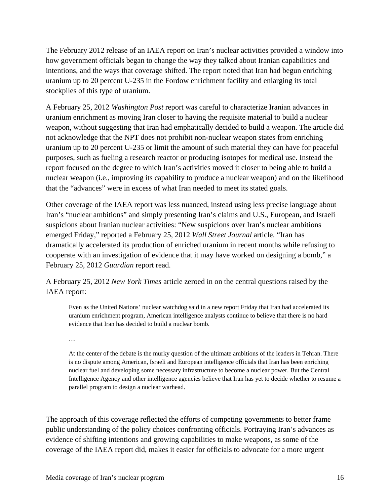The February 2012 release of an IAEA report on Iran's nuclear activities provided a window into how government officials began to change the way they talked about Iranian capabilities and intentions, and the ways that coverage shifted. The report noted that Iran had begun enriching uranium up to 20 percent U-235 in the Fordow enrichment facility and enlarging its total stockpiles of this type of uranium.

A February 25, 2012 *Washington Post* report was careful to characterize Iranian advances in uranium enrichment as moving Iran closer to having the requisite material to build a nuclear weapon, without suggesting that Iran had emphatically decided to build a weapon. The article did not acknowledge that the NPT does not prohibit non-nuclear weapon states from enriching uranium up to 20 percent U-235 or limit the amount of such material they can have for peaceful purposes, such as fueling a research reactor or producing isotopes for medical use. Instead the report focused on the degree to which Iran's activities moved it closer to being able to build a nuclear weapon (i.e., improving its capability to produce a nuclear weapon) and on the likelihood that the "advances" were in excess of what Iran needed to meet its stated goals.

Other coverage of the IAEA report was less nuanced, instead using less precise language about Iran's "nuclear ambitions" and simply presenting Iran's claims and U.S., European, and Israeli suspicions about Iranian nuclear activities: "New suspicions over Iran's nuclear ambitions emerged Friday," reported a February 25, 2012 *Wall Street Journal* article. "Iran has dramatically accelerated its production of enriched uranium in recent months while refusing to cooperate with an investigation of evidence that it may have worked on designing a bomb," a February 25, 2012 *Guardian* report read.

A February 25, 2012 *New York Times* article zeroed in on the central questions raised by the IAEA report:

Even as the United Nations' nuclear watchdog said in a new report Friday that Iran had accelerated its uranium enrichment program, American intelligence analysts continue to believe that there is no hard evidence that Iran has decided to build a nuclear bomb.

…

At the center of the debate is the murky question of the ultimate ambitions of the leaders in Tehran. There is no dispute among American, Israeli and European intelligence officials that Iran has been enriching nuclear fuel and developing some necessary infrastructure to become a nuclear power. But the Central Intelligence Agency and other intelligence agencies believe that Iran has yet to decide whether to resume a parallel program to design a nuclear warhead.

The approach of this coverage reflected the efforts of competing governments to better frame public understanding of the policy choices confronting officials. Portraying Iran's advances as evidence of shifting intentions and growing capabilities to make weapons, as some of the coverage of the IAEA report did, makes it easier for officials to advocate for a more urgent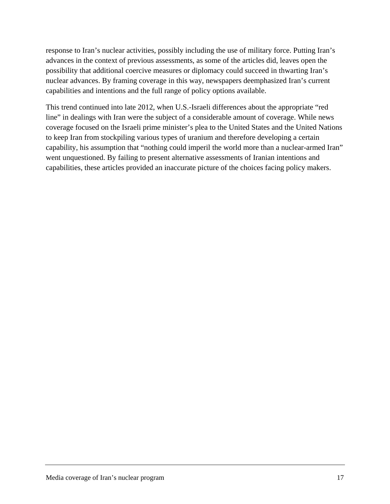response to Iran's nuclear activities, possibly including the use of military force. Putting Iran's advances in the context of previous assessments, as some of the articles did, leaves open the possibility that additional coercive measures or diplomacy could succeed in thwarting Iran's nuclear advances. By framing coverage in this way, newspapers deemphasized Iran's current capabilities and intentions and the full range of policy options available.

This trend continued into late 2012, when U.S.-Israeli differences about the appropriate "red line" in dealings with Iran were the subject of a considerable amount of coverage. While news coverage focused on the Israeli prime minister's plea to the United States and the United Nations to keep Iran from stockpiling various types of uranium and therefore developing a certain capability, his assumption that "nothing could imperil the world more than a nuclear-armed Iran" went unquestioned. By failing to present alternative assessments of Iranian intentions and capabilities, these articles provided an inaccurate picture of the choices facing policy makers.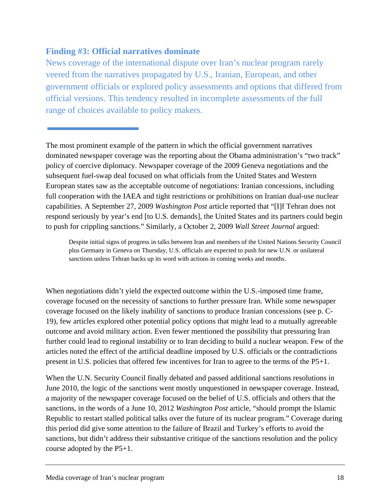#### **Finding #3: Official narratives dominate**

News coverage of the international dispute over Iran's nuclear program rarely veered from the narratives propagated by U.S., Iranian, European, and other government officials or explored policy assessments and options that differed from official versions. This tendency resulted in incomplete assessments of the full range of choices available to policy makers.

The most prominent example of the pattern in which the official government narratives dominated newspaper coverage was the reporting about the Obama administration's "two track" policy of coercive diplomacy. Newspaper coverage of the 2009 Geneva negotiations and the subsequent fuel-swap deal focused on what officials from the United States and Western European states saw as the acceptable outcome of negotiations: Iranian concessions, including full cooperation with the IAEA and tight restrictions or prohibitions on Iranian dual-use nuclear capabilities. A September 27, 2009 *Washington Post* article reported that "[I]f Tehran does not respond seriously by year's end [to U.S. demands], the United States and its partners could begin to push for crippling sanctions." Similarly, a October 2, 2009 *Wall Street Journal* argued:

Despite initial signs of progress in talks between Iran and members of the United Nations Security Council plus Germany in Geneva on Thursday, U.S. officials are expected to push for new U.N. or unilateral sanctions unless Tehran backs up its word with actions in coming weeks and months.

When negotiations didn't yield the expected outcome within the U.S.-imposed time frame, coverage focused on the necessity of sanctions to further pressure Iran. While some newspaper coverage focused on the likely inability of sanctions to produce Iranian concessions (see p. C-19), few articles explored other potential policy options that might lead to a mutually agreeable outcome and avoid military action. Even fewer mentioned the possibility that pressuring Iran further could lead to regional instability or to Iran deciding to build a nuclear weapon. Few of the articles noted the effect of the artificial deadline imposed by U.S. officials or the contradictions present in U.S. policies that offered few incentives for Iran to agree to the terms of the P5+1.

When the U.N. Security Council finally debated and passed additional sanctions resolutions in June 2010, the logic of the sanctions went mostly unquestioned in newspaper coverage. Instead, a majority of the newspaper coverage focused on the belief of U.S. officials and others that the sanctions, in the words of a June 10, 2012 *Washington Post* article, "should prompt the Islamic Republic to restart stalled political talks over the future of its nuclear program." Coverage during this period did give some attention to the failure of Brazil and Turkey's efforts to avoid the sanctions, but didn't address their substantive critique of the sanctions resolution and the policy course adopted by the P5+1.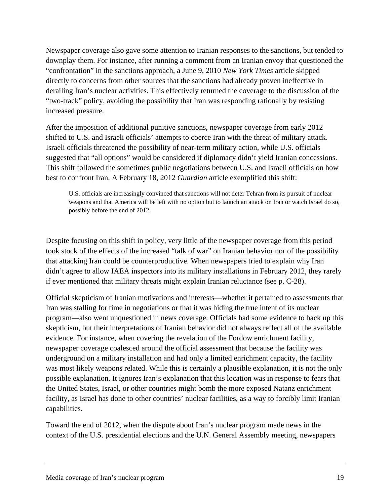Newspaper coverage also gave some attention to Iranian responses to the sanctions, but tended to downplay them. For instance, after running a comment from an Iranian envoy that questioned the "confrontation" in the sanctions approach, a June 9, 2010 *New York Times* article skipped directly to concerns from other sources that the sanctions had already proven ineffective in derailing Iran's nuclear activities. This effectively returned the coverage to the discussion of the "two-track" policy, avoiding the possibility that Iran was responding rationally by resisting increased pressure.

After the imposition of additional punitive sanctions, newspaper coverage from early 2012 shifted to U.S. and Israeli officials' attempts to coerce Iran with the threat of military attack. Israeli officials threatened the possibility of near-term military action, while U.S. officials suggested that "all options" would be considered if diplomacy didn't yield Iranian concessions. This shift followed the sometimes public negotiations between U.S. and Israeli officials on how best to confront Iran. A February 18, 2012 *Guardian* article exemplified this shift:

U.S. officials are increasingly convinced that sanctions will not deter Tehran from its pursuit of nuclear weapons and that America will be left with no option but to launch an attack on Iran or watch Israel do so, possibly before the end of 2012.

Despite focusing on this shift in policy, very little of the newspaper coverage from this period took stock of the effects of the increased "talk of war" on Iranian behavior nor of the possibility that attacking Iran could be counterproductive. When newspapers tried to explain why Iran didn't agree to allow IAEA inspectors into its military installations in February 2012, they rarely if ever mentioned that military threats might explain Iranian reluctance (see p. C-28).

Official skepticism of Iranian motivations and interests—whether it pertained to assessments that Iran was stalling for time in negotiations or that it was hiding the true intent of its nuclear program—also went unquestioned in news coverage. Officials had some evidence to back up this skepticism, but their interpretations of Iranian behavior did not always reflect all of the available evidence. For instance, when covering the revelation of the Fordow enrichment facility, newspaper coverage coalesced around the official assessment that because the facility was underground on a military installation and had only a limited enrichment capacity, the facility was most likely weapons related. While this is certainly a plausible explanation, it is not the only possible explanation. It ignores Iran's explanation that this location was in response to fears that the United States, Israel, or other countries might bomb the more exposed Natanz enrichment facility, as Israel has done to other countries' nuclear facilities, as a way to forcibly limit Iranian capabilities.

Toward the end of 2012, when the dispute about Iran's nuclear program made news in the context of the U.S. presidential elections and the U.N. General Assembly meeting, newspapers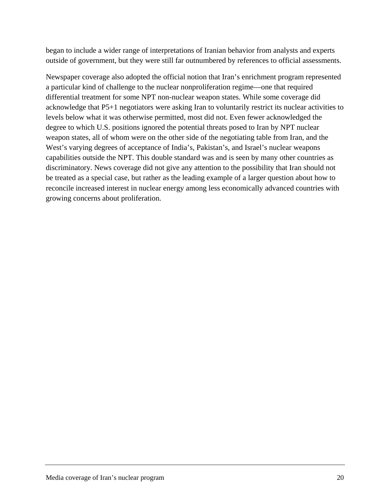began to include a wider range of interpretations of Iranian behavior from analysts and experts outside of government, but they were still far outnumbered by references to official assessments.

Newspaper coverage also adopted the official notion that Iran's enrichment program represented a particular kind of challenge to the nuclear nonproliferation regime—one that required differential treatment for some NPT non-nuclear weapon states. While some coverage did acknowledge that P5+1 negotiators were asking Iran to voluntarily restrict its nuclear activities to levels below what it was otherwise permitted, most did not. Even fewer acknowledged the degree to which U.S. positions ignored the potential threats posed to Iran by NPT nuclear weapon states, all of whom were on the other side of the negotiating table from Iran, and the West's varying degrees of acceptance of India's, Pakistan's, and Israel's nuclear weapons capabilities outside the NPT. This double standard was and is seen by many other countries as discriminatory. News coverage did not give any attention to the possibility that Iran should not be treated as a special case, but rather as the leading example of a larger question about how to reconcile increased interest in nuclear energy among less economically advanced countries with growing concerns about proliferation.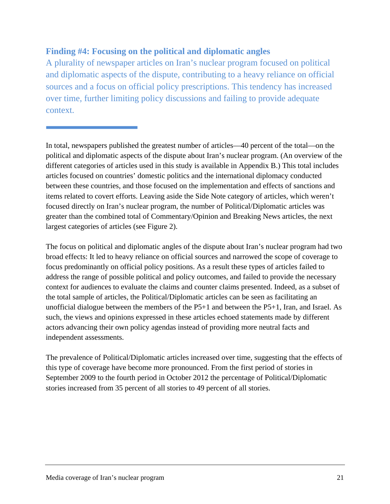#### **Finding #4: Focusing on the political and diplomatic angles**

A plurality of newspaper articles on Iran's nuclear program focused on political and diplomatic aspects of the dispute, contributing to a heavy reliance on official sources and a focus on official policy prescriptions. This tendency has increased over time, further limiting policy discussions and failing to provide adequate context.

In total, newspapers published the greatest number of articles—40 percent of the total—on the political and diplomatic aspects of the dispute about Iran's nuclear program. (An overview of the different categories of articles used in this study is available in Appendix B.) This total includes articles focused on countries' domestic politics and the international diplomacy conducted between these countries, and those focused on the implementation and effects of sanctions and items related to covert efforts. Leaving aside the Side Note category of articles, which weren't focused directly on Iran's nuclear program, the number of Political/Diplomatic articles was greater than the combined total of Commentary/Opinion and Breaking News articles, the next largest categories of articles (see Figure 2).

The focus on political and diplomatic angles of the dispute about Iran's nuclear program had two broad effects: It led to heavy reliance on official sources and narrowed the scope of coverage to focus predominantly on official policy positions. As a result these types of articles failed to address the range of possible political and policy outcomes, and failed to provide the necessary context for audiences to evaluate the claims and counter claims presented. Indeed, as a subset of the total sample of articles, the Political/Diplomatic articles can be seen as facilitating an unofficial dialogue between the members of the P5+1 and between the P5+1, Iran, and Israel. As such, the views and opinions expressed in these articles echoed statements made by different actors advancing their own policy agendas instead of providing more neutral facts and independent assessments.

The prevalence of Political/Diplomatic articles increased over time, suggesting that the effects of this type of coverage have become more pronounced. From the first period of stories in September 2009 to the fourth period in October 2012 the percentage of Political/Diplomatic stories increased from 35 percent of all stories to 49 percent of all stories.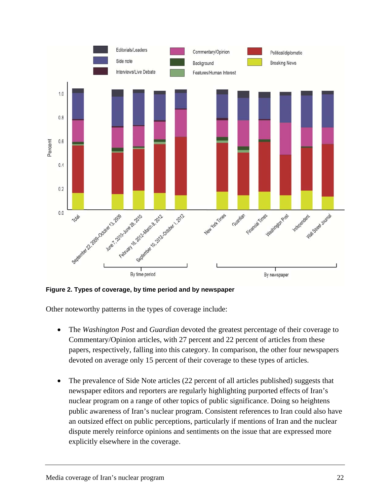

**Figure 2. Types of coverage, by time period and by newspaper** 

Other noteworthy patterns in the types of coverage include:

- The *Washington Post* and *Guardian* devoted the greatest percentage of their coverage to Commentary/Opinion articles, with 27 percent and 22 percent of articles from these papers, respectively, falling into this category. In comparison, the other four newspapers devoted on average only 15 percent of their coverage to these types of articles.
- The prevalence of Side Note articles (22 percent of all articles published) suggests that newspaper editors and reporters are regularly highlighting purported effects of Iran's nuclear program on a range of other topics of public significance. Doing so heightens public awareness of Iran's nuclear program. Consistent references to Iran could also have an outsized effect on public perceptions, particularly if mentions of Iran and the nuclear dispute merely reinforce opinions and sentiments on the issue that are expressed more explicitly elsewhere in the coverage.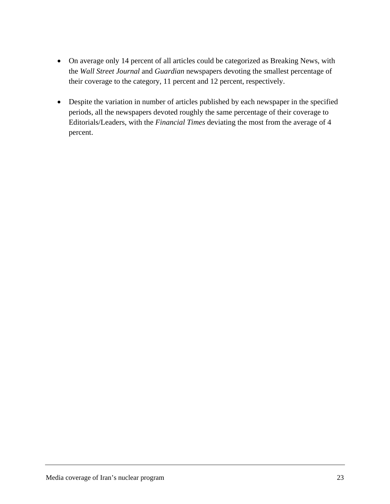- On average only 14 percent of all articles could be categorized as Breaking News, with the *Wall Street Journal* and *Guardian* newspapers devoting the smallest percentage of their coverage to the category, 11 percent and 12 percent, respectively.
- Despite the variation in number of articles published by each newspaper in the specified periods, all the newspapers devoted roughly the same percentage of their coverage to Editorials/Leaders, with the *Financial Times* deviating the most from the average of 4 percent.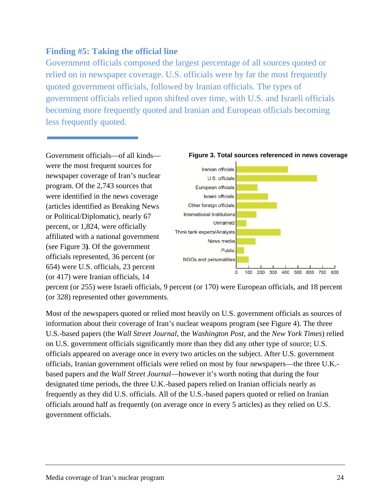#### **Finding #5: Taking the official line**

Government officials composed the largest percentage of all sources quoted or relied on in newspaper coverage. U.S. officials were by far the most frequently quoted government officials, followed by Iranian officials. The types of government officials relied upon shifted over time, with U.S. and Israeli officials becoming more frequently quoted and Iranian and European officials becoming less frequently quoted.

Government officials—of all kinds were the most frequent sources for newspaper coverage of Iran's nuclear program. Of the 2,743 sources that were identified in the news coverage (articles identified as Breaking News or Political/Diplomatic), nearly 67 percent, or 1,824, were officially affiliated with a national government (see Figure 3**)**. Of the government officials represented, 36 percent (or 654) were U.S. officials, 23 percent (or 417) were Iranian officials, 14



percent (or 255) were Israeli officials, 9 percent (or 170) were European officials, and 18 percent (or 328) represented other governments.

Most of the newspapers quoted or relied most heavily on U.S. government officials as sources of information about their coverage of Iran's nuclear weapons program (see Figure 4). The three U.S.-based papers (the *Wall Street Journal*, the *Washington Post*, and the *New York Times*) relied on U.S. government officials significantly more than they did any other type of source; U.S. officials appeared on average once in every two articles on the subject. After U.S. government officials, Iranian government officials were relied on most by four newspapers—the three U.K. based papers and the *Wall Street Journal*—however it's worth noting that during the four designated time periods, the three U.K.-based papers relied on Iranian officials nearly as frequently as they did U.S. officials. All of the U.S.-based papers quoted or relied on Iranian officials around half as frequently (on average once in every 5 articles) as they relied on U.S. government officials.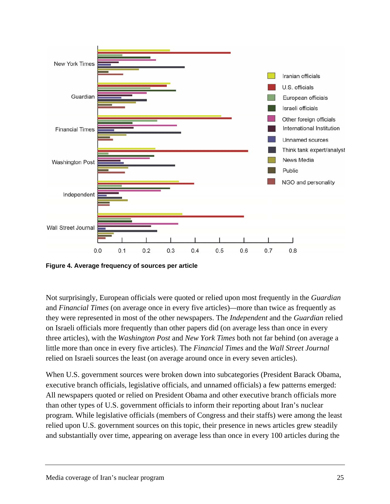

**Figure 4. Average frequency of sources per article** 

Not surprisingly, European officials were quoted or relied upon most frequently in the *Guardian* and *Financial Times* (on average once in every five articles)*—*more than twice as frequently as they were represented in most of the other newspapers. The *Independent* and the *Guardian* relied on Israeli officials more frequently than other papers did (on average less than once in every three articles), with the *Washington Post* and *New York Times* both not far behind (on average a little more than once in every five articles). The *Financial Times* and the *Wall Street Journal* relied on Israeli sources the least (on average around once in every seven articles).

When U.S. government sources were broken down into subcategories (President Barack Obama, executive branch officials, legislative officials, and unnamed officials) a few patterns emerged: All newspapers quoted or relied on President Obama and other executive branch officials more than other types of U.S. government officials to inform their reporting about Iran's nuclear program. While legislative officials (members of Congress and their staffs) were among the least relied upon U.S. government sources on this topic, their presence in news articles grew steadily and substantially over time, appearing on average less than once in every 100 articles during the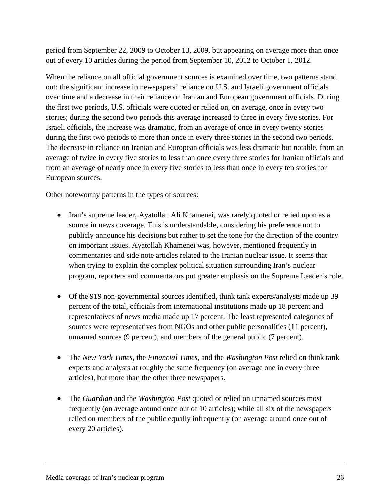period from September 22, 2009 to October 13, 2009, but appearing on average more than once out of every 10 articles during the period from September 10, 2012 to October 1, 2012.

When the reliance on all official government sources is examined over time, two patterns stand out: the significant increase in newspapers' reliance on U.S. and Israeli government officials over time and a decrease in their reliance on Iranian and European government officials. During the first two periods, U.S. officials were quoted or relied on, on average, once in every two stories; during the second two periods this average increased to three in every five stories. For Israeli officials, the increase was dramatic, from an average of once in every twenty stories during the first two periods to more than once in every three stories in the second two periods. The decrease in reliance on Iranian and European officials was less dramatic but notable, from an average of twice in every five stories to less than once every three stories for Iranian officials and from an average of nearly once in every five stories to less than once in every ten stories for European sources.

Other noteworthy patterns in the types of sources:

- Iran's supreme leader, Ayatollah Ali Khamenei, was rarely quoted or relied upon as a source in news coverage. This is understandable, considering his preference not to publicly announce his decisions but rather to set the tone for the direction of the country on important issues. Ayatollah Khamenei was, however, mentioned frequently in commentaries and side note articles related to the Iranian nuclear issue. It seems that when trying to explain the complex political situation surrounding Iran's nuclear program, reporters and commentators put greater emphasis on the Supreme Leader's role.
- Of the 919 non-governmental sources identified, think tank experts/analysts made up 39 percent of the total, officials from international institutions made up 18 percent and representatives of news media made up 17 percent. The least represented categories of sources were representatives from NGOs and other public personalities (11 percent), unnamed sources (9 percent), and members of the general public (7 percent).
- The *New York Times*, the *Financial Times*, and the *Washington Post* relied on think tank experts and analysts at roughly the same frequency (on average one in every three articles), but more than the other three newspapers.
- The *Guardian* and the *Washington Post* quoted or relied on unnamed sources most frequently (on average around once out of 10 articles); while all six of the newspapers relied on members of the public equally infrequently (on average around once out of every 20 articles).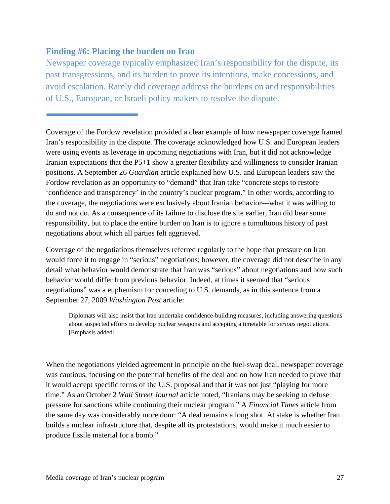#### **Finding #6: Placing the burden on Iran**

Newspaper coverage typically emphasized Iran's responsibility for the dispute, its past transgressions, and its burden to prove its intentions, make concessions, and avoid escalation. Rarely did coverage address the burdens on and responsibilities of U.S., European, or Israeli policy makers to resolve the dispute.

Coverage of the negotiations themselves referred regularly to the hope that pressure on Iran would force it to engage in "serious" negotiations; however, the coverage did not describe in any detail what behavior would demonstrate that Iran was "serious" about negotiations and how such behavior would differ from previous behavior. Indeed, at times it seemed that "serious negotiations" was a euphemism for conceding to U.S. demands, as in this sentence from a September 27, 2009 *Washington Post* article:

Diplomats will also insist that Iran undertake confidence-building measures, including answering questions about suspected efforts to develop nuclear weapons and accepting a timetable for *serious* negotiations. [Emphasis added]

When the negotiations yielded agreement in principle on the fuel-swap deal, newspaper coverage was cautious, focusing on the potential benefits of the deal and on how Iran needed to prove that it would accept specific terms of the U.S. proposal and that it was not just "playing for more time." As an October 2 *Wall Street Journal* article noted, "Iranians may be seeking to defuse pressure for sanctions while continuing their nuclear program." A *Financial Times* article from the same day was considerably more dour: "A deal remains a long shot. At stake is whether Iran builds a nuclear infrastructure that, despite all its protestations, would make it much easier to produce fissile material for a bomb."

Coverage of the Fordow revelation provided a clear example of how newspaper coverage framed Iran's responsibility in the dispute. The coverage acknowledged how U.S. and European leaders were using events as leverage in upcoming negotiations with Iran, but it did not acknowledge Iranian expectations that the P5+1 show a greater flexibility and willingness to consider Iranian positions. A September 26 *Guardian* article explained how U.S. and European leaders saw the Fordow revelation as an opportunity to "demand" that Iran take "concrete steps to restore 'confidence and transparency' in the country's nuclear program." In other words, according to the coverage, the negotiations were exclusively about Iranian behavior—what it was willing to do and not do. As a consequence of its failure to disclose the site earlier, Iran did bear some responsibility, but to place the entire burden on Iran is to ignore a tumultuous history of past negotiations about which all parties felt aggrieved.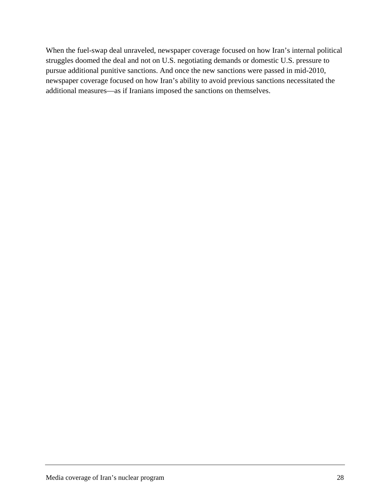When the fuel-swap deal unraveled, newspaper coverage focused on how Iran's internal political struggles doomed the deal and not on U.S. negotiating demands or domestic U.S. pressure to pursue additional punitive sanctions. And once the new sanctions were passed in mid-2010, newspaper coverage focused on how Iran's ability to avoid previous sanctions necessitated the additional measures—as if Iranians imposed the sanctions on themselves.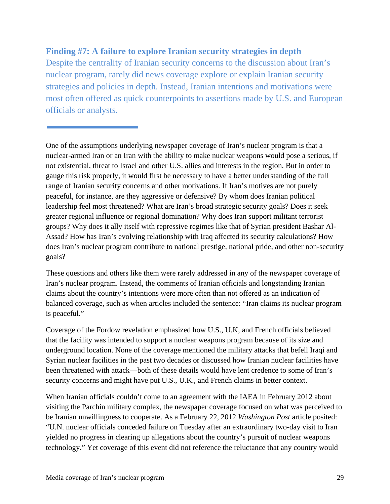#### **Finding #7: A failure to explore Iranian security strategies in depth**

Despite the centrality of Iranian security concerns to the discussion about Iran's nuclear program, rarely did news coverage explore or explain Iranian security strategies and policies in depth. Instead, Iranian intentions and motivations were most often offered as quick counterpoints to assertions made by U.S. and European officials or analysts.

One of the assumptions underlying newspaper coverage of Iran's nuclear program is that a nuclear-armed Iran or an Iran with the ability to make nuclear weapons would pose a serious, if not existential, threat to Israel and other U.S. allies and interests in the region. But in order to gauge this risk properly, it would first be necessary to have a better understanding of the full range of Iranian security concerns and other motivations. If Iran's motives are not purely peaceful, for instance, are they aggressive or defensive? By whom does Iranian political leadership feel most threatened? What are Iran's broad strategic security goals? Does it seek greater regional influence or regional domination? Why does Iran support militant terrorist groups? Why does it ally itself with repressive regimes like that of Syrian president Bashar Al-Assad? How has Iran's evolving relationship with Iraq affected its security calculations? How does Iran's nuclear program contribute to national prestige, national pride, and other non-security goals?

These questions and others like them were rarely addressed in any of the newspaper coverage of Iran's nuclear program. Instead, the comments of Iranian officials and longstanding Iranian claims about the country's intentions were more often than not offered as an indication of balanced coverage, such as when articles included the sentence: "Iran claims its nuclear program is peaceful."

Coverage of the Fordow revelation emphasized how U.S., U.K, and French officials believed that the facility was intended to support a nuclear weapons program because of its size and underground location. None of the coverage mentioned the military attacks that befell Iraqi and Syrian nuclear facilities in the past two decades or discussed how Iranian nuclear facilities have been threatened with attack—both of these details would have lent credence to some of Iran's security concerns and might have put U.S., U.K., and French claims in better context.

When Iranian officials couldn't come to an agreement with the IAEA in February 2012 about visiting the Parchin military complex, the newspaper coverage focused on what was perceived to be Iranian unwillingness to cooperate. As a February 22, 2012 *Washington Post* article posited: "U.N. nuclear officials conceded failure on Tuesday after an extraordinary two-day visit to Iran yielded no progress in clearing up allegations about the country's pursuit of nuclear weapons technology." Yet coverage of this event did not reference the reluctance that any country would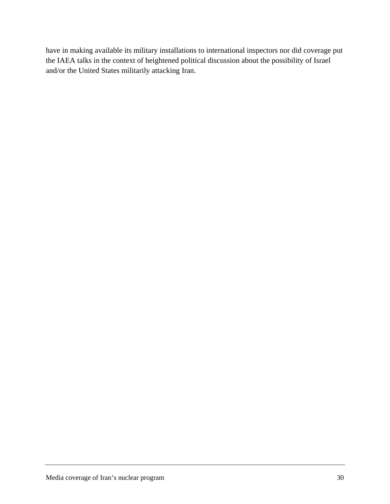have in making available its military installations to international inspectors nor did coverage put the IAEA talks in the context of heightened political discussion about the possibility of Israel and/or the United States militarily attacking Iran.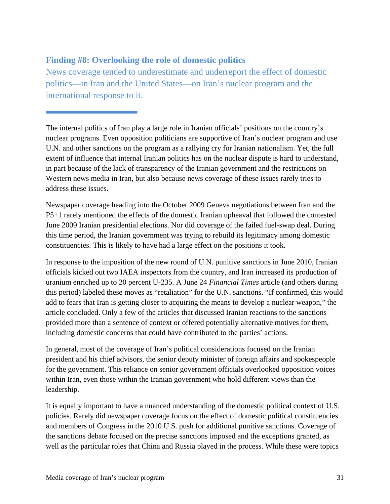## **Finding #8: Overlooking the role of domestic politics**

News coverage tended to underestimate and underreport the effect of domestic politics—in Iran and the United States—on Iran's nuclear program and the international response to it.

The internal politics of Iran play a large role in Iranian officials' positions on the country's nuclear programs. Even opposition politicians are supportive of Iran's nuclear program and use U.N. and other sanctions on the program as a rallying cry for Iranian nationalism. Yet, the full extent of influence that internal Iranian politics has on the nuclear dispute is hard to understand, in part because of the lack of transparency of the Iranian government and the restrictions on Western news media in Iran, but also because news coverage of these issues rarely tries to address these issues.

Newspaper coverage heading into the October 2009 Geneva negotiations between Iran and the P5+1 rarely mentioned the effects of the domestic Iranian upheaval that followed the contested June 2009 Iranian presidential elections. Nor did coverage of the failed fuel-swap deal. During this time period, the Iranian government was trying to rebuild its legitimacy among domestic constituencies. This is likely to have had a large effect on the positions it took.

In response to the imposition of the new round of U.N. punitive sanctions in June 2010, Iranian officials kicked out two IAEA inspectors from the country, and Iran increased its production of uranium enriched up to 20 percent U-235. A June 24 *Financial Times* article (and others during this period) labeled these moves as "retaliation" for the U.N. sanctions. "If confirmed, this would add to fears that Iran is getting closer to acquiring the means to develop a nuclear weapon," the article concluded. Only a few of the articles that discussed Iranian reactions to the sanctions provided more than a sentence of context or offered potentially alternative motives for them, including domestic concerns that could have contributed to the parties' actions.

In general, most of the coverage of Iran's political considerations focused on the Iranian president and his chief advisors, the senior deputy minister of foreign affairs and spokespeople for the government. This reliance on senior government officials overlooked opposition voices within Iran, even those within the Iranian government who hold different views than the leadership.

It is equally important to have a nuanced understanding of the domestic political context of U.S. policies. Rarely did newspaper coverage focus on the effect of domestic political constituencies and members of Congress in the 2010 U.S. push for additional punitive sanctions. Coverage of the sanctions debate focused on the precise sanctions imposed and the exceptions granted, as well as the particular roles that China and Russia played in the process. While these were topics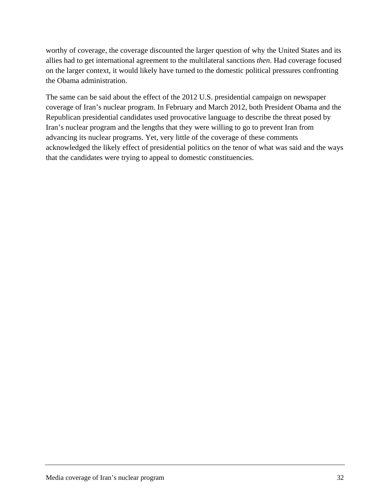worthy of coverage, the coverage discounted the larger question of why the United States and its allies had to get international agreement to the multilateral sanctions *then*. Had coverage focused on the larger context, it would likely have turned to the domestic political pressures confronting the Obama administration.

The same can be said about the effect of the 2012 U.S. presidential campaign on newspaper coverage of Iran's nuclear program. In February and March 2012, both President Obama and the Republican presidential candidates used provocative language to describe the threat posed by Iran's nuclear program and the lengths that they were willing to go to prevent Iran from advancing its nuclear programs. Yet, very little of the coverage of these comments acknowledged the likely effect of presidential politics on the tenor of what was said and the ways that the candidates were trying to appeal to domestic constituencies.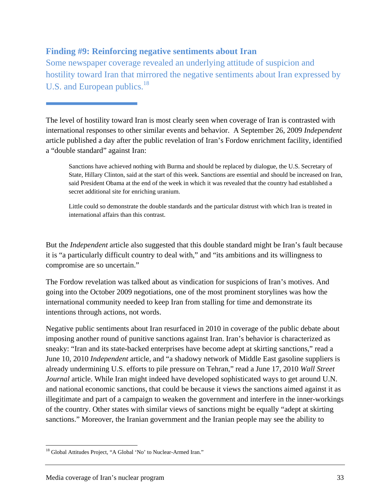## **Finding #9: Reinforcing negative sentiments about Iran**

Some newspaper coverage revealed an underlying attitude of suspicion and hostility toward Iran that mirrored the negative sentiments about Iran expressed by U.S. and European publics.<sup>18</sup>

The level of hostility toward Iran is most clearly seen when coverage of Iran is contrasted with international responses to other similar events and behavior. A September 26, 2009 *Independent* article published a day after the public revelation of Iran's Fordow enrichment facility, identified a "double standard" against Iran:

Sanctions have achieved nothing with Burma and should be replaced by dialogue, the U.S. Secretary of State, Hillary Clinton, said at the start of this week. Sanctions are essential and should be increased on Iran, said President Obama at the end of the week in which it was revealed that the country had established a secret additional site for enriching uranium.

Little could so demonstrate the double standards and the particular distrust with which Iran is treated in international affairs than this contrast.

But the *Independent* article also suggested that this double standard might be Iran's fault because it is "a particularly difficult country to deal with," and "its ambitions and its willingness to compromise are so uncertain."

The Fordow revelation was talked about as vindication for suspicions of Iran's motives. And going into the October 2009 negotiations, one of the most prominent storylines was how the international community needed to keep Iran from stalling for time and demonstrate its intentions through actions, not words.

Negative public sentiments about Iran resurfaced in 2010 in coverage of the public debate about imposing another round of punitive sanctions against Iran. Iran's behavior is characterized as sneaky: "Iran and its state-backed enterprises have become adept at skirting sanctions," read a June 10, 2010 *Independent* article, and "a shadowy network of Middle East gasoline suppliers is already undermining U.S. efforts to pile pressure on Tehran," read a June 17, 2010 *Wall Street Journal* article. While Iran might indeed have developed sophisticated ways to get around U.N. and national economic sanctions, that could be because it views the sanctions aimed against it as illegitimate and part of a campaign to weaken the government and interfere in the inner-workings of the country. Other states with similar views of sanctions might be equally "adept at skirting sanctions." Moreover, the Iranian government and the Iranian people may see the ability to

 <sup>18</sup> Global Attitudes Project, "A Global 'No' to Nuclear-Armed Iran."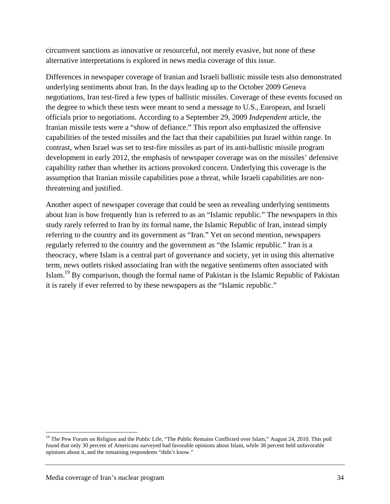circumvent sanctions as innovative or resourceful, not merely evasive, but none of these alternative interpretations is explored in news media coverage of this issue.

Differences in newspaper coverage of Iranian and Israeli ballistic missile tests also demonstrated underlying sentiments about Iran. In the days leading up to the October 2009 Geneva negotiations, Iran test-fired a few types of ballistic missiles. Coverage of these events focused on the degree to which these tests were meant to send a message to U.S., European, and Israeli officials prior to negotiations. According to a September 29, 2009 *Independent* article, the Iranian missile tests were a "show of defiance." This report also emphasized the offensive capabilities of the tested missiles and the fact that their capabilities put Israel within range. In contrast, when Israel was set to test-fire missiles as part of its anti-ballistic missile program development in early 2012, the emphasis of newspaper coverage was on the missiles' defensive capability rather than whether its actions provoked concern. Underlying this coverage is the assumption that Iranian missile capabilities pose a threat, while Israeli capabilities are nonthreatening and justified.

Another aspect of newspaper coverage that could be seen as revealing underlying sentiments about Iran is how frequently Iran is referred to as an "Islamic republic." The newspapers in this study rarely referred to Iran by its formal name, the Islamic Republic of Iran, instead simply referring to the country and its government as "Iran." Yet on second mention, newspapers regularly referred to the country and the government as "the Islamic republic." Iran is a theocracy, where Islam is a central part of governance and society, yet in using this alternative term, news outlets risked associating Iran with the negative sentiments often associated with Islam.19 By comparison, though the formal name of Pakistan is the Islamic Republic of Pakistan it is rarely if ever referred to by these newspapers as the "Islamic republic."

<sup>&</sup>lt;sup>19</sup> The Pew Forum on Religion and the Public Life, "The Public Remains Conflicted over Islam," August 24, 2010. This poll found that only 30 percent of Americans surveyed had favorable opinions about Islam, while 38 percent held unfavorable opinions about it, and the remaining respondents "didn't know."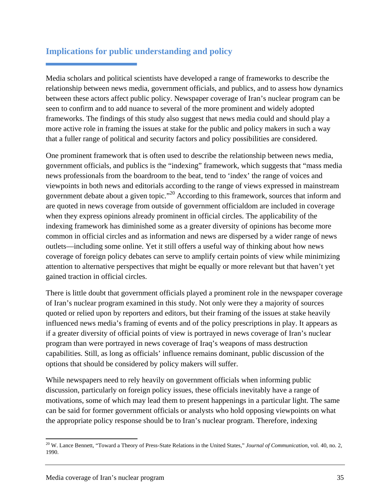# **Implications for public understanding and policy**

Media scholars and political scientists have developed a range of frameworks to describe the relationship between news media, government officials, and publics, and to assess how dynamics between these actors affect public policy. Newspaper coverage of Iran's nuclear program can be seen to confirm and to add nuance to several of the more prominent and widely adopted frameworks. The findings of this study also suggest that news media could and should play a more active role in framing the issues at stake for the public and policy makers in such a way that a fuller range of political and security factors and policy possibilities are considered.

One prominent framework that is often used to describe the relationship between news media, government officials, and publics is the "indexing" framework, which suggests that "mass media news professionals from the boardroom to the beat, tend to 'index' the range of voices and viewpoints in both news and editorials according to the range of views expressed in mainstream government debate about a given topic."<sup>20</sup> According to this framework, sources that inform and are quoted in news coverage from outside of government officialdom are included in coverage when they express opinions already prominent in official circles. The applicability of the indexing framework has diminished some as a greater diversity of opinions has become more common in official circles and as information and news are dispersed by a wider range of news outlets—including some online. Yet it still offers a useful way of thinking about how news coverage of foreign policy debates can serve to amplify certain points of view while minimizing attention to alternative perspectives that might be equally or more relevant but that haven't yet gained traction in official circles.

There is little doubt that government officials played a prominent role in the newspaper coverage of Iran's nuclear program examined in this study. Not only were they a majority of sources quoted or relied upon by reporters and editors, but their framing of the issues at stake heavily influenced news media's framing of events and of the policy prescriptions in play. It appears as if a greater diversity of official points of view is portrayed in news coverage of Iran's nuclear program than were portrayed in news coverage of Iraq's weapons of mass destruction capabilities. Still, as long as officials' influence remains dominant, public discussion of the options that should be considered by policy makers will suffer.

While newspapers need to rely heavily on government officials when informing public discussion, particularly on foreign policy issues, these officials inevitably have a range of motivations, some of which may lead them to present happenings in a particular light. The same can be said for former government officials or analysts who hold opposing viewpoints on what the appropriate policy response should be to Iran's nuclear program. Therefore, indexing

 20 W. Lance Bennett, "Toward a Theory of Press-State Relations in the United States," *Journal of Communication*, vol. 40, no. 2, 1990.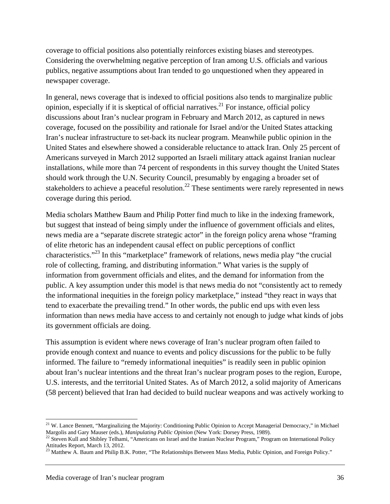coverage to official positions also potentially reinforces existing biases and stereotypes. Considering the overwhelming negative perception of Iran among U.S. officials and various publics, negative assumptions about Iran tended to go unquestioned when they appeared in newspaper coverage.

In general, news coverage that is indexed to official positions also tends to marginalize public opinion, especially if it is skeptical of official narratives.<sup>21</sup> For instance, official policy discussions about Iran's nuclear program in February and March 2012, as captured in news coverage, focused on the possibility and rationale for Israel and/or the United States attacking Iran's nuclear infrastructure to set-back its nuclear program. Meanwhile public opinion in the United States and elsewhere showed a considerable reluctance to attack Iran. Only 25 percent of Americans surveyed in March 2012 supported an Israeli military attack against Iranian nuclear installations, while more than 74 percent of respondents in this survey thought the United States should work through the U.N. Security Council, presumably by engaging a broader set of stakeholders to achieve a peaceful resolution.<sup>22</sup> These sentiments were rarely represented in news coverage during this period.

Media scholars Matthew Baum and Philip Potter find much to like in the indexing framework, but suggest that instead of being simply under the influence of government officials and elites, news media are a "separate discrete strategic actor" in the foreign policy arena whose "framing of elite rhetoric has an independent causal effect on public perceptions of conflict characteristics."<sup>23</sup> In this "marketplace" framework of relations, news media play "the crucial" role of collecting, framing, and distributing information." What varies is the supply of information from government officials and elites, and the demand for information from the public. A key assumption under this model is that news media do not "consistently act to remedy the informational inequities in the foreign policy marketplace," instead "they react in ways that tend to exacerbate the prevailing trend." In other words, the public end ups with even less information than news media have access to and certainly not enough to judge what kinds of jobs its government officials are doing.

This assumption is evident where news coverage of Iran's nuclear program often failed to provide enough context and nuance to events and policy discussions for the public to be fully informed. The failure to "remedy informational inequities" is readily seen in public opinion about Iran's nuclear intentions and the threat Iran's nuclear program poses to the region, Europe, U.S. interests, and the territorial United States. As of March 2012, a solid majority of Americans (58 percent) believed that Iran had decided to build nuclear weapons and was actively working to

 <sup>21</sup> W. Lance Bennett, "Marginalizing the Majority: Conditioning Public Opinion to Accept Managerial Democracy," in Michael Margolis and Gary Mauser (eds.), *Manipulating Public Opinion* (New York: Dorsey Press, 1989).<br><sup>22</sup> Steven Kull and Shibley Telhami, "Americans on Israel and the Iranian Nuclear Program," Program on International Policy

Attitudes Report, March 13, 2012.

<sup>&</sup>lt;sup>23</sup> Matthew A. Baum and Philip B.K. Potter, "The Relationships Between Mass Media, Public Opinion, and Foreign Policy."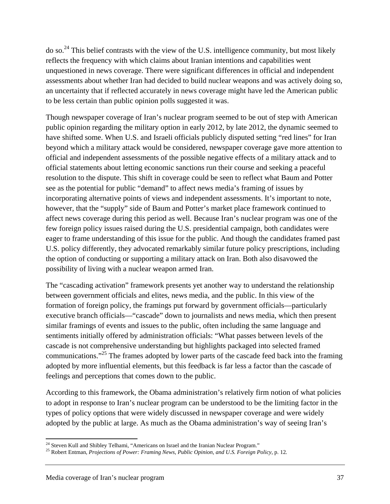do so.24 This belief contrasts with the view of the U.S. intelligence community, but most likely reflects the frequency with which claims about Iranian intentions and capabilities went unquestioned in news coverage. There were significant differences in official and independent assessments about whether Iran had decided to build nuclear weapons and was actively doing so, an uncertainty that if reflected accurately in news coverage might have led the American public to be less certain than public opinion polls suggested it was.

Though newspaper coverage of Iran's nuclear program seemed to be out of step with American public opinion regarding the military option in early 2012, by late 2012, the dynamic seemed to have shifted some. When U.S. and Israeli officials publicly disputed setting "red lines" for Iran beyond which a military attack would be considered, newspaper coverage gave more attention to official and independent assessments of the possible negative effects of a military attack and to official statements about letting economic sanctions run their course and seeking a peaceful resolution to the dispute. This shift in coverage could be seen to reflect what Baum and Potter see as the potential for public "demand" to affect news media's framing of issues by incorporating alternative points of views and independent assessments. It's important to note, however, that the "supply" side of Baum and Potter's market place framework continued to affect news coverage during this period as well. Because Iran's nuclear program was one of the few foreign policy issues raised during the U.S. presidential campaign, both candidates were eager to frame understanding of this issue for the public. And though the candidates framed past U.S. policy differently, they advocated remarkably similar future policy prescriptions, including the option of conducting or supporting a military attack on Iran. Both also disavowed the possibility of living with a nuclear weapon armed Iran.

The "cascading activation" framework presents yet another way to understand the relationship between government officials and elites, news media, and the public. In this view of the formation of foreign policy, the framings put forward by government officials—particularly executive branch officials—"cascade" down to journalists and news media, which then present similar framings of events and issues to the public, often including the same language and sentiments initially offered by administration officials: "What passes between levels of the cascade is not comprehensive understanding but highlights packaged into selected framed communications."25 The frames adopted by lower parts of the cascade feed back into the framing adopted by more influential elements, but this feedback is far less a factor than the cascade of feelings and perceptions that comes down to the public.

According to this framework, the Obama administration's relatively firm notion of what policies to adopt in response to Iran's nuclear program can be understood to be the limiting factor in the types of policy options that were widely discussed in newspaper coverage and were widely adopted by the public at large. As much as the Obama administration's way of seeing Iran's

<sup>&</sup>lt;sup>24</sup> Steven Kull and Shibley Telhami, "Americans on Israel and the Iranian Nuclear Program."

<sup>&</sup>lt;sup>25</sup> Robert Entman, Projections of Power: Framing News, Public Opinion, and U.S. Foreign Policy, p. 12.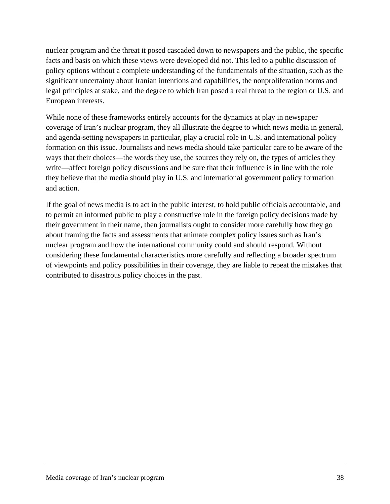nuclear program and the threat it posed cascaded down to newspapers and the public, the specific facts and basis on which these views were developed did not. This led to a public discussion of policy options without a complete understanding of the fundamentals of the situation, such as the significant uncertainty about Iranian intentions and capabilities, the nonproliferation norms and legal principles at stake, and the degree to which Iran posed a real threat to the region or U.S. and European interests.

While none of these frameworks entirely accounts for the dynamics at play in newspaper coverage of Iran's nuclear program, they all illustrate the degree to which news media in general, and agenda-setting newspapers in particular, play a crucial role in U.S. and international policy formation on this issue. Journalists and news media should take particular care to be aware of the ways that their choices—the words they use, the sources they rely on, the types of articles they write—affect foreign policy discussions and be sure that their influence is in line with the role they believe that the media should play in U.S. and international government policy formation and action.

If the goal of news media is to act in the public interest, to hold public officials accountable, and to permit an informed public to play a constructive role in the foreign policy decisions made by their government in their name, then journalists ought to consider more carefully how they go about framing the facts and assessments that animate complex policy issues such as Iran's nuclear program and how the international community could and should respond. Without considering these fundamental characteristics more carefully and reflecting a broader spectrum of viewpoints and policy possibilities in their coverage, they are liable to repeat the mistakes that contributed to disastrous policy choices in the past.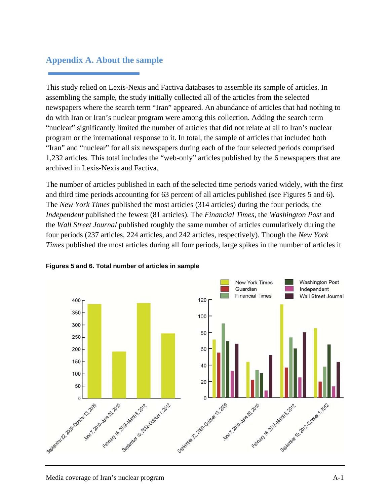# **Appendix A. About the sample**

This study relied on Lexis-Nexis and Factiva databases to assemble its sample of articles. In assembling the sample, the study initially collected all of the articles from the selected newspapers where the search term "Iran" appeared. An abundance of articles that had nothing to do with Iran or Iran's nuclear program were among this collection. Adding the search term "nuclear" significantly limited the number of articles that did not relate at all to Iran's nuclear program or the international response to it. In total, the sample of articles that included both "Iran" and "nuclear" for all six newspapers during each of the four selected periods comprised 1,232 articles. This total includes the "web-only" articles published by the 6 newspapers that are archived in Lexis-Nexis and Factiva.

The number of articles published in each of the selected time periods varied widely, with the first and third time periods accounting for 63 percent of all articles published (see Figures 5 and 6). The *New York Times* published the most articles (314 articles) during the four periods; the *Independent* published the fewest (81 articles). The *Financial Times*, the *Washington Post* and the *Wall Street Journal* published roughly the same number of articles cumulatively during the four periods (237 articles, 224 articles, and 242 articles, respectively). Though the *New York Times* published the most articles during all four periods, large spikes in the number of articles it



**Figures 5 and 6. Total number of articles in sample**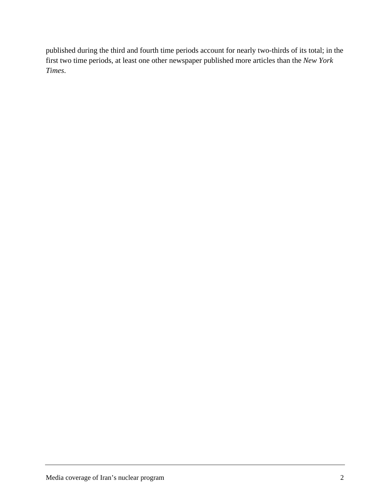published during the third and fourth time periods account for nearly two-thirds of its total; in the first two time periods, at least one other newspaper published more articles than the *New York Times*.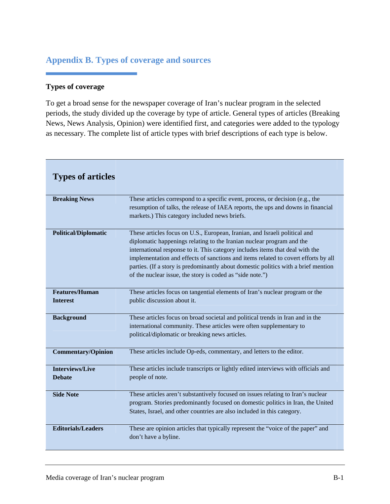# **Appendix B. Types of coverage and sources**

## **Types of coverage**

To get a broad sense for the newspaper coverage of Iran's nuclear program in the selected periods, the study divided up the coverage by type of article. General types of articles (Breaking News, News Analysis, Opinion) were identified first, and categories were added to the typology as necessary. The complete list of article types with brief descriptions of each type is below.

| <b>Types of articles</b>                 |                                                                                                                                                                                                                                                                                                                                                                                                                                                                               |
|------------------------------------------|-------------------------------------------------------------------------------------------------------------------------------------------------------------------------------------------------------------------------------------------------------------------------------------------------------------------------------------------------------------------------------------------------------------------------------------------------------------------------------|
| <b>Breaking News</b>                     | These articles correspond to a specific event, process, or decision (e.g., the<br>resumption of talks, the release of IAEA reports, the ups and downs in financial<br>markets.) This category included news briefs.                                                                                                                                                                                                                                                           |
| <b>Political/Diplomatic</b>              | These articles focus on U.S., European, Iranian, and Israeli political and<br>diplomatic happenings relating to the Iranian nuclear program and the<br>international response to it. This category includes items that deal with the<br>implementation and effects of sanctions and items related to covert efforts by all<br>parties. (If a story is predominantly about domestic politics with a brief mention<br>of the nuclear issue, the story is coded as "side note.") |
| <b>Features/Human</b><br><b>Interest</b> | These articles focus on tangential elements of Iran's nuclear program or the<br>public discussion about it.                                                                                                                                                                                                                                                                                                                                                                   |
| <b>Background</b>                        | These articles focus on broad societal and political trends in Iran and in the<br>international community. These articles were often supplementary to<br>political/diplomatic or breaking news articles.                                                                                                                                                                                                                                                                      |
| <b>Commentary/Opinion</b>                | These articles include Op-eds, commentary, and letters to the editor.                                                                                                                                                                                                                                                                                                                                                                                                         |
| <b>Interviews/Live</b><br><b>Debate</b>  | These articles include transcripts or lightly edited interviews with officials and<br>people of note.                                                                                                                                                                                                                                                                                                                                                                         |
| <b>Side Note</b>                         | These articles aren't substantively focused on issues relating to Iran's nuclear<br>program. Stories predominantly focused on domestic politics in Iran, the United<br>States, Israel, and other countries are also included in this category.                                                                                                                                                                                                                                |
| <b>Editorials/Leaders</b>                | These are opinion articles that typically represent the "voice of the paper" and<br>don't have a byline.                                                                                                                                                                                                                                                                                                                                                                      |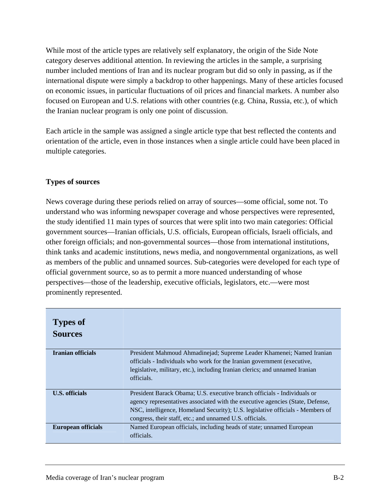While most of the article types are relatively self explanatory, the origin of the Side Note category deserves additional attention. In reviewing the articles in the sample, a surprising number included mentions of Iran and its nuclear program but did so only in passing, as if the international dispute were simply a backdrop to other happenings. Many of these articles focused on economic issues, in particular fluctuations of oil prices and financial markets. A number also focused on European and U.S. relations with other countries (e.g. China, Russia, etc.), of which the Iranian nuclear program is only one point of discussion.

Each article in the sample was assigned a single article type that best reflected the contents and orientation of the article, even in those instances when a single article could have been placed in multiple categories.

### **Types of sources**

News coverage during these periods relied on array of sources—some official, some not. To understand who was informing newspaper coverage and whose perspectives were represented, the study identified 11 main types of sources that were split into two main categories: Official government sources—Iranian officials, U.S. officials, European officials, Israeli officials, and other foreign officials; and non-governmental sources—those from international institutions, think tanks and academic institutions, news media, and nongovernmental organizations, as well as members of the public and unnamed sources. Sub-categories were developed for each type of official government source, so as to permit a more nuanced understanding of whose perspectives—those of the leadership, executive officials, legislators, etc.—were most prominently represented.

| <b>Types of</b><br><b>Sources</b> |                                                                                                                                                                                                                                                                                                          |
|-----------------------------------|----------------------------------------------------------------------------------------------------------------------------------------------------------------------------------------------------------------------------------------------------------------------------------------------------------|
| <b>Iranian officials</b>          | President Mahmoud Ahmadinejad; Supreme Leader Khamenei; Named Iranian<br>officials - Individuals who work for the Iranian government (executive,<br>legislative, military, etc.), including Iranian clerics; and unnamed Iranian<br>officials.                                                           |
| <b>U.S.</b> officials             | President Barack Obama; U.S. executive branch officials - Individuals or<br>agency representatives associated with the executive agencies (State, Defense,<br>NSC, intelligence, Homeland Security); U.S. legislative officials - Members of<br>congress, their staff, etc.; and unnamed U.S. officials. |
| European officials                | Named European officials, including heads of state; unnamed European<br>officials.                                                                                                                                                                                                                       |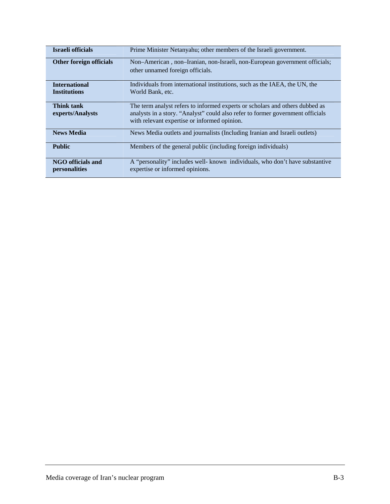| <b>Israeli officials</b>                  | Prime Minister Netanyahu; other members of the Israeli government.                                                             |
|-------------------------------------------|--------------------------------------------------------------------------------------------------------------------------------|
| Other foreign officials                   | Non-American, non-Iranian, non-Israeli, non-European government officials;<br>other unnamed foreign officials.                 |
|                                           |                                                                                                                                |
| <b>International</b>                      | Individuals from international institutions, such as the IAEA, the UN, the                                                     |
| <b>Institutions</b>                       | World Bank, etc.                                                                                                               |
| Think tank                                | The term analyst refers to informed experts or scholars and others dubbed as                                                   |
| experts/Analysts                          | analysts in a story. "Analyst" could also refer to former government officials<br>with relevant expertise or informed opinion. |
| <b>News Media</b>                         | News Media outlets and journalists (Including Iranian and Israeli outlets)                                                     |
| <b>Public</b>                             | Members of the general public (including foreign individuals)                                                                  |
| <b>NGO</b> officials and<br>personalities | A "personality" includes well-known individuals, who don't have substantive<br>expertise or informed opinions.                 |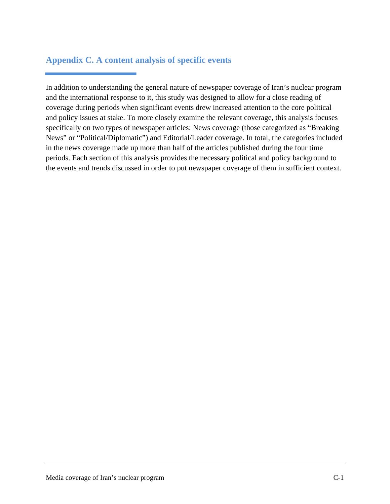# **Appendix C. A content analysis of specific events**

In addition to understanding the general nature of newspaper coverage of Iran's nuclear program and the international response to it, this study was designed to allow for a close reading of coverage during periods when significant events drew increased attention to the core political and policy issues at stake. To more closely examine the relevant coverage, this analysis focuses specifically on two types of newspaper articles: News coverage (those categorized as "Breaking News" or "Political/Diplomatic") and Editorial/Leader coverage. In total, the categories included in the news coverage made up more than half of the articles published during the four time periods. Each section of this analysis provides the necessary political and policy background to the events and trends discussed in order to put newspaper coverage of them in sufficient context.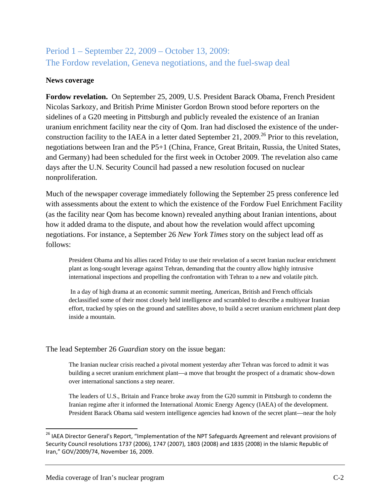# Period 1 – September 22, 2009 – October 13, 2009: The Fordow revelation, Geneva negotiations, and the fuel-swap deal

### **News coverage**

**Fordow revelation.** On September 25, 2009, U.S. President Barack Obama, French President Nicolas Sarkozy, and British Prime Minister Gordon Brown stood before reporters on the sidelines of a G20 meeting in Pittsburgh and publicly revealed the existence of an Iranian uranium enrichment facility near the city of Qom. Iran had disclosed the existence of the underconstruction facility to the IAEA in a letter dated September 21, 2009.<sup>26</sup> Prior to this revelation, negotiations between Iran and the P5+1 (China, France, Great Britain, Russia, the United States, and Germany) had been scheduled for the first week in October 2009. The revelation also came days after the U.N. Security Council had passed a new resolution focused on nuclear nonproliferation.

Much of the newspaper coverage immediately following the September 25 press conference led with assessments about the extent to which the existence of the Fordow Fuel Enrichment Facility (as the facility near Qom has become known) revealed anything about Iranian intentions, about how it added drama to the dispute, and about how the revelation would affect upcoming negotiations. For instance, a September 26 *New York Times* story on the subject lead off as follows:

President Obama and his allies raced Friday to use their revelation of a secret Iranian nuclear enrichment plant as long-sought leverage against Tehran, demanding that the country allow highly intrusive international inspections and propelling the confrontation with Tehran to a new and volatile pitch.

 In a day of high drama at an economic summit meeting, American, British and French officials declassified some of their most closely held intelligence and scrambled to describe a multiyear Iranian effort, tracked by spies on the ground and satellites above, to build a secret uranium enrichment plant deep inside a mountain.

### The lead September 26 *Guardian* story on the issue began:

The Iranian nuclear crisis reached a pivotal moment yesterday after Tehran was forced to admit it was building a secret uranium enrichment plant—a move that brought the prospect of a dramatic show-down over international sanctions a step nearer.

The leaders of U.S., Britain and France broke away from the G20 summit in Pittsburgh to condemn the Iranian regime after it informed the International Atomic Energy Agency (IAEA) of the development. President Barack Obama said western intelligence agencies had known of the secret plant—near the holy

<sup>&</sup>lt;sup>26</sup> IAEA Director General's Report, "Implementation of the NPT Safeguards Agreement and relevant provisions of Security Council resolutions 1737 (2006), 1747 (2007), 1803 (2008) and 1835 (2008) in the Islamic Republic of Iran," GOV/2009/74, November 16, 2009.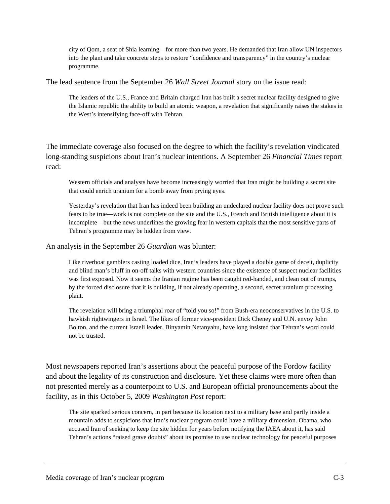city of Qom, a seat of Shia learning—for more than two years. He demanded that Iran allow UN inspectors into the plant and take concrete steps to restore "confidence and transparency" in the country's nuclear programme.

The lead sentence from the September 26 *Wall Street Journal* story on the issue read:

The leaders of the U.S., France and Britain charged Iran has built a secret nuclear facility designed to give the Islamic republic the ability to build an atomic weapon, a revelation that significantly raises the stakes in the West's intensifying face-off with Tehran.

The immediate coverage also focused on the degree to which the facility's revelation vindicated long-standing suspicions about Iran's nuclear intentions. A September 26 *Financial Times* report read:

Western officials and analysts have become increasingly worried that Iran might be building a secret site that could enrich uranium for a bomb away from prying eyes.

Yesterday's revelation that Iran has indeed been building an undeclared nuclear facility does not prove such fears to be true—work is not complete on the site and the U.S., French and British intelligence about it is incomplete—but the news underlines the growing fear in western capitals that the most sensitive parts of Tehran's programme may be hidden from view.

An analysis in the September 26 *Guardian* was blunter:

Like riverboat gamblers casting loaded dice, Iran's leaders have played a double game of deceit, duplicity and blind man's bluff in on-off talks with western countries since the existence of suspect nuclear facilities was first exposed. Now it seems the Iranian regime has been caught red-handed, and clean out of trumps, by the forced disclosure that it is building, if not already operating, a second, secret uranium processing plant.

The revelation will bring a triumphal roar of "told you so!" from Bush-era neoconservatives in the U.S. to hawkish rightwingers in Israel. The likes of former vice-president Dick Cheney and U.N. envoy John Bolton, and the current Israeli leader, Binyamin Netanyahu, have long insisted that Tehran's word could not be trusted.

Most newspapers reported Iran's assertions about the peaceful purpose of the Fordow facility and about the legality of its construction and disclosure. Yet these claims were more often than not presented merely as a counterpoint to U.S. and European official pronouncements about the facility, as in this October 5, 2009 *Washington Post* report:

The site sparked serious concern, in part because its location next to a military base and partly inside a mountain adds to suspicions that Iran's nuclear program could have a military dimension. Obama, who accused Iran of seeking to keep the site hidden for years before notifying the IAEA about it, has said Tehran's actions "raised grave doubts" about its promise to use nuclear technology for peaceful purposes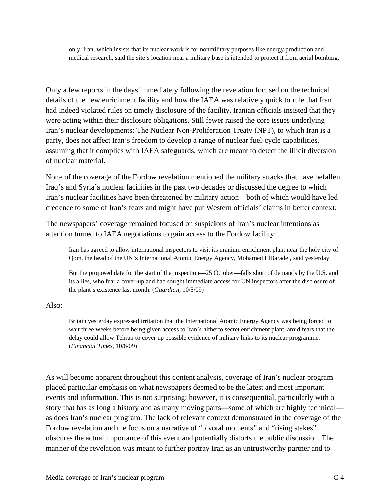only. Iran, which insists that its nuclear work is for nonmilitary purposes like energy production and medical research, said the site's location near a military base is intended to protect it from aerial bombing.

Only a few reports in the days immediately following the revelation focused on the technical details of the new enrichment facility and how the IAEA was relatively quick to rule that Iran had indeed violated rules on timely disclosure of the facility. Iranian officials insisted that they were acting within their disclosure obligations. Still fewer raised the core issues underlying Iran's nuclear developments: The Nuclear Non-Proliferation Treaty (NPT), to which Iran is a party, does not affect Iran's freedom to develop a range of nuclear fuel-cycle capabilities, assuming that it complies with IAEA safeguards, which are meant to detect the illicit diversion of nuclear material.

None of the coverage of the Fordow revelation mentioned the military attacks that have befallen Iraq's and Syria's nuclear facilities in the past two decades or discussed the degree to which Iran's nuclear facilities have been threatened by military action—both of which would have led credence to some of Iran's fears and might have put Western officials' claims in better context.

The newspapers' coverage remained focused on suspicions of Iran's nuclear intentions as attention turned to IAEA negotiations to gain access to the Fordow facility:

Iran has agreed to allow international inspectors to visit its uranium enrichment plant near the holy city of Qom, the head of the UN's International Atomic Energy Agency, Mohamed ElBaradei, said yesterday.

But the proposed date for the start of the inspection—25 October—falls short of demands by the U.S. and its allies, who fear a cover-up and had sought immediate access for UN inspectors after the disclosure of the plant's existence last month. (*Guardian*, 10/5/09)

### Also:

Britain yesterday expressed irritation that the International Atomic Energy Agency was being forced to wait three weeks before being given access to Iran's hitherto secret enrichment plant, amid fears that the delay could allow Tehran to cover up possible evidence of military links to its nuclear programme. (*Financial Times*, 10/6/09)

As will become apparent throughout this content analysis, coverage of Iran's nuclear program placed particular emphasis on what newspapers deemed to be the latest and most important events and information. This is not surprising; however, it is consequential, particularly with a story that has as long a history and as many moving parts—some of which are highly technical as does Iran's nuclear program. The lack of relevant context demonstrated in the coverage of the Fordow revelation and the focus on a narrative of "pivotal moments" and "rising stakes" obscures the actual importance of this event and potentially distorts the public discussion. The manner of the revelation was meant to further portray Iran as an untrustworthy partner and to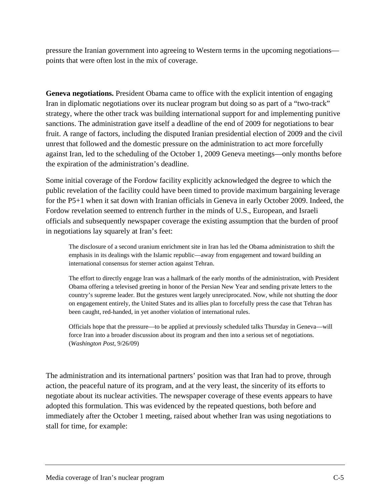pressure the Iranian government into agreeing to Western terms in the upcoming negotiations points that were often lost in the mix of coverage.

**Geneva negotiations.** President Obama came to office with the explicit intention of engaging Iran in diplomatic negotiations over its nuclear program but doing so as part of a "two-track" strategy, where the other track was building international support for and implementing punitive sanctions. The administration gave itself a deadline of the end of 2009 for negotiations to bear fruit. A range of factors, including the disputed Iranian presidential election of 2009 and the civil unrest that followed and the domestic pressure on the administration to act more forcefully against Iran, led to the scheduling of the October 1, 2009 Geneva meetings—only months before the expiration of the administration's deadline.

Some initial coverage of the Fordow facility explicitly acknowledged the degree to which the public revelation of the facility could have been timed to provide maximum bargaining leverage for the P5+1 when it sat down with Iranian officials in Geneva in early October 2009. Indeed, the Fordow revelation seemed to entrench further in the minds of U.S., European, and Israeli officials and subsequently newspaper coverage the existing assumption that the burden of proof in negotiations lay squarely at Iran's feet:

The disclosure of a second uranium enrichment site in Iran has led the Obama administration to shift the emphasis in its dealings with the Islamic republic—away from engagement and toward building an international consensus for sterner action against Tehran.

The effort to directly engage Iran was a hallmark of the early months of the administration, with President Obama offering a televised greeting in honor of the Persian New Year and sending private letters to the country's supreme leader. But the gestures went largely unreciprocated. Now, while not shutting the door on engagement entirely, the United States and its allies plan to forcefully press the case that Tehran has been caught, red-handed, in yet another violation of international rules.

Officials hope that the pressure—to be applied at previously scheduled talks Thursday in Geneva—will force Iran into a broader discussion about its program and then into a serious set of negotiations. (*Washington Post*, 9/26/09)

The administration and its international partners' position was that Iran had to prove, through action, the peaceful nature of its program, and at the very least, the sincerity of its efforts to negotiate about its nuclear activities. The newspaper coverage of these events appears to have adopted this formulation. This was evidenced by the repeated questions, both before and immediately after the October 1 meeting, raised about whether Iran was using negotiations to stall for time, for example: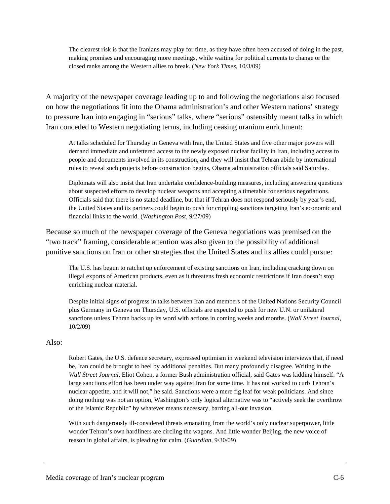The clearest risk is that the Iranians may play for time, as they have often been accused of doing in the past, making promises and encouraging more meetings, while waiting for political currents to change or the closed ranks among the Western allies to break. (*New York Times*, 10/3/09)

A majority of the newspaper coverage leading up to and following the negotiations also focused on how the negotiations fit into the Obama administration's and other Western nations' strategy to pressure Iran into engaging in "serious" talks, where "serious" ostensibly meant talks in which Iran conceded to Western negotiating terms, including ceasing uranium enrichment:

At talks scheduled for Thursday in Geneva with Iran, the United States and five other major powers will demand immediate and unfettered access to the newly exposed nuclear facility in Iran, including access to people and documents involved in its construction, and they will insist that Tehran abide by international rules to reveal such projects before construction begins, Obama administration officials said Saturday.

Diplomats will also insist that Iran undertake confidence-building measures, including answering questions about suspected efforts to develop nuclear weapons and accepting a timetable for serious negotiations. Officials said that there is no stated deadline, but that if Tehran does not respond seriously by year's end, the United States and its partners could begin to push for crippling sanctions targeting Iran's economic and financial links to the world. (*Washington Post*, 9/27/09)

Because so much of the newspaper coverage of the Geneva negotiations was premised on the "two track" framing, considerable attention was also given to the possibility of additional punitive sanctions on Iran or other strategies that the United States and its allies could pursue:

The U.S. has begun to ratchet up enforcement of existing sanctions on Iran, including cracking down on illegal exports of American products, even as it threatens fresh economic restrictions if Iran doesn't stop enriching nuclear material.

Despite initial signs of progress in talks between Iran and members of the United Nations Security Council plus Germany in Geneva on Thursday, U.S. officials are expected to push for new U.N. or unilateral sanctions unless Tehran backs up its word with actions in coming weeks and months. (*Wall Street Journal*, 10/2/09)

### Also:

Robert Gates, the U.S. defence secretary, expressed optimism in weekend television interviews that, if need be, Iran could be brought to heel by additional penalties. But many profoundly disagree. Writing in the *Wall Street Journal*, Eliot Cohen, a former Bush administration official, said Gates was kidding himself. "A large sanctions effort has been under way against Iran for some time. It has not worked to curb Tehran's nuclear appetite, and it will not," he said. Sanctions were a mere fig leaf for weak politicians. And since doing nothing was not an option, Washington's only logical alternative was to "actively seek the overthrow of the Islamic Republic" by whatever means necessary, barring all-out invasion.

With such dangerously ill-considered threats emanating from the world's only nuclear superpower, little wonder Tehran's own hardliners are circling the wagons. And little wonder Beijing, the new voice of reason in global affairs, is pleading for calm. (*Guardian,* 9/30/09)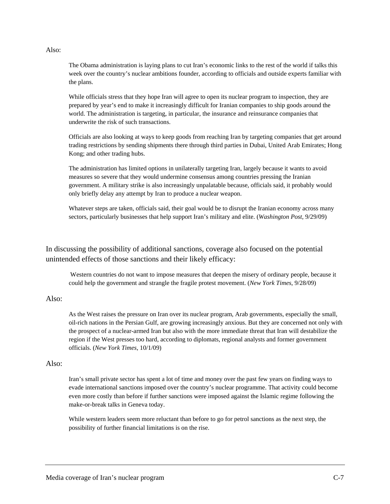Also:

The Obama administration is laying plans to cut Iran's economic links to the rest of the world if talks this week over the country's nuclear ambitions founder, according to officials and outside experts familiar with the plans.

While officials stress that they hope Iran will agree to open its nuclear program to inspection, they are prepared by year's end to make it increasingly difficult for Iranian companies to ship goods around the world. The administration is targeting, in particular, the insurance and reinsurance companies that underwrite the risk of such transactions.

Officials are also looking at ways to keep goods from reaching Iran by targeting companies that get around trading restrictions by sending shipments there through third parties in Dubai, United Arab Emirates; Hong Kong; and other trading hubs.

The administration has limited options in unilaterally targeting Iran, largely because it wants to avoid measures so severe that they would undermine consensus among countries pressing the Iranian government. A military strike is also increasingly unpalatable because, officials said, it probably would only briefly delay any attempt by Iran to produce a nuclear weapon.

Whatever steps are taken, officials said, their goal would be to disrupt the Iranian economy across many sectors, particularly businesses that help support Iran's military and elite. (*Washington Post,* 9/29/09)

In discussing the possibility of additional sanctions, coverage also focused on the potential unintended effects of those sanctions and their likely efficacy:

 Western countries do not want to impose measures that deepen the misery of ordinary people, because it could help the government and strangle the fragile protest movement. (*New York Times*, 9/28/09)

#### Also:

As the West raises the pressure on Iran over its nuclear program, Arab governments, especially the small, oil-rich nations in the Persian Gulf, are growing increasingly anxious. But they are concerned not only with the prospect of a nuclear-armed Iran but also with the more immediate threat that Iran will destabilize the region if the West presses too hard, according to diplomats, regional analysts and former government officials. (*New York Times*, 10/1/09)

#### Also:

Iran's small private sector has spent a lot of time and money over the past few years on finding ways to evade international sanctions imposed over the country's nuclear programme. That activity could become even more costly than before if further sanctions were imposed against the Islamic regime following the make-or-break talks in Geneva today.

While western leaders seem more reluctant than before to go for petrol sanctions as the next step, the possibility of further financial limitations is on the rise.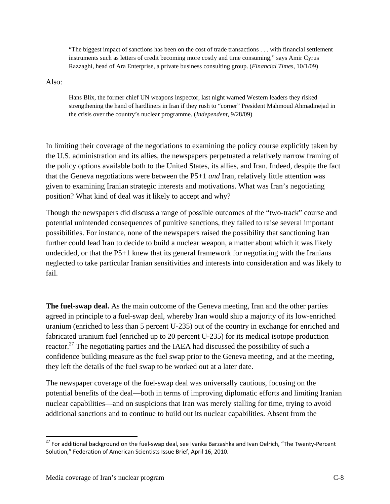"The biggest impact of sanctions has been on the cost of trade transactions . . . with financial settlement instruments such as letters of credit becoming more costly and time consuming," says Amir Cyrus Razzaghi, head of Ara Enterprise, a private business consulting group. (*Financial Times*, 10/1/09)

Also:

Hans Blix, the former chief UN weapons inspector, last night warned Western leaders they risked strengthening the hand of hardliners in Iran if they rush to "corner" President Mahmoud Ahmadinejad in the crisis over the country's nuclear programme. (*Independent,* 9/28/09)

In limiting their coverage of the negotiations to examining the policy course explicitly taken by the U.S. administration and its allies, the newspapers perpetuated a relatively narrow framing of the policy options available both to the United States, its allies, and Iran. Indeed, despite the fact that the Geneva negotiations were between the P5+1 *and* Iran, relatively little attention was given to examining Iranian strategic interests and motivations. What was Iran's negotiating position? What kind of deal was it likely to accept and why?

Though the newspapers did discuss a range of possible outcomes of the "two-track" course and potential unintended consequences of punitive sanctions, they failed to raise several important possibilities. For instance, none of the newspapers raised the possibility that sanctioning Iran further could lead Iran to decide to build a nuclear weapon, a matter about which it was likely undecided, or that the P5+1 knew that its general framework for negotiating with the Iranians neglected to take particular Iranian sensitivities and interests into consideration and was likely to fail.

**The fuel-swap deal.** As the main outcome of the Geneva meeting, Iran and the other parties agreed in principle to a fuel-swap deal, whereby Iran would ship a majority of its low-enriched uranium (enriched to less than 5 percent U-235) out of the country in exchange for enriched and fabricated uranium fuel (enriched up to 20 percent U-235) for its medical isotope production reactor.<sup>27</sup> The negotiating parties and the IAEA had discussed the possibility of such a confidence building measure as the fuel swap prior to the Geneva meeting, and at the meeting, they left the details of the fuel swap to be worked out at a later date.

The newspaper coverage of the fuel-swap deal was universally cautious, focusing on the potential benefits of the deal—both in terms of improving diplomatic efforts and limiting Iranian nuclear capabilities—and on suspicions that Iran was merely stalling for time, trying to avoid additional sanctions and to continue to build out its nuclear capabilities. Absent from the

<sup>&</sup>lt;sup>27</sup> For additional background on the fuel-swap deal, see Ivanka Barzashka and Ivan Oelrich, "The Twenty-Percent Solution," Federation of American Scientists Issue Brief, April 16, 2010.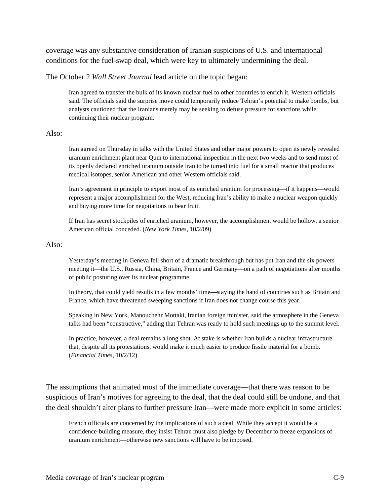coverage was any substantive consideration of Iranian suspicions of U.S. and international conditions for the fuel-swap deal, which were key to ultimately undermining the deal.

The October 2 *Wall Street Journal* lead article on the topic began:

Iran agreed to transfer the bulk of its known nuclear fuel to other countries to enrich it, Western officials said. The officials said the surprise move could temporarily reduce Tehran's potential to make bombs, but analysts cautioned that the Iranians merely may be seeking to defuse pressure for sanctions while continuing their nuclear program.

### Also:

Iran agreed on Thursday in talks with the United States and other major powers to open its newly revealed uranium enrichment plant near Qum to international inspection in the next two weeks and to send most of its openly declared enriched uranium outside Iran to be turned into fuel for a small reactor that produces medical isotopes, senior American and other Western officials said.

Iran's agreement in principle to export most of its enriched uranium for processing—if it happens—would represent a major accomplishment for the West, reducing Iran's ability to make a nuclear weapon quickly and buying more time for negotiations to bear fruit.

If Iran has secret stockpiles of enriched uranium, however, the accomplishment would be hollow, a senior American official conceded. (*New York Times*, 10/2/09)

### Also:

Yesterday's meeting in Geneva fell short of a dramatic breakthrough but has put Iran and the six powers meeting it—the U.S., Russia, China, Britain, France and Germany—on a path of negotiations after months of public posturing over its nuclear programme.

In theory, that could yield results in a few months' time—staying the hand of countries such as Britain and France, which have threatened sweeping sanctions if Iran does not change course this year.

Speaking in New York, Manouchehr Mottaki, Iranian foreign minister, said the atmosphere in the Geneva talks had been "constructive," adding that Tehran was ready to hold such meetings up to the summit level.

In practice, however, a deal remains a long shot. At stake is whether Iran builds a nuclear infrastructure that, despite all its protestations, would make it much easier to produce fissile material for a bomb. (*Financial Times*, 10/2/12)

The assumptions that animated most of the immediate coverage—that there was reason to be suspicious of Iran's motives for agreeing to the deal, that the deal could still be undone, and that the deal shouldn't alter plans to further pressure Iran—were made more explicit in some articles:

French officials are concerned by the implications of such a deal. While they accept it would be a confidence-building measure, they insist Tehran must also pledge by December to freeze expansions of uranium enrichment—otherwise new sanctions will have to be imposed.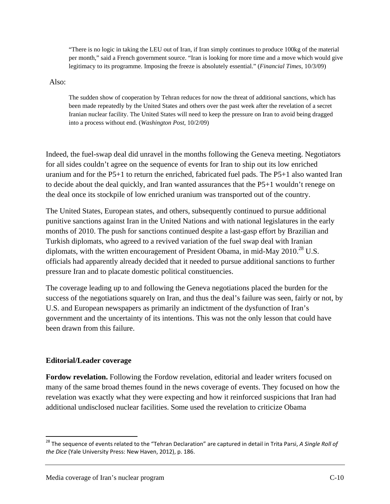"There is no logic in taking the LEU out of Iran, if Iran simply continues to produce 100kg of the material per month," said a French government source. "Iran is looking for more time and a move which would give legitimacy to its programme. Imposing the freeze is absolutely essential." (*Financial Times*, 10/3/09)

Also:

The sudden show of cooperation by Tehran reduces for now the threat of additional sanctions, which has been made repeatedly by the United States and others over the past week after the revelation of a secret Iranian nuclear facility. The United States will need to keep the pressure on Iran to avoid being dragged into a process without end. (*Washington Post*, 10/2/09)

Indeed, the fuel-swap deal did unravel in the months following the Geneva meeting. Negotiators for all sides couldn't agree on the sequence of events for Iran to ship out its low enriched uranium and for the P5+1 to return the enriched, fabricated fuel pads. The P5+1 also wanted Iran to decide about the deal quickly, and Iran wanted assurances that the P5+1 wouldn't renege on the deal once its stockpile of low enriched uranium was transported out of the country.

The United States, European states, and others, subsequently continued to pursue additional punitive sanctions against Iran in the United Nations and with national legislatures in the early months of 2010. The push for sanctions continued despite a last-gasp effort by Brazilian and Turkish diplomats, who agreed to a revived variation of the fuel swap deal with Iranian diplomats, with the written encouragement of President Obama, in mid-May  $2010^{28}$  U.S. officials had apparently already decided that it needed to pursue additional sanctions to further pressure Iran and to placate domestic political constituencies.

The coverage leading up to and following the Geneva negotiations placed the burden for the success of the negotiations squarely on Iran, and thus the deal's failure was seen, fairly or not, by U.S. and European newspapers as primarily an indictment of the dysfunction of Iran's government and the uncertainty of its intentions. This was not the only lesson that could have been drawn from this failure.

## **Editorial/Leader coverage**

**Fordow revelation.** Following the Fordow revelation, editorial and leader writers focused on many of the same broad themes found in the news coverage of events. They focused on how the revelation was exactly what they were expecting and how it reinforced suspicions that Iran had additional undisclosed nuclear facilities. Some used the revelation to criticize Obama

<sup>28</sup> The sequence of events related to the "Tehran Declaration" are captured in detail in Trita Parsi, *A Single Roll of the Dice* (Yale University Press: New Haven, 2012), p. 186.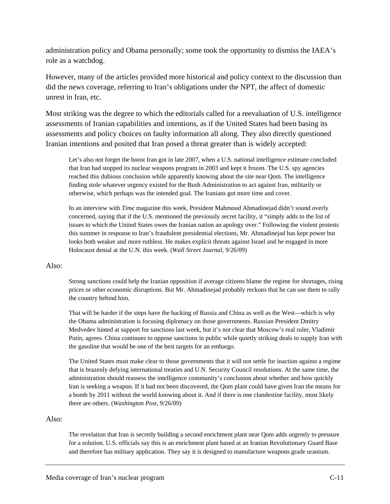administration policy and Obama personally; some took the opportunity to dismiss the IAEA's role as a watchdog.

However, many of the articles provided more historical and policy context to the discussion than did the news coverage, referring to Iran's obligations under the NPT, the affect of domestic unrest in Iran, etc.

Most striking was the degree to which the editorials called for a reevaluation of U.S. intelligence assessments of Iranian capabilities and intentions, as if the United States had been basing its assessments and policy choices on faulty information all along. They also directly questioned Iranian intentions and posited that Iran posed a threat greater than is widely accepted:

Let's also not forget the boost Iran got in late 2007, when a U.S. national intelligence estimate concluded that Iran had stopped its nuclear weapons program in 2003 and kept it frozen. The U.S. spy agencies reached this dubious conclusion while apparently knowing about the site near Qom. The intelligence finding stole whatever urgency existed for the Bush Administration to act against Iran, militarily or otherwise, which perhaps was the intended goal. The Iranians got more time and cover.

In an interview with *Time* magazine this week, President Mahmoud Ahmadinejad didn't sound overly concerned, saying that if the U.S. mentioned the previously secret facility, it "simply adds to the list of issues to which the United States owes the Iranian nation an apology over." Following the violent protests this summer in response to Iran's fraudulent presidential elections, Mr. Ahmadinejad has kept power but looks both weaker and more ruthless. He makes explicit threats against Israel and he engaged in more Holocaust denial at the U.N. this week. (*Wall Street Journal*, 9/26/09)

### Also:

Strong sanctions could help the Iranian opposition if average citizens blame the regime for shortages, rising prices or other economic disruptions. But Mr. Ahmadinejad probably reckons that he can use them to rally the country behind him.

That will be harder if the steps have the backing of Russia and China as well as the West—which is why the Obama administration is focusing diplomacy on those governments. Russian President Dmitry Medvedev hinted at support for sanctions last week, but it's not clear that Moscow's real ruler, Vladimir Putin, agrees. China continues to oppose sanctions in public while quietly striking deals to supply Iran with the gasoline that would be one of the best targets for an embargo.

The United States must make clear to those governments that it will not settle for inaction against a regime that is brazenly defying international treaties and U.N. Security Council resolutions. At the same time, the administration should reassess the intelligence community's conclusion about whether and how quickly Iran is seeking a weapon. If it had not been discovered, the Qom plant could have given Iran the means for a bomb by 2011 without the world knowing about it. And if there is one clandestine facility, most likely there are others. (*Washington Post*, 9/26/09)

### Also:

The revelation that Iran is secretly building a second enrichment plant near Qom adds urgently to pressure for a solution. U.S. officials say this is an enrichment plant based at an Iranian Revolutionary Guard Base and therefore has military application. They say it is designed to manufacture weapons grade uranium.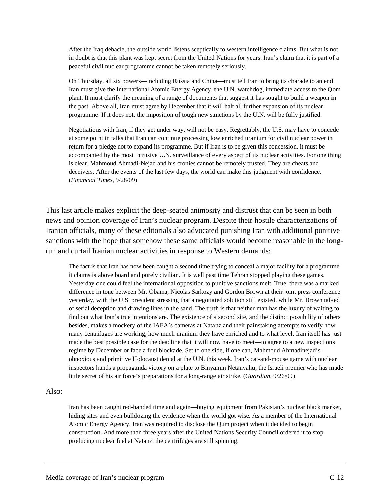After the Iraq debacle, the outside world listens sceptically to western intelligence claims. But what is not in doubt is that this plant was kept secret from the United Nations for years. Iran's claim that it is part of a peaceful civil nuclear programme cannot be taken remotely seriously.

On Thursday, all six powers—including Russia and China—must tell Iran to bring its charade to an end. Iran must give the International Atomic Energy Agency, the U.N. watchdog, immediate access to the Qom plant. It must clarify the meaning of a range of documents that suggest it has sought to build a weapon in the past. Above all, Iran must agree by December that it will halt all further expansion of its nuclear programme. If it does not, the imposition of tough new sanctions by the U.N. will be fully justified.

Negotiations with Iran, if they get under way, will not be easy. Regrettably, the U.S. may have to concede at some point in talks that Iran can continue processing low enriched uranium for civil nuclear power in return for a pledge not to expand its programme. But if Iran is to be given this concession, it must be accompanied by the most intrusive U.N. surveillance of every aspect of its nuclear activities. For one thing is clear. Mahmoud Ahmadi-Nejad and his cronies cannot be remotely trusted. They are cheats and deceivers. After the events of the last few days, the world can make this judgment with confidence. (*Financial Times*, 9/28/09)

This last article makes explicit the deep-seated animosity and distrust that can be seen in both news and opinion coverage of Iran's nuclear program. Despite their hostile characterizations of Iranian officials, many of these editorials also advocated punishing Iran with additional punitive sanctions with the hope that somehow these same officials would become reasonable in the longrun and curtail Iranian nuclear activities in response to Western demands:

The fact is that Iran has now been caught a second time trying to conceal a major facility for a programme it claims is above board and purely civilian. It is well past time Tehran stopped playing these games. Yesterday one could feel the international opposition to punitive sanctions melt. True, there was a marked difference in tone between Mr. Obama, Nicolas Sarkozy and Gordon Brown at their joint press conference yesterday, with the U.S. president stressing that a negotiated solution still existed, while Mr. Brown talked of serial deception and drawing lines in the sand. The truth is that neither man has the luxury of waiting to find out what Iran's true intentions are. The existence of a second site, and the distinct possibility of others besides, makes a mockery of the IAEA's cameras at Natanz and their painstaking attempts to verify how many centrifuges are working, how much uranium they have enriched and to what level. Iran itself has just made the best possible case for the deadline that it will now have to meet—to agree to a new inspections regime by December or face a fuel blockade. Set to one side, if one can, Mahmoud Ahmadinejad's obnoxious and primitive Holocaust denial at the U.N. this week. Iran's cat-and-mouse game with nuclear inspectors hands a propaganda victory on a plate to Binyamin Netanyahu, the Israeli premier who has made little secret of his air force's preparations for a long-range air strike. (*Guardian*, 9/26/09)

### Also:

Iran has been caught red-handed time and again—buying equipment from Pakistan's nuclear black market, hiding sites and even bulldozing the evidence when the world got wise. As a member of the International Atomic Energy Agency, Iran was required to disclose the Qum project when it decided to begin construction. And more than three years after the United Nations Security Council ordered it to stop producing nuclear fuel at Natanz, the centrifuges are still spinning.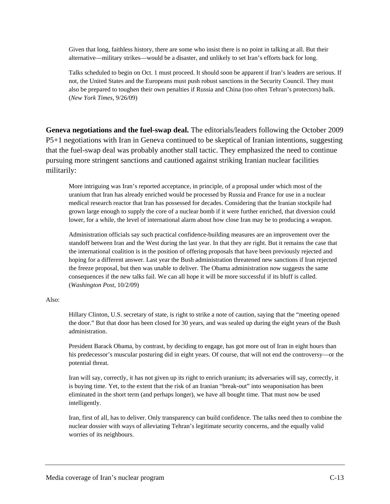Given that long, faithless history, there are some who insist there is no point in talking at all. But their alternative—military strikes—would be a disaster, and unlikely to set Iran's efforts back for long.

Talks scheduled to begin on Oct. 1 must proceed. It should soon be apparent if Iran's leaders are serious. If not, the United States and the Europeans must push robust sanctions in the Security Council. They must also be prepared to toughen their own penalties if Russia and China (too often Tehran's protectors) balk. (*New York Times*, 9/26/09)

**Geneva negotiations and the fuel-swap deal.** The editorials/leaders following the October 2009 P5+1 negotiations with Iran in Geneva continued to be skeptical of Iranian intentions, suggesting that the fuel-swap deal was probably another stall tactic. They emphasized the need to continue pursuing more stringent sanctions and cautioned against striking Iranian nuclear facilities militarily:

More intriguing was Iran's reported acceptance, in principle, of a proposal under which most of the uranium that Iran has already enriched would be processed by Russia and France for use in a nuclear medical research reactor that Iran has possessed for decades. Considering that the Iranian stockpile had grown large enough to supply the core of a nuclear bomb if it were further enriched, that diversion could lower, for a while, the level of international alarm about how close Iran may be to producing a weapon.

Administration officials say such practical confidence-building measures are an improvement over the standoff between Iran and the West during the last year. In that they are right. But it remains the case that the international coalition is in the position of offering proposals that have been previously rejected and hoping for a different answer. Last year the Bush administration threatened new sanctions if Iran rejected the freeze proposal, but then was unable to deliver. The Obama administration now suggests the same consequences if the new talks fail. We can all hope it will be more successful if its bluff is called. (*Washington Post*, 10/2/09)

#### Also:

Hillary Clinton, U.S. secretary of state, is right to strike a note of caution, saying that the "meeting opened the door." But that door has been closed for 30 years, and was sealed up during the eight years of the Bush administration.

President Barack Obama, by contrast, by deciding to engage, has got more out of Iran in eight hours than his predecessor's muscular posturing did in eight years. Of course, that will not end the controversy—or the potential threat.

Iran will say, correctly, it has not given up its right to enrich uranium; its adversaries will say, correctly, it is buying time. Yet, to the extent that the risk of an Iranian "break-out" into weaponisation has been eliminated in the short term (and perhaps longer), we have all bought time. That must now be used intelligently.

Iran, first of all, has to deliver. Only transparency can build confidence. The talks need then to combine the nuclear dossier with ways of alleviating Tehran's legitimate security concerns, and the equally valid worries of its neighbours.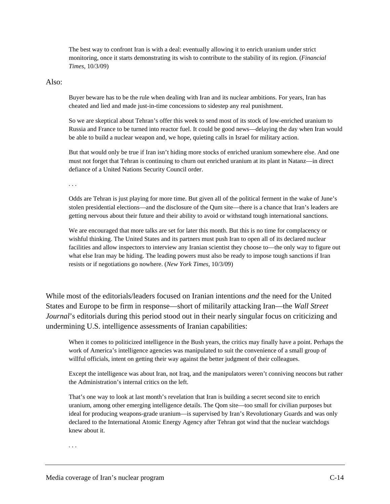The best way to confront Iran is with a deal: eventually allowing it to enrich uranium under strict monitoring, once it starts demonstrating its wish to contribute to the stability of its region. (*Financial Times*, 10/3/09)

Also:

Buyer beware has to be the rule when dealing with Iran and its nuclear ambitions. For years, Iran has cheated and lied and made just-in-time concessions to sidestep any real punishment.

So we are skeptical about Tehran's offer this week to send most of its stock of low-enriched uranium to Russia and France to be turned into reactor fuel. It could be good news—delaying the day when Iran would be able to build a nuclear weapon and, we hope, quieting calls in Israel for military action.

But that would only be true if Iran isn't hiding more stocks of enriched uranium somewhere else. And one must not forget that Tehran is continuing to churn out enriched uranium at its plant in Natanz—in direct defiance of a United Nations Security Council order.

*. . .* 

Odds are Tehran is just playing for more time. But given all of the political ferment in the wake of June's stolen presidential elections—and the disclosure of the Qum site—there is a chance that Iran's leaders are getting nervous about their future and their ability to avoid or withstand tough international sanctions.

We are encouraged that more talks are set for later this month. But this is no time for complacency or wishful thinking. The United States and its partners must push Iran to open all of its declared nuclear facilities and allow inspectors to interview any Iranian scientist they choose to—the only way to figure out what else Iran may be hiding. The leading powers must also be ready to impose tough sanctions if Iran resists or if negotiations go nowhere. (*New York Times*, 10/3/09)

While most of the editorials/leaders focused on Iranian intentions *and* the need for the United States and Europe to be firm in response—short of militarily attacking Iran—the *Wall Street Journal*'s editorials during this period stood out in their nearly singular focus on criticizing and undermining U.S. intelligence assessments of Iranian capabilities:

When it comes to politicized intelligence in the Bush years, the critics may finally have a point. Perhaps the work of America's intelligence agencies was manipulated to suit the convenience of a small group of willful officials, intent on getting their way against the better judgment of their colleagues.

Except the intelligence was about Iran, not Iraq, and the manipulators weren't conniving neocons but rather the Administration's internal critics on the left.

That's one way to look at last month's revelation that Iran is building a secret second site to enrich uranium, among other emerging intelligence details. The Qom site—too small for civilian purposes but ideal for producing weapons-grade uranium—is supervised by Iran's Revolutionary Guards and was only declared to the International Atomic Energy Agency after Tehran got wind that the nuclear watchdogs knew about it.

*. . .*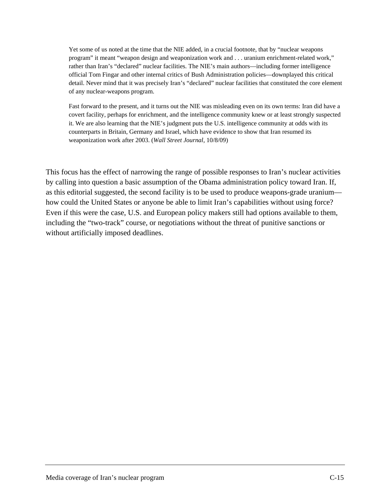Yet some of us noted at the time that the NIE added, in a crucial footnote, that by "nuclear weapons program" it meant "weapon design and weaponization work and . . . uranium enrichment-related work," rather than Iran's "declared" nuclear facilities. The NIE's main authors—including former intelligence official Tom Fingar and other internal critics of Bush Administration policies—downplayed this critical detail. Never mind that it was precisely Iran's "declared" nuclear facilities that constituted the core element of any nuclear-weapons program.

Fast forward to the present, and it turns out the NIE was misleading even on its own terms: Iran did have a covert facility, perhaps for enrichment, and the intelligence community knew or at least strongly suspected it. We are also learning that the NIE's judgment puts the U.S. intelligence community at odds with its counterparts in Britain, Germany and Israel, which have evidence to show that Iran resumed its weaponization work after 2003. (*Wall Street Journal*, 10/8/09)

This focus has the effect of narrowing the range of possible responses to Iran's nuclear activities by calling into question a basic assumption of the Obama administration policy toward Iran. If, as this editorial suggested, the second facility is to be used to produce weapons-grade uranium how could the United States or anyone be able to limit Iran's capabilities without using force? Even if this were the case, U.S. and European policy makers still had options available to them, including the "two-track" course, or negotiations without the threat of punitive sanctions or without artificially imposed deadlines.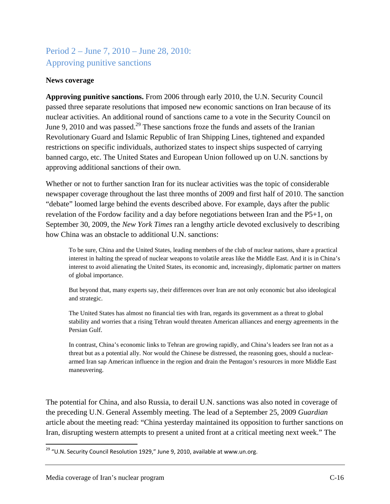# Period 2 – June 7, 2010 – June 28, 2010: Approving punitive sanctions

### **News coverage**

**Approving punitive sanctions.** From 2006 through early 2010, the U.N. Security Council passed three separate resolutions that imposed new economic sanctions on Iran because of its nuclear activities. An additional round of sanctions came to a vote in the Security Council on June 9, 2010 and was passed.<sup>29</sup> These sanctions froze the funds and assets of the Iranian Revolutionary Guard and Islamic Republic of Iran Shipping Lines, tightened and expanded restrictions on specific individuals, authorized states to inspect ships suspected of carrying banned cargo, etc. The United States and European Union followed up on U.N. sanctions by approving additional sanctions of their own.

Whether or not to further sanction Iran for its nuclear activities was the topic of considerable newspaper coverage throughout the last three months of 2009 and first half of 2010. The sanction "debate" loomed large behind the events described above. For example, days after the public revelation of the Fordow facility and a day before negotiations between Iran and the P5+1, on September 30, 2009, the *New York Times* ran a lengthy article devoted exclusively to describing how China was an obstacle to additional U.N. sanctions:

To be sure, China and the United States, leading members of the club of nuclear nations, share a practical interest in halting the spread of nuclear weapons to volatile areas like the Middle East. And it is in China's interest to avoid alienating the United States, its economic and, increasingly, diplomatic partner on matters of global importance.

But beyond that, many experts say, their differences over Iran are not only economic but also ideological and strategic.

The United States has almost no financial ties with Iran, regards its government as a threat to global stability and worries that a rising Tehran would threaten American alliances and energy agreements in the Persian Gulf.

In contrast, China's economic links to Tehran are growing rapidly, and China's leaders see Iran not as a threat but as a potential ally. Nor would the Chinese be distressed, the reasoning goes, should a nucleararmed Iran sap American influence in the region and drain the Pentagon's resources in more Middle East maneuvering.

The potential for China, and also Russia, to derail U.N. sanctions was also noted in coverage of the preceding U.N. General Assembly meeting. The lead of a September 25, 2009 *Guardian* article about the meeting read: "China yesterday maintained its opposition to further sanctions on Iran, disrupting western attempts to present a united front at a critical meeting next week." The

<sup>&</sup>lt;sup>29</sup> "U.N. Security Council Resolution 1929," June 9, 2010, available at www.un.org.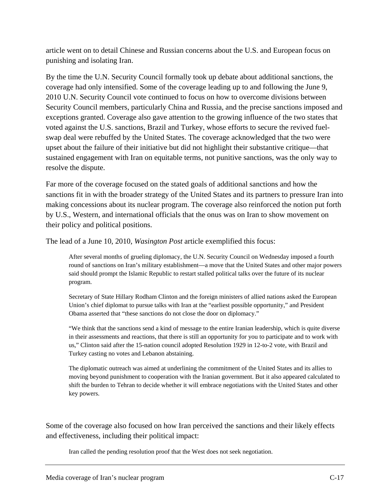article went on to detail Chinese and Russian concerns about the U.S. and European focus on punishing and isolating Iran.

By the time the U.N. Security Council formally took up debate about additional sanctions, the coverage had only intensified. Some of the coverage leading up to and following the June 9, 2010 U.N. Security Council vote continued to focus on how to overcome divisions between Security Council members, particularly China and Russia, and the precise sanctions imposed and exceptions granted. Coverage also gave attention to the growing influence of the two states that voted against the U.S. sanctions, Brazil and Turkey, whose efforts to secure the revived fuelswap deal were rebuffed by the United States. The coverage acknowledged that the two were upset about the failure of their initiative but did not highlight their substantive critique—that sustained engagement with Iran on equitable terms, not punitive sanctions, was the only way to resolve the dispute.

Far more of the coverage focused on the stated goals of additional sanctions and how the sanctions fit in with the broader strategy of the United States and its partners to pressure Iran into making concessions about its nuclear program. The coverage also reinforced the notion put forth by U.S., Western, and international officials that the onus was on Iran to show movement on their policy and political positions.

The lead of a June 10, 2010, *Wasington Post* article exemplified this focus:

After several months of grueling diplomacy, the U.N. Security Council on Wednesday imposed a fourth round of sanctions on Iran's military establishment—a move that the United States and other major powers said should prompt the Islamic Republic to restart stalled political talks over the future of its nuclear program.

Secretary of State Hillary Rodham Clinton and the foreign ministers of allied nations asked the European Union's chief diplomat to pursue talks with Iran at the "earliest possible opportunity," and President Obama asserted that "these sanctions do not close the door on diplomacy."

"We think that the sanctions send a kind of message to the entire Iranian leadership, which is quite diverse in their assessments and reactions, that there is still an opportunity for you to participate and to work with us," Clinton said after the 15-nation council adopted Resolution 1929 in 12-to-2 vote, with Brazil and Turkey casting no votes and Lebanon abstaining.

The diplomatic outreach was aimed at underlining the commitment of the United States and its allies to moving beyond punishment to cooperation with the Iranian government. But it also appeared calculated to shift the burden to Tehran to decide whether it will embrace negotiations with the United States and other key powers.

Some of the coverage also focused on how Iran perceived the sanctions and their likely effects and effectiveness, including their political impact:

Iran called the pending resolution proof that the West does not seek negotiation.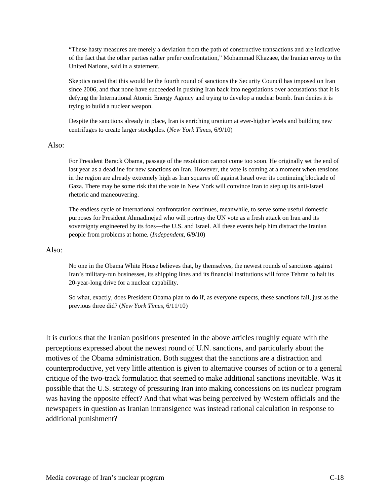"These hasty measures are merely a deviation from the path of constructive transactions and are indicative of the fact that the other parties rather prefer confrontation," Mohammad Khazaee, the Iranian envoy to the United Nations, said in a statement.

Skeptics noted that this would be the fourth round of sanctions the Security Council has imposed on Iran since 2006, and that none have succeeded in pushing Iran back into negotiations over accusations that it is defying the International Atomic Energy Agency and trying to develop a nuclear bomb. Iran denies it is trying to build a nuclear weapon.

Despite the sanctions already in place, Iran is enriching uranium at ever-higher levels and building new centrifuges to create larger stockpiles. (*New York Times*, 6/9/10)

#### Also:

For President Barack Obama, passage of the resolution cannot come too soon. He originally set the end of last year as a deadline for new sanctions on Iran. However, the vote is coming at a moment when tensions in the region are already extremely high as Iran squares off against Israel over its continuing blockade of Gaza. There may be some risk that the vote in New York will convince Iran to step up its anti-Israel rhetoric and maneouvering.

The endless cycle of international confrontation continues, meanwhile, to serve some useful domestic purposes for President Ahmadinejad who will portray the UN vote as a fresh attack on Iran and its sovereignty engineered by its foes—the U.S. and Israel. All these events help him distract the Iranian people from problems at home. (*Independent,* 6/9/10)

#### Also:

No one in the Obama White House believes that, by themselves, the newest rounds of sanctions against Iran's military-run businesses, its shipping lines and its financial institutions will force Tehran to halt its 20-year-long drive for a nuclear capability.

So what, exactly, does President Obama plan to do if, as everyone expects, these sanctions fail, just as the previous three did? (*New York Times*, 6/11/10)

It is curious that the Iranian positions presented in the above articles roughly equate with the perceptions expressed about the newest round of U.N. sanctions, and particularly about the motives of the Obama administration. Both suggest that the sanctions are a distraction and counterproductive, yet very little attention is given to alternative courses of action or to a general critique of the two-track formulation that seemed to make additional sanctions inevitable. Was it possible that the U.S. strategy of pressuring Iran into making concessions on its nuclear program was having the opposite effect? And that what was being perceived by Western officials and the newspapers in question as Iranian intransigence was instead rational calculation in response to additional punishment?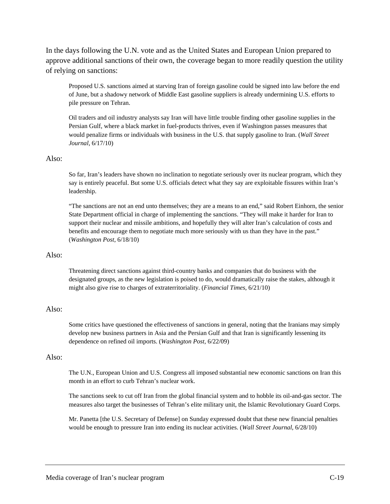In the days following the U.N. vote and as the United States and European Union prepared to approve additional sanctions of their own, the coverage began to more readily question the utility of relying on sanctions:

Proposed U.S. sanctions aimed at starving Iran of foreign gasoline could be signed into law before the end of June, but a shadowy network of Middle East gasoline suppliers is already undermining U.S. efforts to pile pressure on Tehran.

Oil traders and oil industry analysts say Iran will have little trouble finding other gasoline supplies in the Persian Gulf, where a black market in fuel-products thrives, even if Washington passes measures that would penalize firms or individuals with business in the U.S. that supply gasoline to Iran. (*Wall Street Journal*, 6/17/10)

#### Also:

So far, Iran's leaders have shown no inclination to negotiate seriously over its nuclear program, which they say is entirely peaceful. But some U.S. officials detect what they say are exploitable fissures within Iran's leadership.

"The sanctions are not an end unto themselves; they are a means to an end," said Robert Einhorn, the senior State Department official in charge of implementing the sanctions. "They will make it harder for Iran to support their nuclear and missile ambitions, and hopefully they will alter Iran's calculation of costs and benefits and encourage them to negotiate much more seriously with us than they have in the past." (*Washington Post*, 6/18/10)

#### Also:

Threatening direct sanctions against third-country banks and companies that do business with the designated groups, as the new legislation is poised to do, would dramatically raise the stakes, although it might also give rise to charges of extraterritoriality. (*Financial Times*, 6/21/10)

#### Also:

Some critics have questioned the effectiveness of sanctions in general, noting that the Iranians may simply develop new business partners in Asia and the Persian Gulf and that Iran is significantly lessening its dependence on refined oil imports. (*Washington Post*, 6/22/09)

#### Also:

The U.N., European Union and U.S. Congress all imposed substantial new economic sanctions on Iran this month in an effort to curb Tehran's nuclear work.

The sanctions seek to cut off Iran from the global financial system and to hobble its oil-and-gas sector. The measures also target the businesses of Tehran's elite military unit, the Islamic Revolutionary Guard Corps.

Mr. Panetta [the U.S. Secretary of Defense] on Sunday expressed doubt that these new financial penalties would be enough to pressure Iran into ending its nuclear activities. (*Wall Street Journal*, 6/28/10)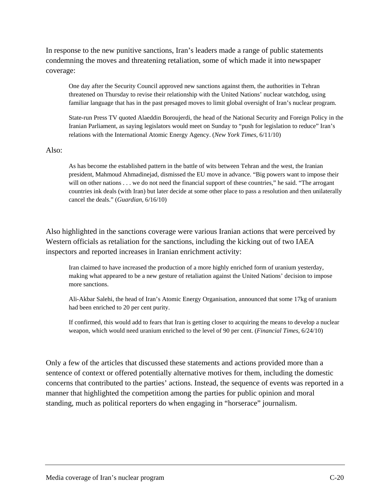In response to the new punitive sanctions, Iran's leaders made a range of public statements condemning the moves and threatening retaliation, some of which made it into newspaper coverage:

One day after the Security Council approved new sanctions against them, the authorities in Tehran threatened on Thursday to revise their relationship with the United Nations' nuclear watchdog, using familiar language that has in the past presaged moves to limit global oversight of Iran's nuclear program.

State-run Press TV quoted Alaeddin Boroujerdi, the head of the National Security and Foreign Policy in the Iranian Parliament, as saying legislators would meet on Sunday to "push for legislation to reduce" Iran's relations with the International Atomic Energy Agency. (*New York Times*, 6/11/10)

### Also:

As has become the established pattern in the battle of wits between Tehran and the west, the Iranian president, Mahmoud Ahmadinejad, dismissed the EU move in advance. "Big powers want to impose their will on other nations . . . we do not need the financial support of these countries," he said. "The arrogant countries ink deals (with Iran) but later decide at some other place to pass a resolution and then unilaterally cancel the deals." (*Guardian*, 6/16/10)

Also highlighted in the sanctions coverage were various Iranian actions that were perceived by Western officials as retaliation for the sanctions, including the kicking out of two IAEA inspectors and reported increases in Iranian enrichment activity:

Iran claimed to have increased the production of a more highly enriched form of uranium yesterday, making what appeared to be a new gesture of retaliation against the United Nations' decision to impose more sanctions.

Ali-Akbar Salehi, the head of Iran's Atomic Energy Organisation, announced that some 17kg of uranium had been enriched to 20 per cent purity.

If confirmed, this would add to fears that Iran is getting closer to acquiring the means to develop a nuclear weapon, which would need uranium enriched to the level of 90 per cent. (*Financial Times*, 6/24/10)

Only a few of the articles that discussed these statements and actions provided more than a sentence of context or offered potentially alternative motives for them, including the domestic concerns that contributed to the parties' actions. Instead, the sequence of events was reported in a manner that highlighted the competition among the parties for public opinion and moral standing, much as political reporters do when engaging in "horserace" journalism.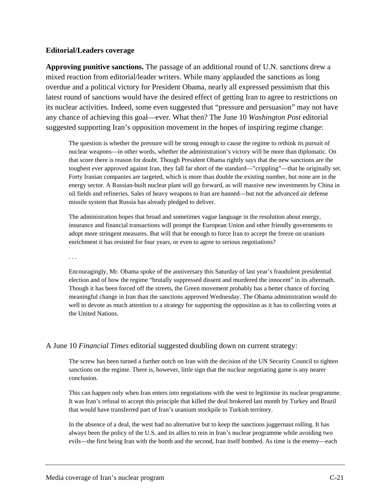### **Editorial/Leaders coverage**

**Approving punitive sanctions.** The passage of an additional round of U.N. sanctions drew a mixed reaction from editorial/leader writers. While many applauded the sanctions as long overdue and a political victory for President Obama, nearly all expressed pessimism that this latest round of sanctions would have the desired effect of getting Iran to agree to restrictions on its nuclear activities. Indeed, some even suggested that "pressure and persuasion" may not have any chance of achieving this goal—ever. What then? The June 10 *Washington Post* editorial suggested supporting Iran's opposition movement in the hopes of inspiring regime change:

The question is whether the pressure will be strong enough to cause the regime to rethink its pursuit of nuclear weapons—in other words, whether the administration's victory will be more than diplomatic. On that score there is reason for doubt. Though President Obama rightly says that the new sanctions are the toughest ever approved against Iran, they fall far short of the standard—"crippling"—that he originally set. Forty Iranian companies are targeted, which is more than double the existing number, but none are in the energy sector. A Russian-built nuclear plant will go forward, as will massive new investments by China in oil fields and refineries. Sales of heavy weapons to Iran are banned—but not the advanced air defense missile system that Russia has already pledged to deliver.

The administration hopes that broad and sometimes vague language in the resolution about energy, insurance and financial transactions will prompt the European Union and other friendly governments to adopt more stringent measures. But will that be enough to force Iran to accept the freeze on uranium enrichment it has resisted for four years, or even to agree to serious negotiations?

*. . .* 

Encouragingly, Mr. Obama spoke of the anniversary this Saturday of last year's fraudulent presidential election and of how the regime "brutally suppressed dissent and murdered the innocent" in its aftermath. Though it has been forced off the streets, the Green movement probably has a better chance of forcing meaningful change in Iran than the sanctions approved Wednesday. The Obama administration would do well to devote as much attention to a strategy for supporting the opposition as it has to collecting votes at the United Nations.

### A June 10 *Financial Times* editorial suggested doubling down on current strategy:

The screw has been turned a further notch on Iran with the decision of the UN Security Council to tighten sanctions on the regime. There is, however, little sign that the nuclear negotiating game is any nearer conclusion.

This can happen only when Iran enters into negotiations with the west to legitimise its nuclear programme. It was Iran's refusal to accept this principle that killed the deal brokered last month by Turkey and Brazil that would have transferred part of Iran's uranium stockpile to Turkish territory.

In the absence of a deal, the west had no alternative but to keep the sanctions juggernaut rolling. It has always been the policy of the U.S. and its allies to rein in Iran's nuclear programme while avoiding two evils—the first being Iran with the bomb and the second, Iran itself bombed. As time is the enemy—each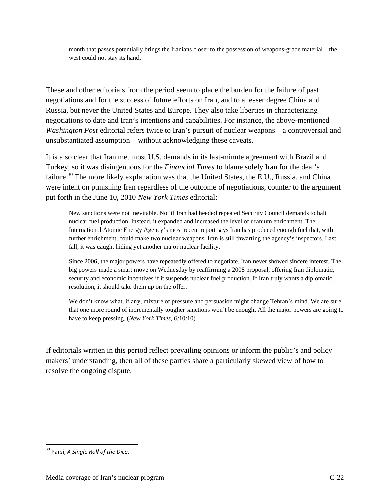month that passes potentially brings the Iranians closer to the possession of weapons-grade material—the west could not stay its hand.

These and other editorials from the period seem to place the burden for the failure of past negotiations and for the success of future efforts on Iran, and to a lesser degree China and Russia, but never the United States and Europe. They also take liberties in characterizing negotiations to date and Iran's intentions and capabilities. For instance, the above-mentioned *Washington Post* editorial refers twice to Iran's pursuit of nuclear weapons—a controversial and unsubstantiated assumption—without acknowledging these caveats.

It is also clear that Iran met most U.S. demands in its last-minute agreement with Brazil and Turkey, so it was disingenuous for the *Financial Times* to blame solely Iran for the deal's failure.<sup>30</sup> The more likely explanation was that the United States, the E.U., Russia, and China were intent on punishing Iran regardless of the outcome of negotiations, counter to the argument put forth in the June 10, 2010 *New York Times* editorial:

New sanctions were not inevitable. Not if Iran had heeded repeated Security Council demands to halt nuclear fuel production. Instead, it expanded and increased the level of uranium enrichment. The International Atomic Energy Agency's most recent report says Iran has produced enough fuel that, with further enrichment, could make two nuclear weapons. Iran is still thwarting the agency's inspectors. Last fall, it was caught hiding yet another major nuclear facility.

Since 2006, the major powers have repeatedly offered to negotiate. Iran never showed sincere interest. The big powers made a smart move on Wednesday by reaffirming a 2008 proposal, offering Iran diplomatic, security and economic incentives if it suspends nuclear fuel production. If Iran truly wants a diplomatic resolution, it should take them up on the offer.

We don't know what, if any, mixture of pressure and persuasion might change Tehran's mind. We are sure that one more round of incrementally tougher sanctions won't be enough. All the major powers are going to have to keep pressing. (*New York Times*, 6/10/10)

If editorials written in this period reflect prevailing opinions or inform the public's and policy makers' understanding, then all of these parties share a particularly skewed view of how to resolve the ongoing dispute.

 <sup>30</sup> Parsi, *A Single Roll of the Dice*.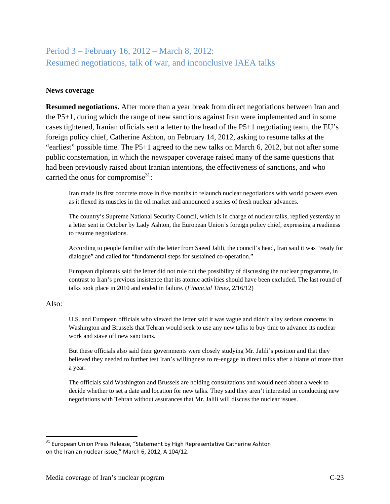# Period 3 – February 16, 2012 – March 8, 2012: Resumed negotiations, talk of war, and inconclusive IAEA talks

# **News coverage**

**Resumed negotiations.** After more than a year break from direct negotiations between Iran and the P5+1, during which the range of new sanctions against Iran were implemented and in some cases tightened, Iranian officials sent a letter to the head of the P5+1 negotiating team, the EU's foreign policy chief, Catherine Ashton, on February 14, 2012, asking to resume talks at the "earliest" possible time. The P5+1 agreed to the new talks on March 6, 2012, but not after some public consternation, in which the newspaper coverage raised many of the same questions that had been previously raised about Iranian intentions, the effectiveness of sanctions, and who carried the onus for compromise<sup>31</sup>:

Iran made its first concrete move in five months to relaunch nuclear negotiations with world powers even as it flexed its muscles in the oil market and announced a series of fresh nuclear advances.

The country's Supreme National Security Council, which is in charge of nuclear talks, replied yesterday to a letter sent in October by Lady Ashton, the European Union's foreign policy chief, expressing a readiness to resume negotiations.

According to people familiar with the letter from Saeed Jalili, the council's head, Iran said it was "ready for dialogue" and called for "fundamental steps for sustained co-operation."

European diplomats said the letter did not rule out the possibility of discussing the nuclear programme, in contrast to Iran's previous insistence that its atomic activities should have been excluded. The last round of talks took place in 2010 and ended in failure. (*Financial Times*, 2/16/12)

# Also:

U.S. and European officials who viewed the letter said it was vague and didn't allay serious concerns in Washington and Brussels that Tehran would seek to use any new talks to buy time to advance its nuclear work and stave off new sanctions.

But these officials also said their governments were closely studying Mr. Jalili's position and that they believed they needed to further test Iran's willingness to re-engage in direct talks after a hiatus of more than a year.

The officials said Washington and Brussels are holding consultations and would need about a week to decide whether to set a date and location for new talks. They said they aren't interested in conducting new negotiations with Tehran without assurances that Mr. Jalili will discuss the nuclear issues.

 $31$  European Union Press Release, "Statement by High Representative Catherine Ashton on the Iranian nuclear issue," March 6, 2012, A 104/12.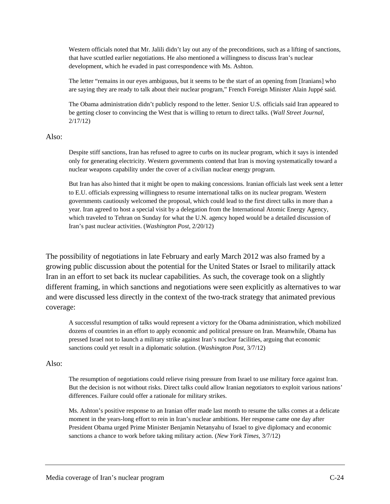Western officials noted that Mr. Jalili didn't lay out any of the preconditions, such as a lifting of sanctions, that have scuttled earlier negotiations. He also mentioned a willingness to discuss Iran's nuclear development, which he evaded in past correspondence with Ms. Ashton.

The letter "remains in our eyes ambiguous, but it seems to be the start of an opening from [Iranians] who are saying they are ready to talk about their nuclear program," French Foreign Minister Alain Juppé said.

The Obama administration didn't publicly respond to the letter. Senior U.S. officials said Iran appeared to be getting closer to convincing the West that is willing to return to direct talks. (*Wall Street Journal*, 2/17/12)

# Also:

Despite stiff sanctions, Iran has refused to agree to curbs on its nuclear program, which it says is intended only for generating electricity. Western governments contend that Iran is moving systematically toward a nuclear weapons capability under the cover of a civilian nuclear energy program.

But Iran has also hinted that it might be open to making concessions. Iranian officials last week sent a letter to E.U. officials expressing willingness to resume international talks on its nuclear program. Western governments cautiously welcomed the proposal, which could lead to the first direct talks in more than a year. Iran agreed to host a special visit by a delegation from the International Atomic Energy Agency, which traveled to Tehran on Sunday for what the U.N. agency hoped would be a detailed discussion of Iran's past nuclear activities. (*Washington Post*, 2/20/12)

The possibility of negotiations in late February and early March 2012 was also framed by a growing public discussion about the potential for the United States or Israel to militarily attack Iran in an effort to set back its nuclear capabilities. As such, the coverage took on a slightly different framing, in which sanctions and negotiations were seen explicitly as alternatives to war and were discussed less directly in the context of the two-track strategy that animated previous coverage:

A successful resumption of talks would represent a victory for the Obama administration, which mobilized dozens of countries in an effort to apply economic and political pressure on Iran. Meanwhile, Obama has pressed Israel not to launch a military strike against Iran's nuclear facilities, arguing that economic sanctions could yet result in a diplomatic solution. (*Washington Post*, 3/7/12)

# Also:

The resumption of negotiations could relieve rising pressure from Israel to use military force against Iran. But the decision is not without risks. Direct talks could allow Iranian negotiators to exploit various nations' differences. Failure could offer a rationale for military strikes.

Ms. Ashton's positive response to an Iranian offer made last month to resume the talks comes at a delicate moment in the years-long effort to rein in Iran's nuclear ambitions. Her response came one day after President Obama urged Prime Minister Benjamin Netanyahu of Israel to give diplomacy and economic sanctions a chance to work before taking military action. (*New York Times*, 3/7/12)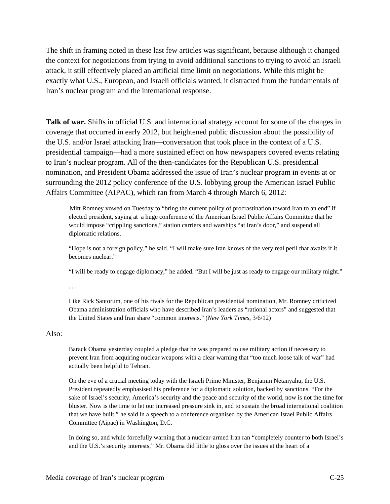The shift in framing noted in these last few articles was significant, because although it changed the context for negotiations from trying to avoid additional sanctions to trying to avoid an Israeli attack, it still effectively placed an artificial time limit on negotiations. While this might be exactly what U.S., European, and Israeli officials wanted, it distracted from the fundamentals of Iran's nuclear program and the international response.

**Talk of war.** Shifts in official U.S. and international strategy account for some of the changes in coverage that occurred in early 2012, but heightened public discussion about the possibility of the U.S. and/or Israel attacking Iran—conversation that took place in the context of a U.S. presidential campaign—had a more sustained effect on how newspapers covered events relating to Iran's nuclear program. All of the then-candidates for the Republican U.S. presidential nomination, and President Obama addressed the issue of Iran's nuclear program in events at or surrounding the 2012 policy conference of the U.S. lobbying group the American Israel Public Affairs Committee (AIPAC), which ran from March 4 through March 6, 2012:

Mitt Romney vowed on Tuesday to "bring the current policy of procrastination toward Iran to an end" if elected president, saying at a huge conference of the American Israel Public Affairs Committee that he would impose "crippling sanctions," station carriers and warships "at Iran's door," and suspend all diplomatic relations.

"Hope is not a foreign policy," he said. "I will make sure Iran knows of the very real peril that awaits if it becomes nuclear."

"I will be ready to engage diplomacy," he added. "But I will be just as ready to engage our military might."

*. . .* 

Like Rick Santorum, one of his rivals for the Republican presidential nomination, Mr. Romney criticized Obama administration officials who have described Iran's leaders as "rational actors" and suggested that the United States and Iran share "common interests." (*New York Times*, 3/6/12)

#### Also:

Barack Obama yesterday coupled a pledge that he was prepared to use military action if necessary to prevent Iran from acquiring nuclear weapons with a clear warning that "too much loose talk of war" had actually been helpful to Tehran.

On the eve of a crucial meeting today with the Israeli Prime Minister, Benjamin Netanyahu, the U.S. President repeatedly emphasised his preference for a diplomatic solution, backed by sanctions. "For the sake of Israel's security, America's security and the peace and security of the world, now is not the time for bluster. Now is the time to let our increased pressure sink in, and to sustain the broad international coalition that we have built," he said in a speech to a conference organised by the American Israel Public Affairs Committee (Aipac) in Washington, D.C.

In doing so, and while forcefully warning that a nuclear-armed Iran ran "completely counter to both Israel's and the U.S.'s security interests," Mr. Obama did little to gloss over the issues at the heart of a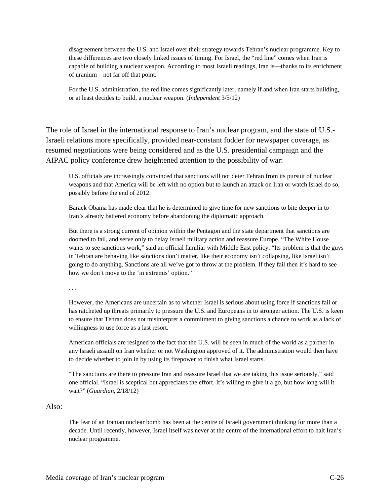disagreement between the U.S. and Israel over their strategy towards Tehran's nuclear programme. Key to these differences are two closely linked issues of timing. For Israel, the "red line" comes when Iran is capable of building a nuclear weapon. According to most Israeli readings, Iran is—thanks to its enrichment of uranium—not far off that point.

For the U.S. administration, the red line comes significantly later, namely if and when Iran starts building, or at least decides to build, a nuclear weapon. (*Independent* 3/5/12)

The role of Israel in the international response to Iran's nuclear program, and the state of U.S.- Israeli relations more specifically, provided near-constant fodder for newspaper coverage, as resumed negotiations were being considered and as the U.S. presidential campaign and the AIPAC policy conference drew heightened attention to the possibility of war:

U.S. officials are increasingly convinced that sanctions will not deter Tehran from its pursuit of nuclear weapons and that America will be left with no option but to launch an attack on Iran or watch Israel do so, possibly before the end of 2012.

Barack Obama has made clear that he is determined to give time for new sanctions to bite deeper in to Iran's already battered economy before abandoning the diplomatic approach.

But there is a strong current of opinion within the Pentagon and the state department that sanctions are doomed to fail, and serve only to delay Israeli military action and reassure Europe. "The White House wants to see sanctions work," said an official familiar with Middle East policy. "Its problem is that the guys in Tehran are behaving like sanctions don't matter, like their economy isn't collapsing, like Israel isn't going to do anything. Sanctions are all we've got to throw at the problem. If they fail then it's hard to see how we don't move to the 'in extremis' option."

However, the Americans are uncertain as to whether Israel is serious about using force if sanctions fail or has ratcheted up threats primarily to pressure the U.S. and Europeans in to stronger action. The U.S. is keen to ensure that Tehran does not misinterpret a commitment to giving sanctions a chance to work as a lack of willingness to use force as a last resort.

American officials are resigned to the fact that the U.S. will be seen in much of the world as a partner in any Israeli assault on Iran whether or not Washington approved of it. The administration would then have to decide whether to join in by using its firepower to finish what Israel starts.

"The sanctions are there to pressure Iran and reassure Israel that we are taking this issue seriously," said one official. "Israel is sceptical but appreciates the effort. It's willing to give it a go, but how long will it wait?" (*Guardian*, 2/18/12)

### Also:

The fear of an Iranian nuclear bomb has been at the centre of Israeli government thinking for more than a decade. Until recently, however, Israel itself was never at the centre of the international effort to halt Iran's nuclear programme.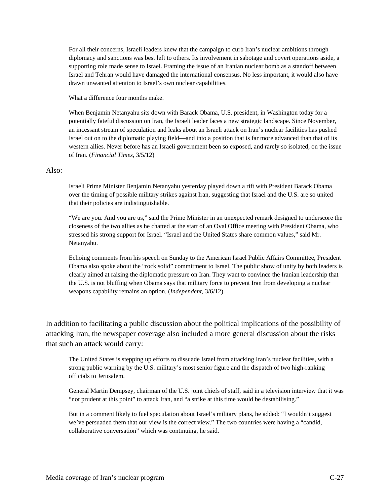For all their concerns, Israeli leaders knew that the campaign to curb Iran's nuclear ambitions through diplomacy and sanctions was best left to others. Its involvement in sabotage and covert operations aside, a supporting role made sense to Israel. Framing the issue of an Iranian nuclear bomb as a standoff between Israel and Tehran would have damaged the international consensus. No less important, it would also have drawn unwanted attention to Israel's own nuclear capabilities.

What a difference four months make.

When Benjamin Netanyahu sits down with Barack Obama, U.S. president, in Washington today for a potentially fateful discussion on Iran, the Israeli leader faces a new strategic landscape. Since November, an incessant stream of speculation and leaks about an Israeli attack on Iran's nuclear facilities has pushed Israel out on to the diplomatic playing field—and into a position that is far more advanced than that of its western allies. Never before has an Israeli government been so exposed, and rarely so isolated, on the issue of Iran. (*Financial Times*, 3/5/12)

# Also:

Israeli Prime Minister Benjamin Netanyahu yesterday played down a rift with President Barack Obama over the timing of possible military strikes against Iran, suggesting that Israel and the U.S. are so united that their policies are indistinguishable.

"We are you. And you are us," said the Prime Minister in an unexpected remark designed to underscore the closeness of the two allies as he chatted at the start of an Oval Office meeting with President Obama, who stressed his strong support for Israel. "Israel and the United States share common values," said Mr. Netanyahu.

Echoing comments from his speech on Sunday to the American Israel Public Affairs Committee, President Obama also spoke about the "rock solid" commitment to Israel. The public show of unity by both leaders is clearly aimed at raising the diplomatic pressure on Iran. They want to convince the Iranian leadership that the U.S. is not bluffing when Obama says that military force to prevent Iran from developing a nuclear weapons capability remains an option. (*Independent,* 3/6/12)

In addition to facilitating a public discussion about the political implications of the possibility of attacking Iran, the newspaper coverage also included a more general discussion about the risks that such an attack would carry:

The United States is stepping up efforts to dissuade Israel from attacking Iran's nuclear facilities, with a strong public warning by the U.S. military's most senior figure and the dispatch of two high-ranking officials to Jerusalem.

General Martin Dempsey, chairman of the U.S. joint chiefs of staff, said in a television interview that it was "not prudent at this point" to attack Iran, and "a strike at this time would be destabilising."

But in a comment likely to fuel speculation about Israel's military plans, he added: "I wouldn't suggest we've persuaded them that our view is the correct view." The two countries were having a "candid, collaborative conversation" which was continuing, he said.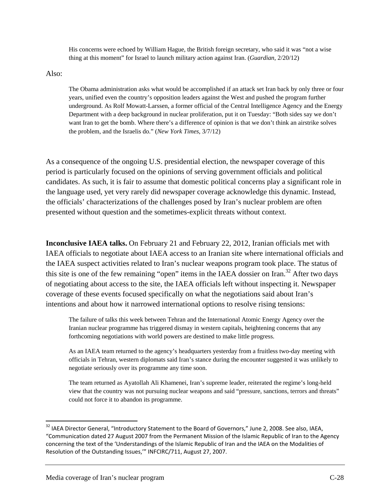His concerns were echoed by William Hague, the British foreign secretary, who said it was "not a wise thing at this moment" for Israel to launch military action against Iran. (*Guardian*, 2/20/12)

Also:

The Obama administration asks what would be accomplished if an attack set Iran back by only three or four years, unified even the country's opposition leaders against the West and pushed the program further underground. As Rolf Mowatt-Larssen, a former official of the Central Intelligence Agency and the Energy Department with a deep background in nuclear proliferation, put it on Tuesday: "Both sides say we don't want Iran to get the bomb. Where there's a difference of opinion is that we don't think an airstrike solves the problem, and the Israelis do." (*New York Times*, 3/7/12)

As a consequence of the ongoing U.S. presidential election, the newspaper coverage of this period is particularly focused on the opinions of serving government officials and political candidates. As such, it is fair to assume that domestic political concerns play a significant role in the language used, yet very rarely did newspaper coverage acknowledge this dynamic. Instead, the officials' characterizations of the challenges posed by Iran's nuclear problem are often presented without question and the sometimes-explicit threats without context.

**Inconclusive IAEA talks.** On February 21 and February 22, 2012, Iranian officials met with IAEA officials to negotiate about IAEA access to an Iranian site where international officials and the IAEA suspect activities related to Iran's nuclear weapons program took place. The status of this site is one of the few remaining "open" items in the IAEA dossier on Iran.<sup>32</sup> After two days of negotiating about access to the site, the IAEA officials left without inspecting it. Newspaper coverage of these events focused specifically on what the negotiations said about Iran's intentions and about how it narrowed international options to resolve rising tensions:

The failure of talks this week between Tehran and the International Atomic Energy Agency over the Iranian nuclear programme has triggered dismay in western capitals, heightening concerns that any forthcoming negotiations with world powers are destined to make little progress.

As an IAEA team returned to the agency's headquarters yesterday from a fruitless two-day meeting with officials in Tehran, western diplomats said Iran's stance during the encounter suggested it was unlikely to negotiate seriously over its programme any time soon.

The team returned as Ayatollah Ali Khamenei, Iran's supreme leader, reiterated the regime's long-held view that the country was not pursuing nuclear weapons and said "pressure, sanctions, terrors and threats" could not force it to abandon its programme.

<sup>&</sup>lt;sup>32</sup> IAEA Director General, "Introductory Statement to the Board of Governors," June 2, 2008. See also, IAEA, "Communication dated 27 August 2007 from the Permanent Mission of the Islamic Republic of Iran to the Agency concerning the text of the 'Understandings of the Islamic Republic of Iran and the IAEA on the Modalities of Resolution of the Outstanding Issues,'" INFCIRC/711, August 27, 2007.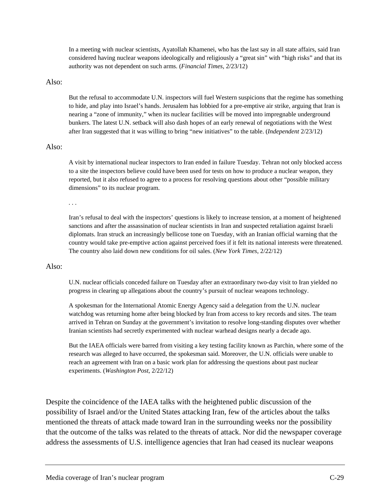In a meeting with nuclear scientists, Ayatollah Khamenei, who has the last say in all state affairs, said Iran considered having nuclear weapons ideologically and religiously a "great sin" with "high risks" and that its authority was not dependent on such arms. (*Financial Times*, 2/23/12)

### Also:

But the refusal to accommodate U.N. inspectors will fuel Western suspicions that the regime has something to hide, and play into Israel's hands. Jerusalem has lobbied for a pre-emptive air strike, arguing that Iran is nearing a "zone of immunity," when its nuclear facilities will be moved into impregnable underground bunkers. The latest U.N. setback will also dash hopes of an early renewal of negotiations with the West after Iran suggested that it was willing to bring "new initiatives" to the table. (*Independent* 2/23/12)

# Also:

A visit by international nuclear inspectors to Iran ended in failure Tuesday. Tehran not only blocked access to a site the inspectors believe could have been used for tests on how to produce a nuclear weapon, they reported, but it also refused to agree to a process for resolving questions about other "possible military dimensions" to its nuclear program.

*. . .* 

Iran's refusal to deal with the inspectors' questions is likely to increase tension, at a moment of heightened sanctions and after the assassination of nuclear scientists in Iran and suspected retaliation against Israeli diplomats. Iran struck an increasingly bellicose tone on Tuesday, with an Iranian official warning that the country would take pre-emptive action against perceived foes if it felt its national interests were threatened. The country also laid down new conditions for oil sales. (*New York Times*, 2/22/12)

### Also:

U.N. nuclear officials conceded failure on Tuesday after an extraordinary two-day visit to Iran yielded no progress in clearing up allegations about the country's pursuit of nuclear weapons technology.

A spokesman for the International Atomic Energy Agency said a delegation from the U.N. nuclear watchdog was returning home after being blocked by Iran from access to key records and sites. The team arrived in Tehran on Sunday at the government's invitation to resolve long-standing disputes over whether Iranian scientists had secretly experimented with nuclear warhead designs nearly a decade ago.

But the IAEA officials were barred from visiting a key testing facility known as Parchin, where some of the research was alleged to have occurred, the spokesman said. Moreover, the U.N. officials were unable to reach an agreement with Iran on a basic work plan for addressing the questions about past nuclear experiments. (*Washington Post*, 2/22/12)

Despite the coincidence of the IAEA talks with the heightened public discussion of the possibility of Israel and/or the United States attacking Iran, few of the articles about the talks mentioned the threats of attack made toward Iran in the surrounding weeks nor the possibility that the outcome of the talks was related to the threats of attack. Nor did the newspaper coverage address the assessments of U.S. intelligence agencies that Iran had ceased its nuclear weapons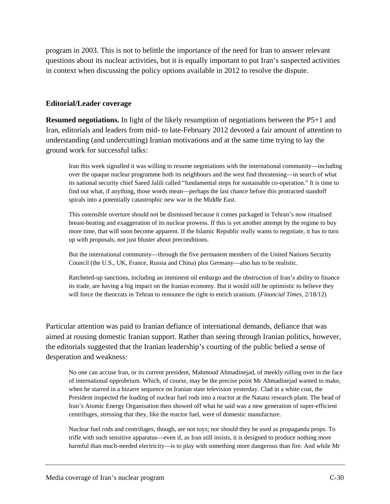program in 2003. This is not to belittle the importance of the need for Iran to answer relevant questions about its nuclear activities, but it is equally important to put Iran's suspected activities in context when discussing the policy options available in 2012 to resolve the dispute.

# **Editorial/Leader coverage**

**Resumed negotiations.** In light of the likely resumption of negotiations between the P5+1 and Iran, editorials and leaders from mid- to late-February 2012 devoted a fair amount of attention to understanding (and undercutting) Iranian motivations and at the same time trying to lay the ground work for successful talks:

Iran this week signalled it was willing to resume negotiations with the international community—including over the opaque nuclear programme both its neighbours and the west find threatening—in search of what its national security chief Saeed Jalili called "fundamental steps for sustainable co-operation." It is time to find out what, if anything, those words mean—perhaps the last chance before this protracted standoff spirals into a potentially catastrophic new war in the Middle East.

This ostensible overture should not be dismissed because it comes packaged in Tehran's now ritualised breast-beating and exaggeration of its nuclear prowess. If this is yet another attempt by the regime to buy more time, that will soon become apparent. If the Islamic Republic really wants to negotiate, it has to turn up with proposals, not just bluster about preconditions.

But the international community—through the five permanent members of the United Nations Security Council (the U.S., UK, France, Russia and China) plus Germany—also has to be realistic.

Ratcheted-up sanctions, including an imminent oil embargo and the obstruction of Iran's ability to finance its trade, are having a big impact on the Iranian economy. But it would still be optimistic to believe they will force the theocrats in Tehran to renounce the right to enrich uranium. (*Financial Times*, 2/18/12)

Particular attention was paid to Iranian defiance of international demands, defiance that was aimed at rousing domestic Iranian support. Rather than seeing through Iranian politics, however, the editorials suggested that the Iranian leadership's courting of the public belied a sense of desperation and weakness:

No one can accuse Iran, or its current president, Mahmoud Ahmadinejad, of meekly rolling over in the face of international opprobrium. Which, of course, may be the precise point Mr Ahmadinejad wanted to make, when he starred in a bizarre sequence on Iranian state television yesterday. Clad in a white coat, the President inspected the loading of nuclear fuel rods into a reactor at the Natanz research plant. The head of Iran's Atomic Energy Organisation then showed off what he said was a new generation of super-efficient centrifuges, stressing that they, like the reactor fuel, were of domestic manufacture.

Nuclear fuel rods and centrifuges, though, are not toys; nor should they be used as propaganda props. To trifle with such sensitive apparatus—even if, as Iran still insists, it is designed to produce nothing more harmful than much-needed electricity—is to play with something more dangerous than fire. And while Mr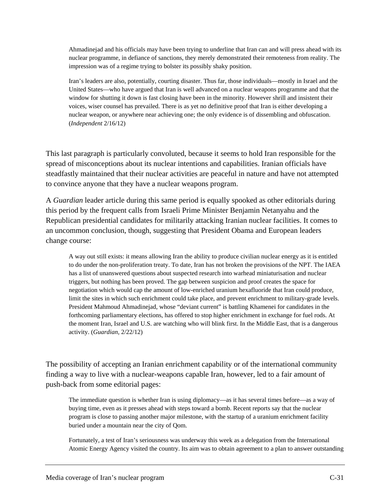Ahmadinejad and his officials may have been trying to underline that Iran can and will press ahead with its nuclear programme, in defiance of sanctions, they merely demonstrated their remoteness from reality. The impression was of a regime trying to bolster its possibly shaky position.

Iran's leaders are also, potentially, courting disaster. Thus far, those individuals—mostly in Israel and the United States—who have argued that Iran is well advanced on a nuclear weapons programme and that the window for shutting it down is fast closing have been in the minority. However shrill and insistent their voices, wiser counsel has prevailed. There is as yet no definitive proof that Iran is either developing a nuclear weapon, or anywhere near achieving one; the only evidence is of dissembling and obfuscation. (*Independent* 2/16/12)

This last paragraph is particularly convoluted, because it seems to hold Iran responsible for the spread of misconceptions about its nuclear intentions and capabilities. Iranian officials have steadfastly maintained that their nuclear activities are peaceful in nature and have not attempted to convince anyone that they have a nuclear weapons program.

A *Guardian* leader article during this same period is equally spooked as other editorials during this period by the frequent calls from Israeli Prime Minister Benjamin Netanyahu and the Republican presidential candidates for militarily attacking Iranian nuclear facilities. It comes to an uncommon conclusion, though, suggesting that President Obama and European leaders change course:

A way out still exists: it means allowing Iran the ability to produce civilian nuclear energy as it is entitled to do under the non-proliferation treaty. To date, Iran has not broken the provisions of the NPT. The IAEA has a list of unanswered questions about suspected research into warhead miniaturisation and nuclear triggers, but nothing has been proved. The gap between suspicion and proof creates the space for negotiation which would cap the amount of low-enriched uranium hexafluoride that Iran could produce, limit the sites in which such enrichment could take place, and prevent enrichment to military-grade levels. President Mahmoud Ahmadinejad, whose "deviant current" is battling Khamenei for candidates in the forthcoming parliamentary elections, has offered to stop higher enrichment in exchange for fuel rods. At the moment Iran, Israel and U.S. are watching who will blink first. In the Middle East, that is a dangerous activity. (*Guardian*, 2/22/12)

The possibility of accepting an Iranian enrichment capability or of the international community finding a way to live with a nuclear-weapons capable Iran, however, led to a fair amount of push-back from some editorial pages:

The immediate question is whether Iran is using diplomacy—as it has several times before—as a way of buying time, even as it presses ahead with steps toward a bomb. Recent reports say that the nuclear program is close to passing another major milestone, with the startup of a uranium enrichment facility buried under a mountain near the city of Qom.

Fortunately, a test of Iran's seriousness was underway this week as a delegation from the International Atomic Energy Agency visited the country. Its aim was to obtain agreement to a plan to answer outstanding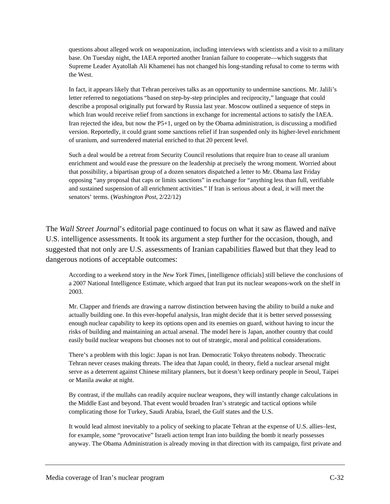questions about alleged work on weaponization, including interviews with scientists and a visit to a military base. On Tuesday night, the IAEA reported another Iranian failure to cooperate—which suggests that Supreme Leader Ayatollah Ali Khamenei has not changed his long-standing refusal to come to terms with the West.

In fact, it appears likely that Tehran perceives talks as an opportunity to undermine sanctions. Mr. Jalili's letter referred to negotiations "based on step-by-step principles and reciprocity," language that could describe a proposal originally put forward by Russia last year. Moscow outlined a sequence of steps in which Iran would receive relief from sanctions in exchange for incremental actions to satisfy the IAEA. Iran rejected the idea, but now the P5+1, urged on by the Obama administration, is discussing a modified version. Reportedly, it could grant some sanctions relief if Iran suspended only its higher-level enrichment of uranium, and surrendered material enriched to that 20 percent level.

Such a deal would be a retreat from Security Council resolutions that require Iran to cease all uranium enrichment and would ease the pressure on the leadership at precisely the wrong moment. Worried about that possibility, a bipartisan group of a dozen senators dispatched a letter to Mr. Obama last Friday opposing "any proposal that caps or limits sanctions" in exchange for "anything less than full, verifiable and sustained suspension of all enrichment activities." If Iran is serious about a deal, it will meet the senators' terms. (*Washington Post*, 2/22/12)

The *Wall Street Journal*'s editorial page continued to focus on what it saw as flawed and naïve U.S. intelligence assessments. It took its argument a step further for the occasion, though, and suggested that not only are U.S. assessments of Iranian capabilities flawed but that they lead to dangerous notions of acceptable outcomes:

According to a weekend story in the *New York Times*, [intelligence officials] still believe the conclusions of a 2007 National Intelligence Estimate, which argued that Iran put its nuclear weapons-work on the shelf in 2003.

Mr. Clapper and friends are drawing a narrow distinction between having the ability to build a nuke and actually building one. In this ever-hopeful analysis, Iran might decide that it is better served possessing enough nuclear capability to keep its options open and its enemies on guard, without having to incur the risks of building and maintaining an actual arsenal. The model here is Japan, another country that could easily build nuclear weapons but chooses not to out of strategic, moral and political considerations.

There's a problem with this logic: Japan is not Iran. Democratic Tokyo threatens nobody. Theocratic Tehran never ceases making threats. The idea that Japan could, in theory, field a nuclear arsenal might serve as a deterrent against Chinese military planners, but it doesn't keep ordinary people in Seoul, Taipei or Manila awake at night.

By contrast, if the mullahs can readily acquire nuclear weapons, they will instantly change calculations in the Middle East and beyond. That event would broaden Iran's strategic and tactical options while complicating those for Turkey, Saudi Arabia, Israel, the Gulf states and the U.S.

It would lead almost inevitably to a policy of seeking to placate Tehran at the expense of U.S. allies–lest, for example, some "provocative" Israeli action tempt Iran into building the bomb it nearly possesses anyway. The Obama Administration is already moving in that direction with its campaign, first private and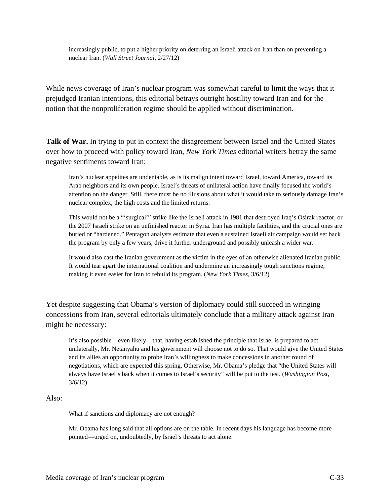increasingly public, to put a higher priority on deterring an Israeli attack on Iran than on preventing a nuclear Iran. (*Wall Street Journal*, 2/27/12)

While news coverage of Iran's nuclear program was somewhat careful to limit the ways that it prejudged Iranian intentions, this editorial betrays outright hostility toward Iran and for the notion that the nonproliferation regime should be applied without discrimination.

**Talk of War.** In trying to put in context the disagreement between Israel and the United States over how to proceed with policy toward Iran, *New York Times* editorial writers betray the same negative sentiments toward Iran:

Iran's nuclear appetites are undeniable, as is its malign intent toward Israel, toward America, toward its Arab neighbors and its own people. Israel's threats of unilateral action have finally focused the world's attention on the danger. Still, there must be no illusions about what it would take to seriously damage Iran's nuclear complex, the high costs and the limited returns.

This would not be a "'surgical'" strike like the Israeli attack in 1981 that destroyed Iraq's Osirak reactor, or the 2007 Israeli strike on an unfinished reactor in Syria. Iran has multiple facilities, and the crucial ones are buried or "hardened." Pentagon analysts estimate that even a sustained Israeli air campaign would set back the program by only a few years, drive it further underground and possibly unleash a wider war.

It would also cast the Iranian government as the victim in the eyes of an otherwise alienated Iranian public. It would tear apart the international coalition and undermine an increasingly tough sanctions regime, making it even easier for Iran to rebuild its program. (*New York Times*, 3/6/12)

Yet despite suggesting that Obama's version of diplomacy could still succeed in wringing concessions from Iran, several editorials ultimately conclude that a military attack against Iran might be necessary:

It's also possible—even likely—that, having established the principle that Israel is prepared to act unilaterally, Mr. Netanyahu and his government will choose not to do so. That would give the United States and its allies an opportunity to probe Iran's willingness to make concessions in another round of negotiations, which are expected this spring. Otherwise, Mr. Obama's pledge that "the United States will always have Israel's back when it comes to Israel's security" will be put to the test. (*Washington Post*, 3/6/12)

# Also:

What if sanctions and diplomacy are not enough?

Mr. Obama has long said that all options are on the table. In recent days his language has become more pointed—urged on, undoubtedly, by Israel's threats to act alone.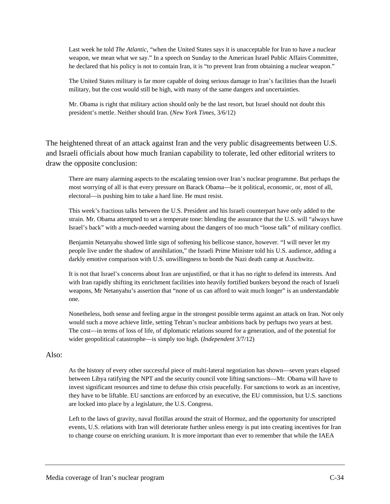Last week he told *The Atlantic*, "when the United States says it is unacceptable for Iran to have a nuclear weapon, we mean what we say." In a speech on Sunday to the American Israel Public Affairs Committee, he declared that his policy is not to contain Iran, it is "to prevent Iran from obtaining a nuclear weapon."

The United States military is far more capable of doing serious damage to Iran's facilities than the Israeli military, but the cost would still be high, with many of the same dangers and uncertainties.

Mr. Obama is right that military action should only be the last resort, but Israel should not doubt this president's mettle. Neither should Iran. (*New York Times*, 3/6/12)

The heightened threat of an attack against Iran and the very public disagreements between U.S. and Israeli officials about how much Iranian capability to tolerate, led other editorial writers to draw the opposite conclusion:

There are many alarming aspects to the escalating tension over Iran's nuclear programme. But perhaps the most worrying of all is that every pressure on Barack Obama—be it political, economic, or, most of all, electoral—is pushing him to take a hard line. He must resist.

This week's fractious talks between the U.S. President and his Israeli counterpart have only added to the strain. Mr. Obama attempted to set a temperate tone: blending the assurance that the U.S. will "always have Israel's back" with a much-needed warning about the dangers of too much "loose talk" of military conflict.

Benjamin Netanyahu showed little sign of softening his bellicose stance, however. "I will never let my people live under the shadow of annihilation," the Israeli Prime Minister told his U.S. audience, adding a darkly emotive comparison with U.S. unwillingness to bomb the Nazi death camp at Auschwitz.

It is not that Israel's concerns about Iran are unjustified, or that it has no right to defend its interests. And with Iran rapidly shifting its enrichment facilities into heavily fortified bunkers beyond the reach of Israeli weapons, Mr Netanyahu's assertion that "none of us can afford to wait much longer" is an understandable one.

Nonetheless, both sense and feeling argue in the strongest possible terms against an attack on Iran. Not only would such a move achieve little, setting Tehran's nuclear ambitions back by perhaps two years at best. The cost—in terms of loss of life, of diplomatic relations soured for a generation, and of the potential for wider geopolitical catastrophe—is simply too high. (*Independent* 3/7/12)

#### Also:

As the history of every other successful piece of multi-lateral negotiation has shown—seven years elapsed between Libya ratifying the NPT and the security council vote lifting sanctions—Mr. Obama will have to invest significant resources and time to defuse this crisis peacefully. For sanctions to work as an incentive, they have to be liftable. EU sanctions are enforced by an executive, the EU commission, but U.S. sanctions are locked into place by a legislature, the U.S. Congress.

Left to the laws of gravity, naval flotillas around the strait of Hormuz, and the opportunity for unscripted events, U.S. relations with Iran will deteriorate further unless energy is put into creating incentives for Iran to change course on enriching uranium. It is more important than ever to remember that while the IAEA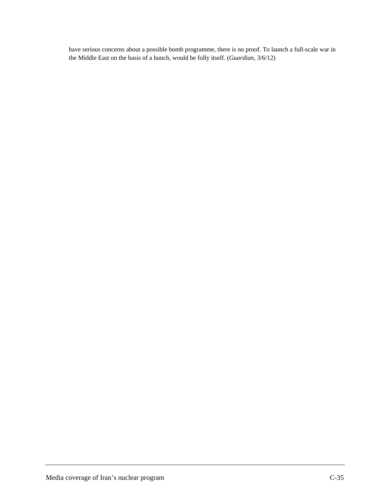have serious concerns about a possible bomb programme, there is no proof. To launch a full-scale war in the Middle East on the basis of a hunch, would be folly itself. (*Guardian*, 3/6/12)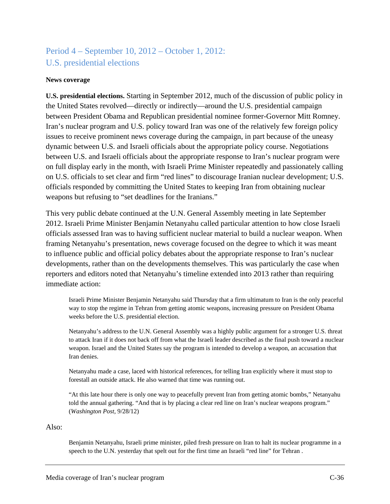# Period 4 – September 10, 2012 – October 1, 2012: U.S. presidential elections

# **News coverage**

**U.S. presidential elections.** Starting in September 2012, much of the discussion of public policy in the United States revolved—directly or indirectly—around the U.S. presidential campaign between President Obama and Republican presidential nominee former-Governor Mitt Romney. Iran's nuclear program and U.S. policy toward Iran was one of the relatively few foreign policy issues to receive prominent news coverage during the campaign, in part because of the uneasy dynamic between U.S. and Israeli officials about the appropriate policy course. Negotiations between U.S. and Israeli officials about the appropriate response to Iran's nuclear program were on full display early in the month, with Israeli Prime Minister repeatedly and passionately calling on U.S. officials to set clear and firm "red lines" to discourage Iranian nuclear development; U.S. officials responded by committing the United States to keeping Iran from obtaining nuclear weapons but refusing to "set deadlines for the Iranians."

This very public debate continued at the U.N. General Assembly meeting in late September 2012. Israeli Prime Minister Benjamin Netanyahu called particular attention to how close Israeli officials assessed Iran was to having sufficient nuclear material to build a nuclear weapon. When framing Netanyahu's presentation, news coverage focused on the degree to which it was meant to influence public and official policy debates about the appropriate response to Iran's nuclear developments, rather than on the developments themselves. This was particularly the case when reporters and editors noted that Netanyahu's timeline extended into 2013 rather than requiring immediate action:

Israeli Prime Minister Benjamin Netanyahu said Thursday that a firm ultimatum to Iran is the only peaceful way to stop the regime in Tehran from getting atomic weapons, increasing pressure on President Obama weeks before the U.S. presidential election.

Netanyahu's address to the U.N. General Assembly was a highly public argument for a stronger U.S. threat to attack Iran if it does not back off from what the Israeli leader described as the final push toward a nuclear weapon. Israel and the United States say the program is intended to develop a weapon, an accusation that Iran denies.

Netanyahu made a case, laced with historical references, for telling Iran explicitly where it must stop to forestall an outside attack. He also warned that time was running out.

"At this late hour there is only one way to peacefully prevent Iran from getting atomic bombs," Netanyahu told the annual gathering. "And that is by placing a clear red line on Iran's nuclear weapons program." (*Washington Post*, 9/28/12)

# Also:

Benjamin Netanyahu, Israeli prime minister, piled fresh pressure on Iran to halt its nuclear programme in a speech to the U.N. yesterday that spelt out for the first time an Israeli "red line" for Tehran .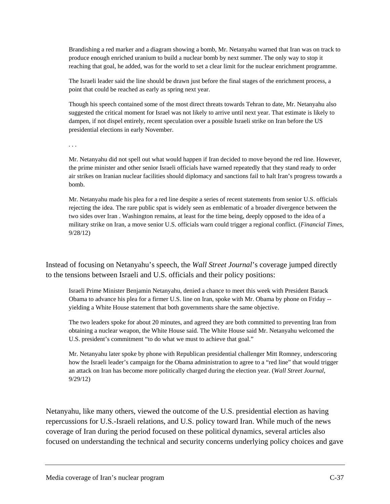Brandishing a red marker and a diagram showing a bomb, Mr. Netanyahu warned that Iran was on track to produce enough enriched uranium to build a nuclear bomb by next summer. The only way to stop it reaching that goal, he added, was for the world to set a clear limit for the nuclear enrichment programme.

The Israeli leader said the line should be drawn just before the final stages of the enrichment process, a point that could be reached as early as spring next year.

Though his speech contained some of the most direct threats towards Tehran to date, Mr. Netanyahu also suggested the critical moment for Israel was not likely to arrive until next year. That estimate is likely to dampen, if not dispel entirely, recent speculation over a possible Israeli strike on Iran before the US presidential elections in early November.

*. . .* 

Mr. Netanyahu did not spell out what would happen if Iran decided to move beyond the red line. However, the prime minister and other senior Israeli officials have warned repeatedly that they stand ready to order air strikes on Iranian nuclear facilities should diplomacy and sanctions fail to halt Iran's progress towards a bomb.

Mr. Netanyahu made his plea for a red line despite a series of recent statements from senior U.S. officials rejecting the idea. The rare public spat is widely seen as emblematic of a broader divergence between the two sides over Iran . Washington remains, at least for the time being, deeply opposed to the idea of a military strike on Iran, a move senior U.S. officials warn could trigger a regional conflict. (*Financial Times*, 9/28/12)

Instead of focusing on Netanyahu's speech, the *Wall Street Journal*'s coverage jumped directly to the tensions between Israeli and U.S. officials and their policy positions:

Israeli Prime Minister Benjamin Netanyahu, denied a chance to meet this week with President Barack Obama to advance his plea for a firmer U.S. line on Iran, spoke with Mr. Obama by phone on Friday - yielding a White House statement that both governments share the same objective.

The two leaders spoke for about 20 minutes, and agreed they are both committed to preventing Iran from obtaining a nuclear weapon, the White House said. The White House said Mr. Netanyahu welcomed the U.S. president's commitment "to do what we must to achieve that goal."

Mr. Netanyahu later spoke by phone with Republican presidential challenger Mitt Romney, underscoring how the Israeli leader's campaign for the Obama administration to agree to a "red line" that would trigger an attack on Iran has become more politically charged during the election year. (*Wall Street Journal*, 9/29/12)

Netanyahu, like many others, viewed the outcome of the U.S. presidential election as having repercussions for U.S.-Israeli relations, and U.S. policy toward Iran. While much of the news coverage of Iran during the period focused on these political dynamics, several articles also focused on understanding the technical and security concerns underlying policy choices and gave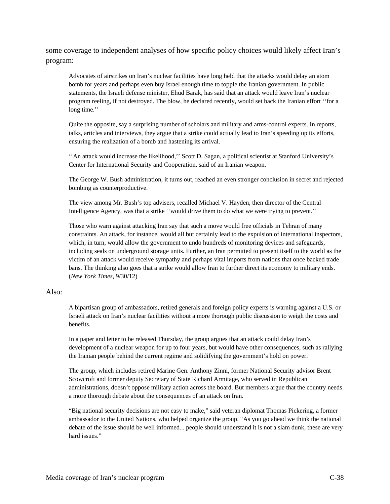some coverage to independent analyses of how specific policy choices would likely affect Iran's program:

Advocates of airstrikes on Iran's nuclear facilities have long held that the attacks would delay an atom bomb for years and perhaps even buy Israel enough time to topple the Iranian government. In public statements, the Israeli defense minister, Ehud Barak, has said that an attack would leave Iran's nuclear program reeling, if not destroyed. The blow, he declared recently, would set back the Iranian effort ''for a long time."

Quite the opposite, say a surprising number of scholars and military and arms-control experts. In reports, talks, articles and interviews, they argue that a strike could actually lead to Iran's speeding up its efforts, ensuring the realization of a bomb and hastening its arrival.

''An attack would increase the likelihood,'' Scott D. Sagan, a political scientist at Stanford University's Center for International Security and Cooperation, said of an Iranian weapon.

The George W. Bush administration, it turns out, reached an even stronger conclusion in secret and rejected bombing as counterproductive.

The view among Mr. Bush's top advisers, recalled Michael V. Hayden, then director of the Central Intelligence Agency, was that a strike ''would drive them to do what we were trying to prevent.''

Those who warn against attacking Iran say that such a move would free officials in Tehran of many constraints. An attack, for instance, would all but certainly lead to the expulsion of international inspectors, which, in turn, would allow the government to undo hundreds of monitoring devices and safeguards, including seals on underground storage units. Further, an Iran permitted to present itself to the world as the victim of an attack would receive sympathy and perhaps vital imports from nations that once backed trade bans. The thinking also goes that a strike would allow Iran to further direct its economy to military ends. (*New York Times*, 9/30/12)

#### Also:

A bipartisan group of ambassadors, retired generals and foreign policy experts is warning against a U.S. or Israeli attack on Iran's nuclear facilities without a more thorough public discussion to weigh the costs and benefits.

In a paper and letter to be released Thursday, the group argues that an attack could delay Iran's development of a nuclear weapon for up to four years, but would have other consequences, such as rallying the Iranian people behind the current regime and solidifying the government's hold on power.

The group, which includes retired Marine Gen. Anthony Zinni, former National Security advisor Brent Scowcroft and former deputy Secretary of State Richard Armitage, who served in Republican administrations, doesn't oppose military action across the board. But members argue that the country needs a more thorough debate about the consequences of an attack on Iran.

"Big national security decisions are not easy to make," said veteran diplomat Thomas Pickering, a former ambassador to the United Nations, who helped organize the group. "As you go ahead we think the national debate of the issue should be well informed... people should understand it is not a slam dunk, these are very hard issues."